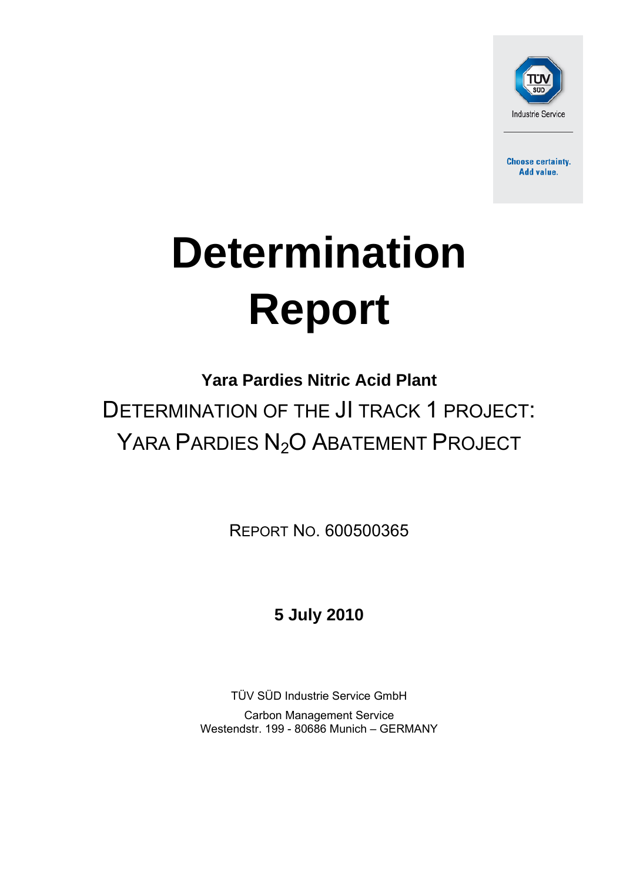

**Choose certainty.** Add value.

# **Determination Report**

# **Yara Pardies Nitric Acid Plant**

DETERMINATION OF THE JI TRACK 1 PROJECT: YARA PARDIES N<sub>2</sub>O ABATEMENT PROJECT

REPORT NO. 600500365

**5 July 2010**

TÜV SÜD Industrie Service GmbH

Carbon Management Service Westendstr. 199 - 80686 Munich – GERMANY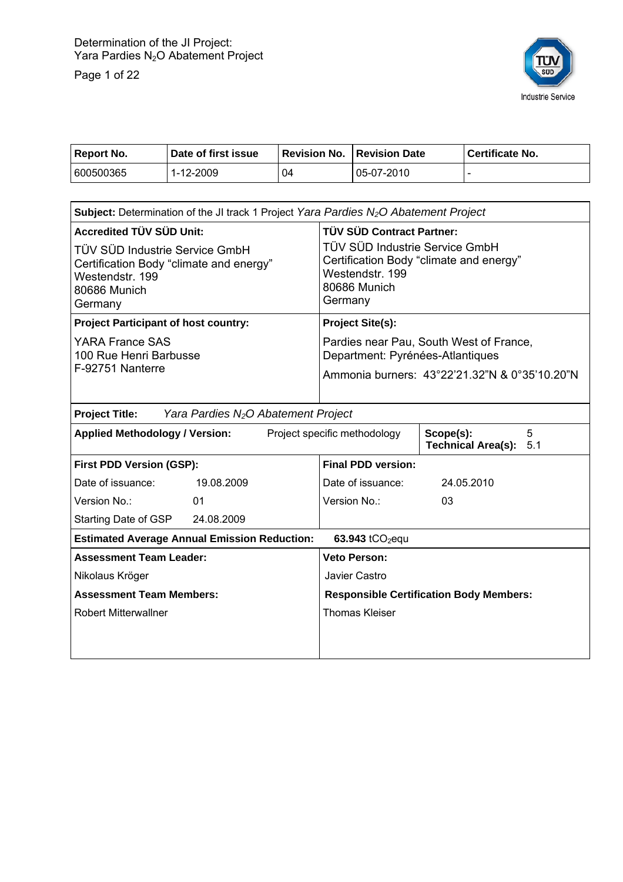Page 1 of 22



| Report No. | Date of first issue |    | <b>Revision No. Revision Date</b> | Certificate No. |
|------------|---------------------|----|-----------------------------------|-----------------|
| 600500365  | 1-12-2009           | 04 | 05-07-2010                        |                 |

| <b>Subject:</b> Determination of the JI track 1 Project Yara Pardies $N_2O$ Abatement Project                           |                                                                                                                              |  |  |
|-------------------------------------------------------------------------------------------------------------------------|------------------------------------------------------------------------------------------------------------------------------|--|--|
| <b>Accredited TÜV SÜD Unit:</b>                                                                                         | <b>TÜV SÜD Contract Partner:</b>                                                                                             |  |  |
| TÜV SÜD Industrie Service GmbH<br>Certification Body "climate and energy"<br>Westendstr. 199<br>80686 Munich<br>Germany | TÜV SÜD Industrie Service GmbH<br>Certification Body "climate and energy"<br>Westendstr, 199<br>80686 Munich<br>Germany      |  |  |
| <b>Project Participant of host country:</b>                                                                             | <b>Project Site(s):</b>                                                                                                      |  |  |
| <b>YARA France SAS</b><br>100 Rue Henri Barbusse<br>F-92751 Nanterre                                                    | Pardies near Pau, South West of France,<br>Department: Pyrénées-Atlantiques<br>Ammonia burners: 43°22'21.32"N & 0°35'10.20"N |  |  |
|                                                                                                                         |                                                                                                                              |  |  |
| Yara Pardies N <sub>2</sub> O Abatement Project<br><b>Project Title:</b>                                                |                                                                                                                              |  |  |
| <b>Applied Methodology / Version:</b>                                                                                   | 5<br>Project specific methodology<br>Scope(s):<br><b>Technical Area(s):</b><br>5.1                                           |  |  |
| <b>First PDD Version (GSP):</b>                                                                                         | <b>Final PDD version:</b>                                                                                                    |  |  |
| Date of issuance:<br>19.08.2009                                                                                         | Date of issuance:<br>24.05.2010                                                                                              |  |  |
| Version No.:<br>01                                                                                                      | Version No.:<br>03                                                                                                           |  |  |
| Starting Date of GSP<br>24.08.2009                                                                                      |                                                                                                                              |  |  |
| <b>Estimated Average Annual Emission Reduction:</b>                                                                     | 63.943 $tCO_2$ equ                                                                                                           |  |  |
| <b>Assessment Team Leader:</b>                                                                                          | <b>Veto Person:</b>                                                                                                          |  |  |
| Nikolaus Kröger                                                                                                         | Javier Castro                                                                                                                |  |  |
| <b>Assessment Team Members:</b>                                                                                         | <b>Responsible Certification Body Members:</b>                                                                               |  |  |
| <b>Robert Mitterwallner</b>                                                                                             | <b>Thomas Kleiser</b>                                                                                                        |  |  |
|                                                                                                                         |                                                                                                                              |  |  |
|                                                                                                                         |                                                                                                                              |  |  |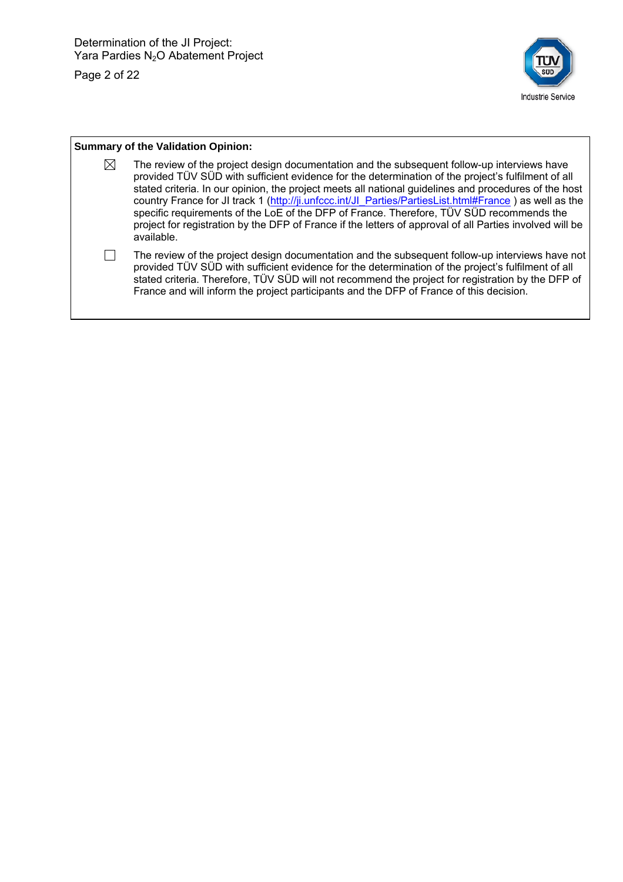Page 2 of 22



#### **Summary of the Validation Opinion:**   $\boxtimes$  The review of the project design documentation and the subsequent follow-up interviews have provided TÜV SÜD with sufficient evidence for the determination of the project's fulfilment of all stated criteria. In our opinion, the project meets all national guidelines and procedures of the host country France for JI track 1 (http://ji.unfccc.int/JI\_Parties/PartiesList.html#France ) as well as the specific requirements of the LoE of the DFP of France. Therefore, TÜV SÜD recommends the project for registration by the DFP of France if the letters of approval of all Parties involved will be available.  $\Box$  The review of the project design documentation and the subsequent follow-up interviews have not provided TÜV SÜD with sufficient evidence for the determination of the project's fulfilment of all stated criteria. Therefore, TÜV SÜD will not recommend the project for registration by the DFP of France and will inform the project participants and the DFP of France of this decision.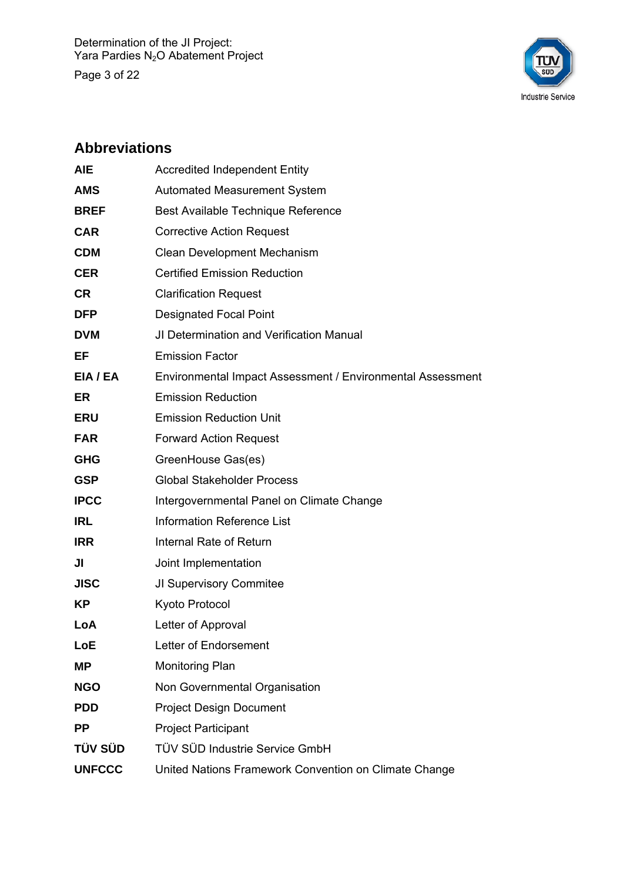Page 3 of 22



# **Abbreviations**

| <b>Automated Measurement System</b><br>Best Available Technique Reference<br><b>Corrective Action Request</b> |
|---------------------------------------------------------------------------------------------------------------|
|                                                                                                               |
|                                                                                                               |
|                                                                                                               |
| Clean Development Mechanism                                                                                   |
| <b>Certified Emission Reduction</b>                                                                           |
| <b>Clarification Request</b>                                                                                  |
| <b>Designated Focal Point</b>                                                                                 |
| JI Determination and Verification Manual                                                                      |
|                                                                                                               |
| Environmental Impact Assessment / Environmental Assessment                                                    |
| <b>Emission Reduction</b>                                                                                     |
| <b>Emission Reduction Unit</b>                                                                                |
| <b>Forward Action Request</b>                                                                                 |
| GreenHouse Gas(es)                                                                                            |
| <b>Global Stakeholder Process</b>                                                                             |
| Intergovernmental Panel on Climate Change                                                                     |
| <b>Information Reference List</b>                                                                             |
| Internal Rate of Return                                                                                       |
| Joint Implementation                                                                                          |
| JI Supervisory Commitee                                                                                       |
|                                                                                                               |
| Letter of Approval                                                                                            |
| Letter of Endorsement                                                                                         |
|                                                                                                               |
| Non Governmental Organisation                                                                                 |
| <b>Project Design Document</b>                                                                                |
| <b>Project Participant</b>                                                                                    |
| TÜV SÜD Industrie Service GmbH                                                                                |
| United Nations Framework Convention on Climate Change                                                         |
| <b>Emission Factor</b>                                                                                        |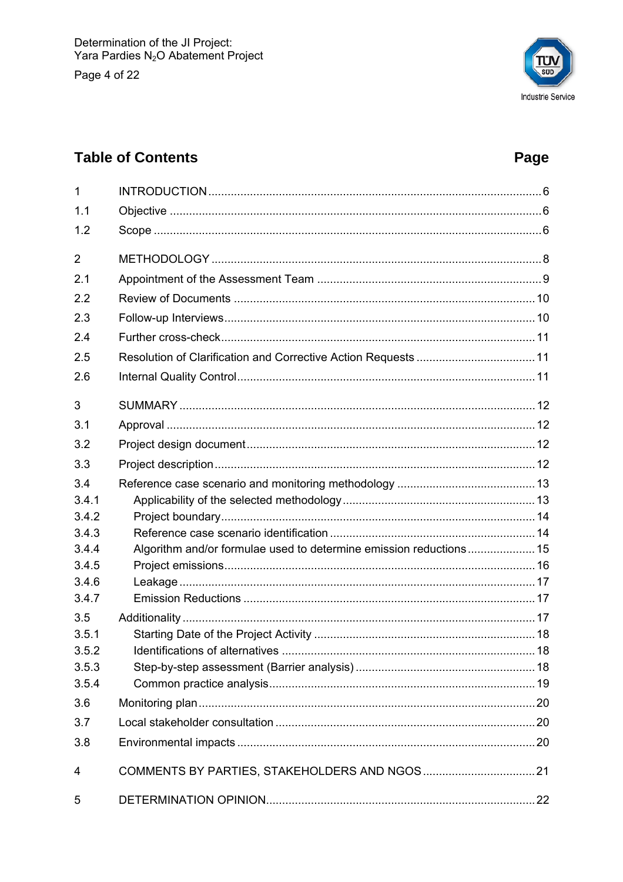Page 4 of 22



# **Table of Contents**

# Page

| 1              |                                                                    |  |
|----------------|--------------------------------------------------------------------|--|
| 1.1            |                                                                    |  |
| 1.2            |                                                                    |  |
| $\overline{2}$ |                                                                    |  |
| 2.1            |                                                                    |  |
| 2.2            |                                                                    |  |
| 2.3            |                                                                    |  |
| 2.4            |                                                                    |  |
| 2.5            |                                                                    |  |
| 2.6            |                                                                    |  |
| 3              |                                                                    |  |
| 3.1            |                                                                    |  |
| 3.2            |                                                                    |  |
| 3.3            |                                                                    |  |
| 3.4            |                                                                    |  |
| 3.4.1          |                                                                    |  |
| 3.4.2          |                                                                    |  |
| 3.4.3          |                                                                    |  |
| 3.4.4          | Algorithm and/or formulae used to determine emission reductions 15 |  |
| 3.4.5          |                                                                    |  |
| 3.4.6          |                                                                    |  |
| 3.4.7          |                                                                    |  |
| 3.5            |                                                                    |  |
| 3.5.1          |                                                                    |  |
| 3.5.2          |                                                                    |  |
| 3.5.3          |                                                                    |  |
| 3.5.4          |                                                                    |  |
| 3.6            |                                                                    |  |
| 3.7            |                                                                    |  |
| 3.8            |                                                                    |  |
| 4              |                                                                    |  |
| 5              |                                                                    |  |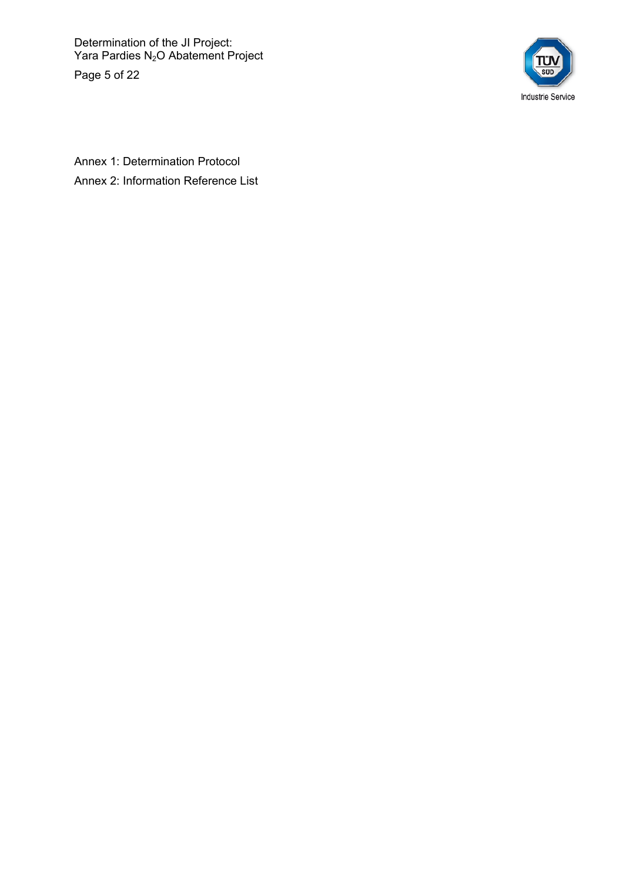Determination of the JI Project: Yara Pardies N<sub>2</sub>O Abatement Project

Page 5 of 22



Annex 1: Determination Protocol Annex 2: Information Reference List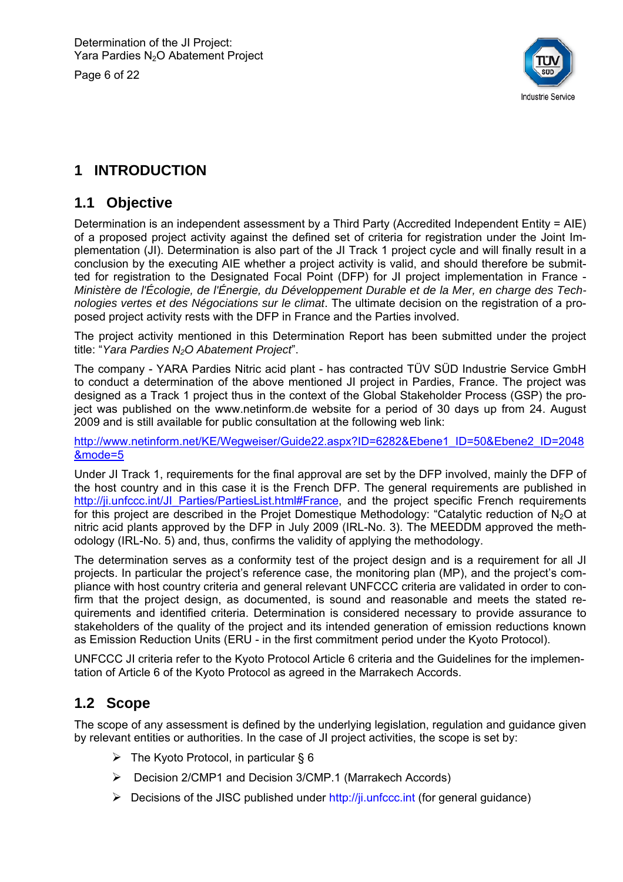Page 6 of 22



# **1 INTRODUCTION**

#### **1.1 Objective**

Determination is an independent assessment by a Third Party (Accredited Independent Entity = AIE) of a proposed project activity against the defined set of criteria for registration under the Joint Implementation (JI). Determination is also part of the JI Track 1 project cycle and will finally result in a conclusion by the executing AIE whether a project activity is valid, and should therefore be submitted for registration to the Designated Focal Point (DFP) for JI project implementation in France - *Ministère de l'Écologie, de l'Énergie, du Développement Durable et de la Mer, en charge des Technologies vertes et des Négociations sur le climat*. The ultimate decision on the registration of a proposed project activity rests with the DFP in France and the Parties involved.

The project activity mentioned in this Determination Report has been submitted under the project title: "*Yara Pardies N2O Abatement Project*".

The company - YARA Pardies Nitric acid plant - has contracted TÜV SÜD Industrie Service GmbH to conduct a determination of the above mentioned JI project in Pardies, France. The project was designed as a Track 1 project thus in the context of the Global Stakeholder Process (GSP) the project was published on the www.netinform.de website for a period of 30 days up from 24. August 2009 and is still available for public consultation at the following web link:

http://www.netinform.net/KE/Wegweiser/Guide22.aspx?ID=6282&Ebene1\_ID=50&Ebene2\_ID=2048 &mode=5

Under JI Track 1, requirements for the final approval are set by the DFP involved, mainly the DFP of the host country and in this case it is the French DFP. The general requirements are published in http://ji.unfccc.int/JI\_Parties/PartiesList.html#France, and the project specific French requirements for this project are described in the Projet Domestique Methodology: "Catalytic reduction of  $N_2O$  at nitric acid plants approved by the DFP in July 2009 (IRL-No. 3). The MEEDDM approved the methodology (IRL-No. 5) and, thus, confirms the validity of applying the methodology.

The determination serves as a conformity test of the project design and is a requirement for all JI projects. In particular the project's reference case, the monitoring plan (MP), and the project's compliance with host country criteria and general relevant UNFCCC criteria are validated in order to confirm that the project design, as documented, is sound and reasonable and meets the stated requirements and identified criteria. Determination is considered necessary to provide assurance to stakeholders of the quality of the project and its intended generation of emission reductions known as Emission Reduction Units (ERU - in the first commitment period under the Kyoto Protocol).

UNFCCC JI criteria refer to the Kyoto Protocol Article 6 criteria and the Guidelines for the implementation of Article 6 of the Kyoto Protocol as agreed in the Marrakech Accords.

#### **1.2 Scope**

The scope of any assessment is defined by the underlying legislation, regulation and guidance given by relevant entities or authorities. In the case of JI project activities, the scope is set by:

- $\triangleright$  The Kyoto Protocol, in particular § 6
- Decision 2/CMP1 and Decision 3/CMP.1 (Marrakech Accords)
- $\triangleright$  Decisions of the JISC published under http://ji.unfccc.int (for general guidance)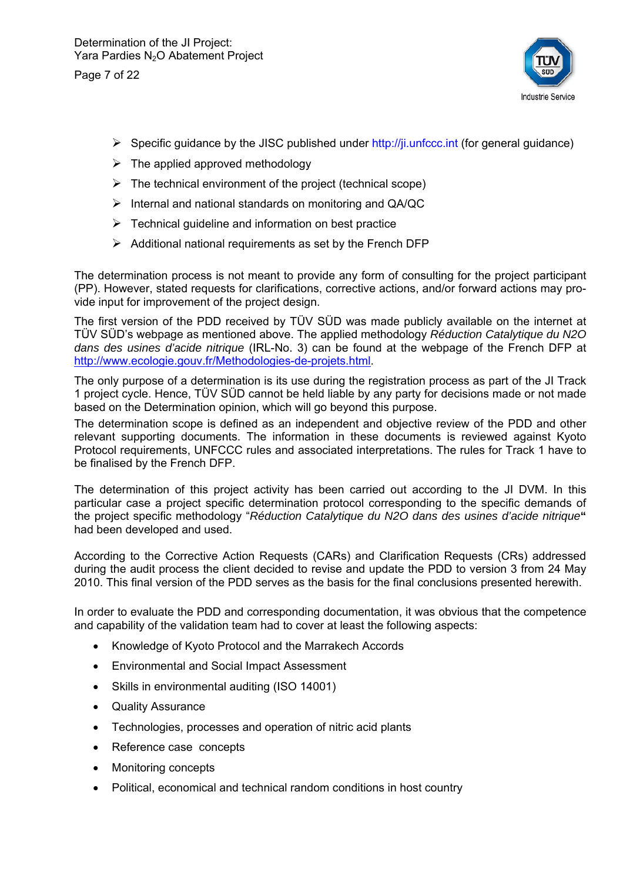Page 7 of 22



- $\triangleright$  Specific guidance by the JISC published under http://ji.unfccc.int (for general guidance)
- $\triangleright$  The applied approved methodology
- $\triangleright$  The technical environment of the project (technical scope)
- $\triangleright$  Internal and national standards on monitoring and QA/QC
- $\triangleright$  Technical quideline and information on best practice
- $\triangleright$  Additional national requirements as set by the French DFP

The determination process is not meant to provide any form of consulting for the project participant (PP). However, stated requests for clarifications, corrective actions, and/or forward actions may provide input for improvement of the project design.

The first version of the PDD received by TÜV SÜD was made publicly available on the internet at TÜV SÜD's webpage as mentioned above. The applied methodology *Réduction Catalytique du N2O dans des usines d'acide nitrique* (IRL-No. 3) can be found at the webpage of the French DFP at http://www.ecologie.gouv.fr/Methodologies-de-projets.html.

The only purpose of a determination is its use during the registration process as part of the JI Track 1 project cycle. Hence, TÜV SÜD cannot be held liable by any party for decisions made or not made based on the Determination opinion, which will go beyond this purpose.

The determination scope is defined as an independent and objective review of the PDD and other relevant supporting documents. The information in these documents is reviewed against Kyoto Protocol requirements, UNFCCC rules and associated interpretations. The rules for Track 1 have to be finalised by the French DFP.

The determination of this project activity has been carried out according to the JI DVM. In this particular case a project specific determination protocol corresponding to the specific demands of the project specific methodology "*Réduction Catalytique du N2O dans des usines d'acide nitrique***"** had been developed and used.

According to the Corrective Action Requests (CARs) and Clarification Requests (CRs) addressed during the audit process the client decided to revise and update the PDD to version 3 from 24 May 2010. This final version of the PDD serves as the basis for the final conclusions presented herewith.

In order to evaluate the PDD and corresponding documentation, it was obvious that the competence and capability of the validation team had to cover at least the following aspects:

- Knowledge of Kyoto Protocol and the Marrakech Accords
- Environmental and Social Impact Assessment
- Skills in environmental auditing (ISO 14001)
- Quality Assurance
- Technologies, processes and operation of nitric acid plants
- Reference case concepts
- Monitoring concepts
- Political, economical and technical random conditions in host country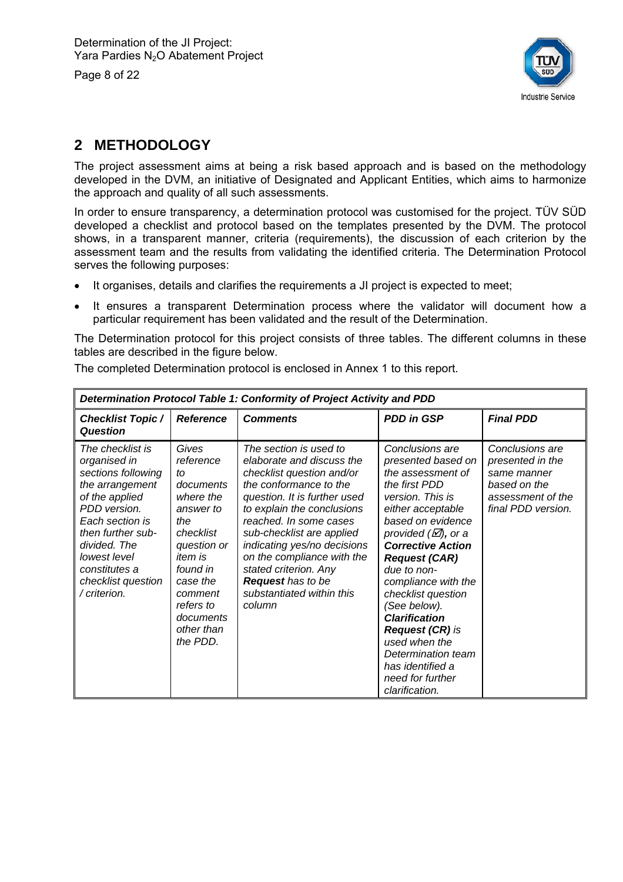Page 8 of 22



# **2 METHODOLOGY**

The project assessment aims at being a risk based approach and is based on the methodology developed in the DVM, an initiative of Designated and Applicant Entities, which aims to harmonize the approach and quality of all such assessments.

In order to ensure transparency, a determination protocol was customised for the project. TÜV SÜD developed a checklist and protocol based on the templates presented by the DVM. The protocol shows, in a transparent manner, criteria (requirements), the discussion of each criterion by the assessment team and the results from validating the identified criteria. The Determination Protocol serves the following purposes:

- It organises, details and clarifies the requirements a JI project is expected to meet;
- It ensures a transparent Determination process where the validator will document how a particular requirement has been validated and the result of the Determination.

The Determination protocol for this project consists of three tables. The different columns in these tables are described in the figure below.

The completed Determination protocol is enclosed in Annex 1 to this report.

| Determination Protocol Table 1: Conformity of Project Activity and PDD                                                                                                                                                                     |                                                                                                                                                                                                             |                                                                                                                                                                                                                                                                                                                                                                                          |                                                                                                                                                                                                                                                                                                                                                                                                                                                                 |                                                                                                               |  |  |  |
|--------------------------------------------------------------------------------------------------------------------------------------------------------------------------------------------------------------------------------------------|-------------------------------------------------------------------------------------------------------------------------------------------------------------------------------------------------------------|------------------------------------------------------------------------------------------------------------------------------------------------------------------------------------------------------------------------------------------------------------------------------------------------------------------------------------------------------------------------------------------|-----------------------------------------------------------------------------------------------------------------------------------------------------------------------------------------------------------------------------------------------------------------------------------------------------------------------------------------------------------------------------------------------------------------------------------------------------------------|---------------------------------------------------------------------------------------------------------------|--|--|--|
| <b>Checklist Topic /</b><br><b>Question</b>                                                                                                                                                                                                | <b>Reference</b>                                                                                                                                                                                            | <b>Comments</b>                                                                                                                                                                                                                                                                                                                                                                          | <b>PDD in GSP</b>                                                                                                                                                                                                                                                                                                                                                                                                                                               | <b>Final PDD</b>                                                                                              |  |  |  |
| The checklist is<br>organised in<br>sections following<br>the arrangement<br>of the applied<br>PDD version.<br>Each section is<br>then further sub-<br>divided. The<br>lowest level<br>constitutes a<br>checklist question<br>/ criterion. | Gives<br>reference<br>to<br>documents<br>where the<br>answer to<br>the<br>checklist<br>question or<br><i>item is</i><br>found in<br>case the<br>comment<br>refers to<br>documents<br>other than<br>the PDD. | The section is used to<br>elaborate and discuss the<br>checklist question and/or<br>the conformance to the<br>question. It is further used<br>to explain the conclusions<br>reached. In some cases<br>sub-checklist are applied<br>indicating yes/no decisions<br>on the compliance with the<br>stated criterion. Any<br><b>Request</b> has to be<br>substantiated within this<br>column | Conclusions are<br>presented based on<br>the assessment of<br>the first PDD<br>version. This is<br>either acceptable<br>based on evidence<br>provided $(\varnothing)$ , or a<br><b>Corrective Action</b><br><b>Request (CAR)</b><br>due to non-<br>compliance with the<br>checklist question<br>(See below).<br><b>Clarification</b><br><b>Request (CR) is</b><br>used when the<br>Determination team<br>has identified a<br>need for further<br>clarification. | Conclusions are<br>presented in the<br>same manner<br>based on the<br>assessment of the<br>final PDD version. |  |  |  |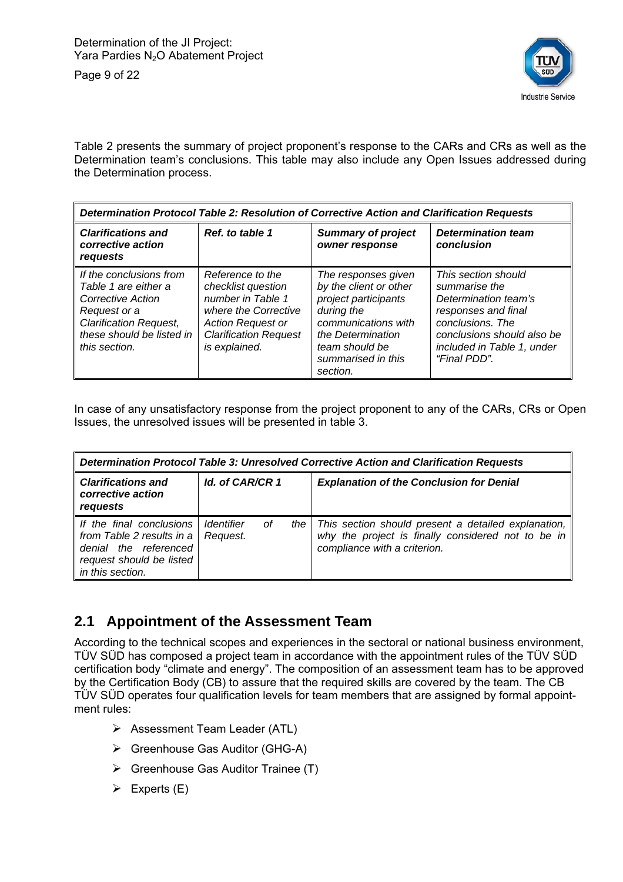Page 9 of 22



Table 2 presents the summary of project proponent's response to the CARs and CRs as well as the Determination team's conclusions. This table may also include any Open Issues addressed during the Determination process.

| Determination Protocol Table 2: Resolution of Corrective Action and Clarification Requests                                                                          |                                                                                                                                                                  |                                                                                                                                                                                     |                                                                                                                                                                                     |  |  |
|---------------------------------------------------------------------------------------------------------------------------------------------------------------------|------------------------------------------------------------------------------------------------------------------------------------------------------------------|-------------------------------------------------------------------------------------------------------------------------------------------------------------------------------------|-------------------------------------------------------------------------------------------------------------------------------------------------------------------------------------|--|--|
| <b>Clarifications and</b><br>corrective action<br>requests                                                                                                          | Ref. to table 1                                                                                                                                                  | <b>Summary of project</b><br>owner response                                                                                                                                         | <b>Determination team</b><br>conclusion                                                                                                                                             |  |  |
| If the conclusions from<br>Table 1 are either a<br>Corrective Action<br>Request or a<br><b>Clarification Request,</b><br>these should be listed in<br>this section. | Reference to the<br>checklist question<br>number in Table 1<br>where the Corrective<br><b>Action Request or</b><br><b>Clarification Request</b><br>is explained. | The responses given<br>by the client or other<br>project participants<br>during the<br>communications with<br>the Determination<br>team should be<br>summarised in this<br>section. | This section should<br>summarise the<br>Determination team's<br>responses and final<br>conclusions. The<br>conclusions should also be<br>included in Table 1, under<br>"Final PDD". |  |  |

In case of any unsatisfactory response from the project proponent to any of the CARs, CRs or Open Issues, the unresolved issues will be presented in table 3.

| Determination Protocol Table 3: Unresolved Corrective Action and Clarification Requests                                        |                                             |    |       |                                                                                                                                           |  |  |
|--------------------------------------------------------------------------------------------------------------------------------|---------------------------------------------|----|-------|-------------------------------------------------------------------------------------------------------------------------------------------|--|--|
| <b>Clarifications and</b><br>corrective action<br>requests                                                                     | Id. of CAR/CR 1                             |    |       | <b>Explanation of the Conclusion for Denial</b>                                                                                           |  |  |
| If the final conclusions<br>from Table 2 results in a<br>denial the referenced<br>request should be listed<br>in this section. | <i><u><b>Identifier</b></u></i><br>Request. | Οf | the I | This section should present a detailed explanation,<br>why the project is finally considered not to be in<br>compliance with a criterion. |  |  |

# **2.1 Appointment of the Assessment Team**

According to the technical scopes and experiences in the sectoral or national business environment, TÜV SÜD has composed a project team in accordance with the appointment rules of the TÜV SÜD certification body "climate and energy". The composition of an assessment team has to be approved by the Certification Body (CB) to assure that the required skills are covered by the team. The CB TÜV SÜD operates four qualification levels for team members that are assigned by formal appointment rules:

- Assessment Team Leader (ATL)
- ▶ Greenhouse Gas Auditor (GHG-A)
- $\triangleright$  Greenhouse Gas Auditor Trainee (T)
- $\triangleright$  Experts (E)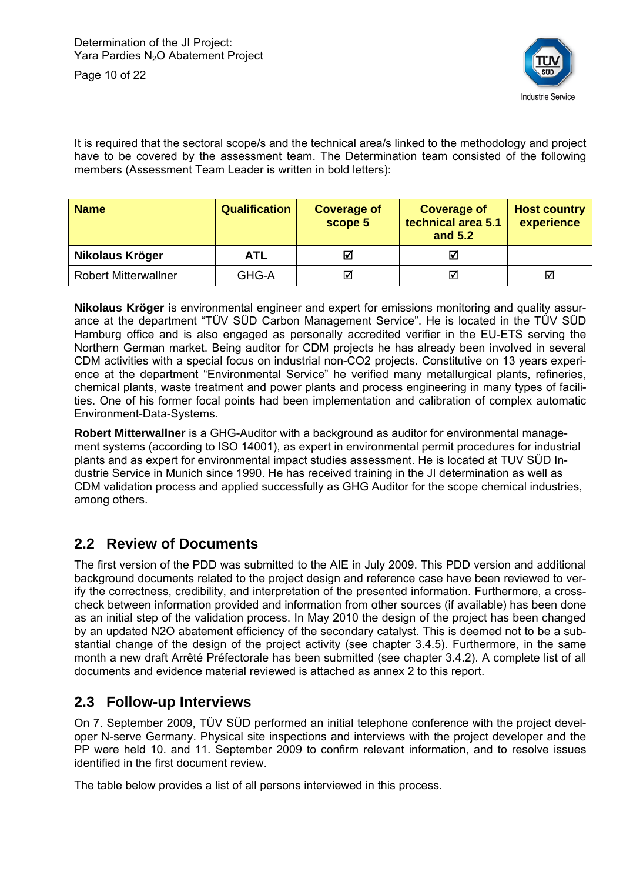

It is required that the sectoral scope/s and the technical area/s linked to the methodology and project have to be covered by the assessment team. The Determination team consisted of the following members (Assessment Team Leader is written in bold letters):

| <b>Name</b>                 | <b>Qualification</b> | <b>Coverage of</b><br>scope 5 | <b>Coverage of</b><br>technical area 5.1<br>and 5.2 | <b>Host country</b><br>experience |
|-----------------------------|----------------------|-------------------------------|-----------------------------------------------------|-----------------------------------|
| Nikolaus Kröger             | ATL                  | М                             | M                                                   |                                   |
| <b>Robert Mitterwallner</b> | GHG-A                | ⊠                             | ⊽                                                   | ☑                                 |

**Nikolaus Kröger** is environmental engineer and expert for emissions monitoring and quality assurance at the department "TÜV SÜD Carbon Management Service". He is located in the TÜV SÜD Hamburg office and is also engaged as personally accredited verifier in the EU-ETS serving the Northern German market. Being auditor for CDM projects he has already been involved in several CDM activities with a special focus on industrial non-CO2 projects. Constitutive on 13 years experience at the department "Environmental Service" he verified many metallurgical plants, refineries, chemical plants, waste treatment and power plants and process engineering in many types of facilities. One of his former focal points had been implementation and calibration of complex automatic Environment-Data-Systems.

**Robert Mitterwallner** is a GHG-Auditor with a background as auditor for environmental management systems (according to ISO 14001), as expert in environmental permit procedures for industrial plants and as expert for environmental impact studies assessment. He is located at TUV SÜD Industrie Service in Munich since 1990. He has received training in the JI determination as well as CDM validation process and applied successfully as GHG Auditor for the scope chemical industries, among others.

#### **2.2 Review of Documents**

The first version of the PDD was submitted to the AIE in July 2009. This PDD version and additional background documents related to the project design and reference case have been reviewed to verify the correctness, credibility, and interpretation of the presented information. Furthermore, a crosscheck between information provided and information from other sources (if available) has been done as an initial step of the validation process. In May 2010 the design of the project has been changed by an updated N2O abatement efficiency of the secondary catalyst. This is deemed not to be a substantial change of the design of the project activity (see chapter 3.4.5). Furthermore, in the same month a new draft Arrêté Préfectorale has been submitted (see chapter 3.4.2). A complete list of all documents and evidence material reviewed is attached as annex 2 to this report.

#### **2.3 Follow-up Interviews**

On 7. September 2009, TÜV SÜD performed an initial telephone conference with the project developer N-serve Germany. Physical site inspections and interviews with the project developer and the PP were held 10. and 11. September 2009 to confirm relevant information, and to resolve issues identified in the first document review.

The table below provides a list of all persons interviewed in this process.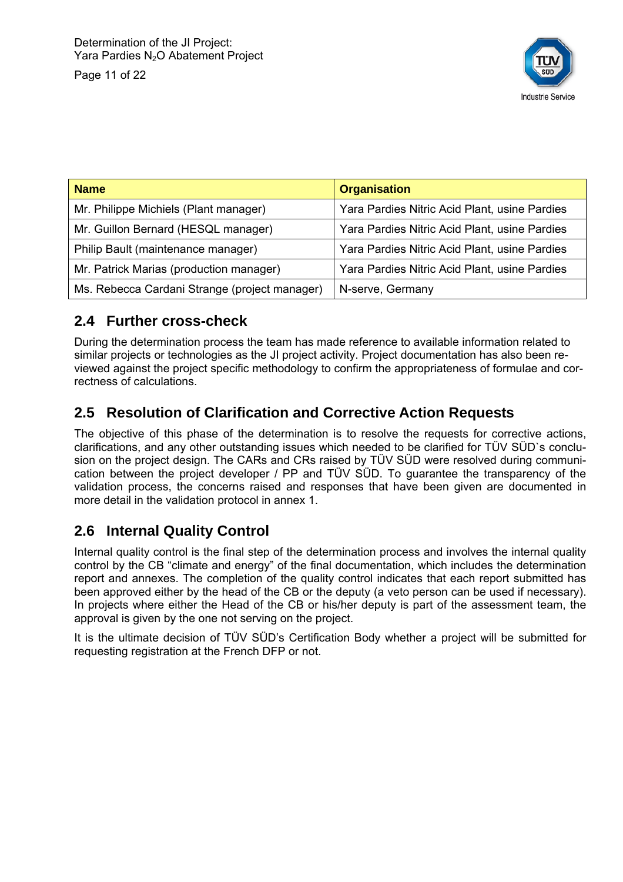Page 11 of 22



| <b>Name</b>                                   | <b>Organisation</b>                           |
|-----------------------------------------------|-----------------------------------------------|
| Mr. Philippe Michiels (Plant manager)         | Yara Pardies Nitric Acid Plant, usine Pardies |
| Mr. Guillon Bernard (HESQL manager)           | Yara Pardies Nitric Acid Plant, usine Pardies |
| Philip Bault (maintenance manager)            | Yara Pardies Nitric Acid Plant, usine Pardies |
| Mr. Patrick Marias (production manager)       | Yara Pardies Nitric Acid Plant, usine Pardies |
| Ms. Rebecca Cardani Strange (project manager) | N-serve, Germany                              |

# **2.4 Further cross-check**

During the determination process the team has made reference to available information related to similar projects or technologies as the JI project activity. Project documentation has also been reviewed against the project specific methodology to confirm the appropriateness of formulae and correctness of calculations.

# **2.5 Resolution of Clarification and Corrective Action Requests**

The objective of this phase of the determination is to resolve the requests for corrective actions, clarifications, and any other outstanding issues which needed to be clarified for TÜV SÜD`s conclusion on the project design. The CARs and CRs raised by TÜV SÜD were resolved during communication between the project developer / PP and TÜV SÜD. To guarantee the transparency of the validation process, the concerns raised and responses that have been given are documented in more detail in the validation protocol in annex 1.

# **2.6 Internal Quality Control**

Internal quality control is the final step of the determination process and involves the internal quality control by the CB "climate and energy" of the final documentation, which includes the determination report and annexes. The completion of the quality control indicates that each report submitted has been approved either by the head of the CB or the deputy (a veto person can be used if necessary). In projects where either the Head of the CB or his/her deputy is part of the assessment team, the approval is given by the one not serving on the project.

It is the ultimate decision of TÜV SÜD's Certification Body whether a project will be submitted for requesting registration at the French DFP or not.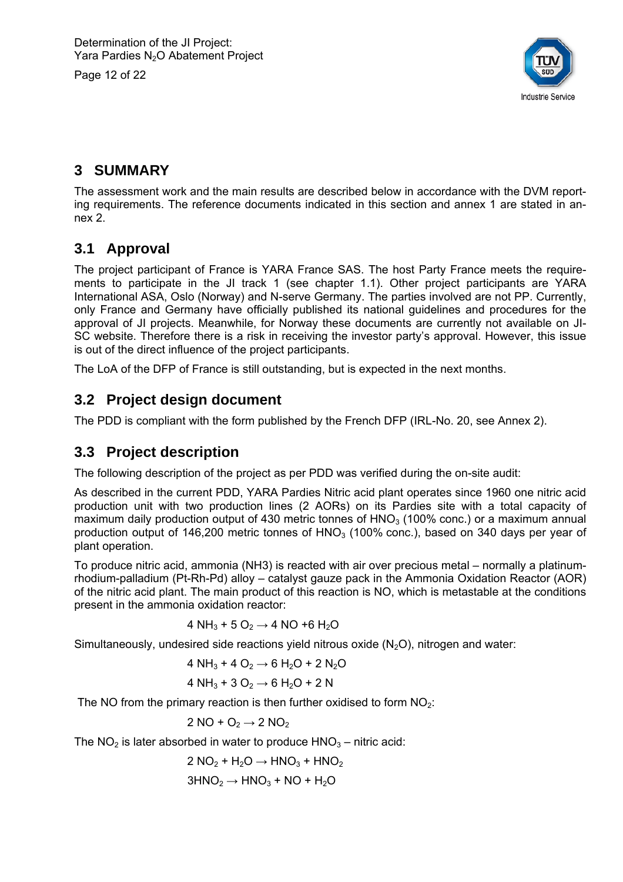Page 12 of 22



# **3 SUMMARY**

The assessment work and the main results are described below in accordance with the DVM reporting requirements. The reference documents indicated in this section and annex 1 are stated in annex 2.

# **3.1 Approval**

The project participant of France is YARA France SAS. The host Party France meets the requirements to participate in the JI track 1 (see chapter 1.1). Other project participants are YARA International ASA, Oslo (Norway) and N-serve Germany. The parties involved are not PP. Currently, only France and Germany have officially published its national guidelines and procedures for the approval of JI projects. Meanwhile, for Norway these documents are currently not available on JI-SC website. Therefore there is a risk in receiving the investor party's approval. However, this issue is out of the direct influence of the project participants.

The LoA of the DFP of France is still outstanding, but is expected in the next months.

#### **3.2 Project design document**

The PDD is compliant with the form published by the French DFP (IRL-No. 20, see Annex 2).

#### **3.3 Project description**

The following description of the project as per PDD was verified during the on-site audit:

As described in the current PDD, YARA Pardies Nitric acid plant operates since 1960 one nitric acid production unit with two production lines (2 AORs) on its Pardies site with a total capacity of maximum daily production output of 430 metric tonnes of  $HNO<sub>3</sub>$  (100% conc.) or a maximum annual production output of 146,200 metric tonnes of  $HNO<sub>3</sub>$  (100% conc.), based on 340 days per year of plant operation.

To produce nitric acid, ammonia (NH3) is reacted with air over precious metal – normally a platinumrhodium-palladium (Pt-Rh-Pd) alloy – catalyst gauze pack in the Ammonia Oxidation Reactor (AOR) of the nitric acid plant. The main product of this reaction is NO, which is metastable at the conditions present in the ammonia oxidation reactor:

4 NH<sub>3</sub> + 5 O<sub>2</sub>  $\rightarrow$  4 NO +6 H<sub>2</sub>O

Simultaneously, undesired side reactions yield nitrous oxide  $(N_2O)$ , nitrogen and water:

4 NH<sub>3</sub> + 4 O<sub>2</sub>  $\rightarrow$  6 H<sub>2</sub>O + 2 N<sub>2</sub>O

4 NH<sub>3</sub> + 3 O<sub>2</sub>  $\rightarrow$  6 H<sub>2</sub>O + 2 N

The NO from the primary reaction is then further oxidised to form  $NO<sub>2</sub>$ :

$$
2\;NO+O_2\to 2\;NO_2
$$

The  $NO<sub>2</sub>$  is later absorbed in water to produce  $HNO<sub>3</sub> -$  nitric acid:

$$
2 NO2 + H2O \rightarrow HNO3 + HNO2
$$

$$
3HNO2 \rightarrow HNO3 + NO + H2O
$$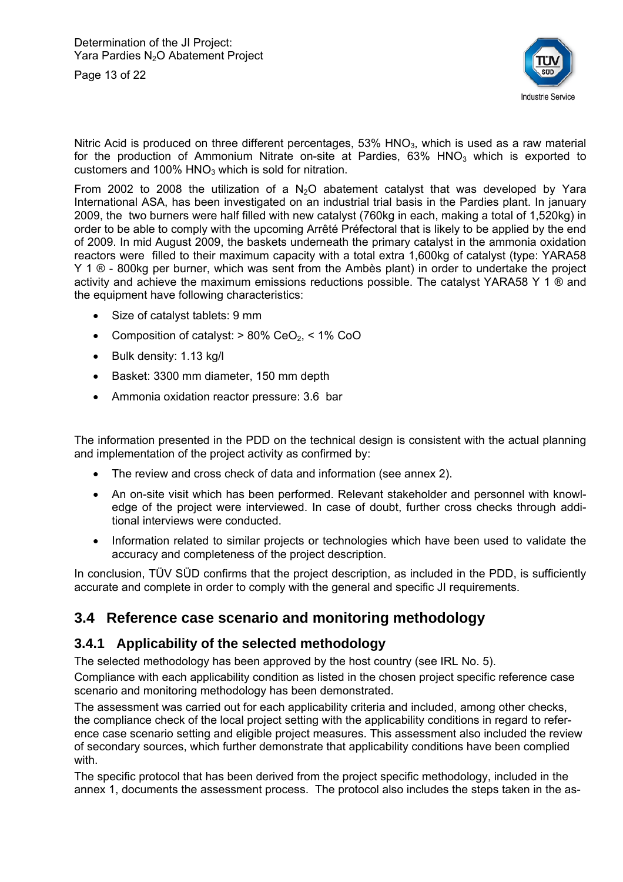Page 13 of 22



Nitric Acid is produced on three different percentages,  $53\%$  HNO<sub>3</sub>, which is used as a raw material for the production of Ammonium Nitrate on-site at Pardies,  $63\%$  HNO<sub>3</sub> which is exported to customers and  $100\%$  HNO<sub>3</sub> which is sold for nitration.

From 2002 to 2008 the utilization of a  $N_2O$  abatement catalyst that was developed by Yara International ASA, has been investigated on an industrial trial basis in the Pardies plant. In january 2009, the two burners were half filled with new catalyst (760kg in each, making a total of 1,520kg) in order to be able to comply with the upcoming Arrêté Préfectoral that is likely to be applied by the end of 2009. In mid August 2009, the baskets underneath the primary catalyst in the ammonia oxidation reactors were filled to their maximum capacity with a total extra 1,600kg of catalyst (type: YARA58 Y 1  $\otimes$  - 800kg per burner, which was sent from the Ambès plant) in order to undertake the project activity and achieve the maximum emissions reductions possible. The catalyst YARA58 Y 1 ® and the equipment have following characteristics:

- Size of catalyst tablets: 9 mm
- Composition of catalyst:  $> 80\%$  CeO<sub>2</sub>,  $< 1\%$  CoO
- $\bullet$  Bulk density: 1.13 kg/l
- Basket: 3300 mm diameter, 150 mm depth
- Ammonia oxidation reactor pressure: 3.6 bar

The information presented in the PDD on the technical design is consistent with the actual planning and implementation of the project activity as confirmed by:

- The review and cross check of data and information (see annex 2).
- An on-site visit which has been performed. Relevant stakeholder and personnel with knowledge of the project were interviewed. In case of doubt, further cross checks through additional interviews were conducted.
- Information related to similar projects or technologies which have been used to validate the accuracy and completeness of the project description.

In conclusion, TÜV SÜD confirms that the project description, as included in the PDD, is sufficiently accurate and complete in order to comply with the general and specific JI requirements.

#### **3.4 Reference case scenario and monitoring methodology**

#### **3.4.1 Applicability of the selected methodology**

The selected methodology has been approved by the host country (see IRL No. 5).

Compliance with each applicability condition as listed in the chosen project specific reference case scenario and monitoring methodology has been demonstrated.

The assessment was carried out for each applicability criteria and included, among other checks, the compliance check of the local project setting with the applicability conditions in regard to reference case scenario setting and eligible project measures. This assessment also included the review of secondary sources, which further demonstrate that applicability conditions have been complied with.

The specific protocol that has been derived from the project specific methodology, included in the annex 1, documents the assessment process. The protocol also includes the steps taken in the as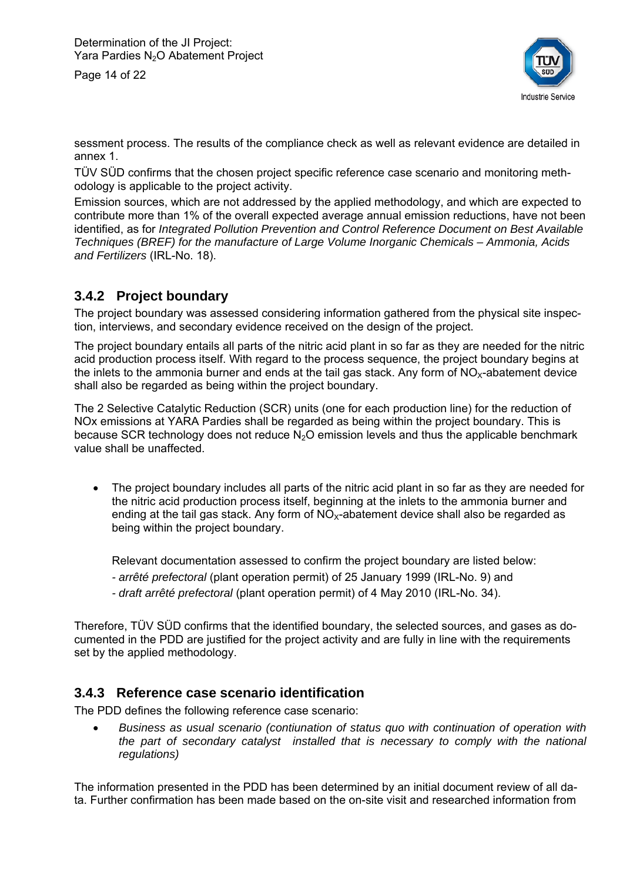Page 14 of 22



sessment process. The results of the compliance check as well as relevant evidence are detailed in annex 1.

TÜV SÜD confirms that the chosen project specific reference case scenario and monitoring methodology is applicable to the project activity.

Emission sources, which are not addressed by the applied methodology, and which are expected to contribute more than 1% of the overall expected average annual emission reductions, have not been identified, as for *Integrated Pollution Prevention and Control Reference Document on Best Available Techniques (BREF) for the manufacture of Large Volume Inorganic Chemicals – Ammonia, Acids and Fertilizers* (IRL-No. 18).

#### **3.4.2 Project boundary**

The project boundary was assessed considering information gathered from the physical site inspection, interviews, and secondary evidence received on the design of the project.

The project boundary entails all parts of the nitric acid plant in so far as they are needed for the nitric acid production process itself. With regard to the process sequence, the project boundary begins at the inlets to the ammonia burner and ends at the tail gas stack. Any form of  $NO<sub>x</sub>$ -abatement device shall also be regarded as being within the project boundary.

The 2 Selective Catalytic Reduction (SCR) units (one for each production line) for the reduction of NOx emissions at YARA Pardies shall be regarded as being within the project boundary. This is because SCR technology does not reduce  $N<sub>2</sub>O$  emission levels and thus the applicable benchmark value shall be unaffected.

• The project boundary includes all parts of the nitric acid plant in so far as they are needed for the nitric acid production process itself, beginning at the inlets to the ammonia burner and ending at the tail gas stack. Any form of  $NO_{x}$ -abatement device shall also be regarded as being within the project boundary.

Relevant documentation assessed to confirm the project boundary are listed below:

- *arrêté prefectoral* (plant operation permit) of 25 January 1999 (IRL-No. 9) and
- *draft arrêté prefectoral* (plant operation permit) of 4 May 2010 (IRL-No. 34).

Therefore, TÜV SÜD confirms that the identified boundary, the selected sources, and gases as documented in the PDD are justified for the project activity and are fully in line with the requirements set by the applied methodology.

#### **3.4.3 Reference case scenario identification**

The PDD defines the following reference case scenario:

 *Business as usual scenario (contiunation of status quo with continuation of operation with the part of secondary catalyst installed that is necessary to comply with the national regulations)* 

The information presented in the PDD has been determined by an initial document review of all data. Further confirmation has been made based on the on-site visit and researched information from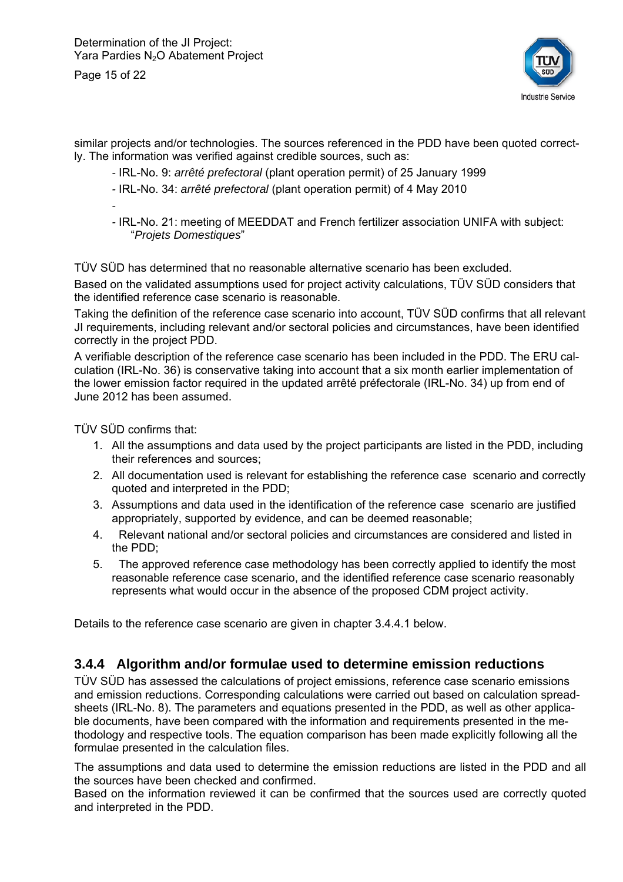Page 15 of 22



similar projects and/or technologies. The sources referenced in the PDD have been quoted correctly. The information was verified against credible sources, such as:

- IRL-No. 9: *arrêté prefectoral* (plant operation permit) of 25 January 1999
- IRL-No. 34: *arrêté prefectoral* (plant operation permit) of 4 May 2010

*-* 

*-* IRL-No. 21: meeting of MEEDDAT and French fertilizer association UNIFA with subject: "*Projets Domestiques*"

TÜV SÜD has determined that no reasonable alternative scenario has been excluded.

Based on the validated assumptions used for project activity calculations, TÜV SÜD considers that the identified reference case scenario is reasonable.

Taking the definition of the reference case scenario into account, TÜV SÜD confirms that all relevant JI requirements, including relevant and/or sectoral policies and circumstances, have been identified correctly in the project PDD.

A verifiable description of the reference case scenario has been included in the PDD. The ERU calculation (IRL-No. 36) is conservative taking into account that a six month earlier implementation of the lower emission factor required in the updated arrêté préfectorale (IRL-No. 34) up from end of June 2012 has been assumed.

TÜV SÜD confirms that:

- 1. All the assumptions and data used by the project participants are listed in the PDD, including their references and sources;
- 2. All documentation used is relevant for establishing the reference case scenario and correctly quoted and interpreted in the PDD;
- 3. Assumptions and data used in the identification of the reference case scenario are justified appropriately, supported by evidence, and can be deemed reasonable;
- 4. Relevant national and/or sectoral policies and circumstances are considered and listed in the PDD;
- 5. The approved reference case methodology has been correctly applied to identify the most reasonable reference case scenario, and the identified reference case scenario reasonably represents what would occur in the absence of the proposed CDM project activity.

Details to the reference case scenario are given in chapter 3.4.4.1 below.

#### **3.4.4 Algorithm and/or formulae used to determine emission reductions**

TÜV SÜD has assessed the calculations of project emissions, reference case scenario emissions and emission reductions. Corresponding calculations were carried out based on calculation spreadsheets (IRL-No. 8). The parameters and equations presented in the PDD, as well as other applicable documents, have been compared with the information and requirements presented in the methodology and respective tools. The equation comparison has been made explicitly following all the formulae presented in the calculation files.

The assumptions and data used to determine the emission reductions are listed in the PDD and all the sources have been checked and confirmed.

Based on the information reviewed it can be confirmed that the sources used are correctly quoted and interpreted in the PDD.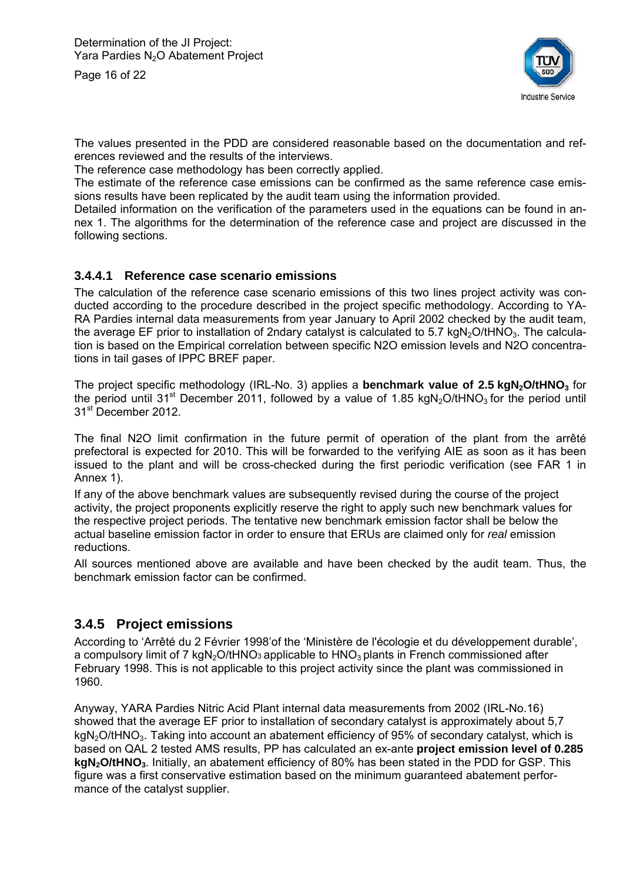Page 16 of 22



The values presented in the PDD are considered reasonable based on the documentation and references reviewed and the results of the interviews.

The reference case methodology has been correctly applied.

The estimate of the reference case emissions can be confirmed as the same reference case emissions results have been replicated by the audit team using the information provided.

Detailed information on the verification of the parameters used in the equations can be found in annex 1. The algorithms for the determination of the reference case and project are discussed in the following sections.

#### **3.4.4.1 Reference case scenario emissions**

The calculation of the reference case scenario emissions of this two lines project activity was conducted according to the procedure described in the project specific methodology. According to YA-RA Pardies internal data measurements from year January to April 2002 checked by the audit team, the average EF prior to installation of 2ndary catalyst is calculated to 5.7 kgN<sub>2</sub>O/tHNO<sub>3</sub>. The calculation is based on the Empirical correlation between specific N2O emission levels and N2O concentrations in tail gases of IPPC BREF paper.

The project specific methodology (IRL-No. 3) applies a **benchmark value of 2.5 kgN<sub>2</sub>O/tHNO**<sub>3</sub> for the period until 31<sup>st</sup> December 2011, followed by a value of 1.85 kgN<sub>2</sub>O/tHNO<sub>3</sub> for the period until 31<sup>st</sup> December 2012.

The final N2O limit confirmation in the future permit of operation of the plant from the arrêté prefectoral is expected for 2010. This will be forwarded to the verifying AIE as soon as it has been issued to the plant and will be cross-checked during the first periodic verification (see FAR 1 in Annex 1).

If any of the above benchmark values are subsequently revised during the course of the project activity, the project proponents explicitly reserve the right to apply such new benchmark values for the respective project periods. The tentative new benchmark emission factor shall be below the actual baseline emission factor in order to ensure that ERUs are claimed only for *real* emission reductions.

All sources mentioned above are available and have been checked by the audit team. Thus, the benchmark emission factor can be confirmed.

#### **3.4.5 Project emissions**

According to 'Arrêté du 2 Février 1998'of the 'Ministère de l'écologie et du développement durable', a compulsory limit of 7 kgN<sub>2</sub>O/tHNO<sub>3</sub> applicable to HNO<sub>3</sub> plants in French commissioned after February 1998. This is not applicable to this project activity since the plant was commissioned in 1960.

Anyway, YARA Pardies Nitric Acid Plant internal data measurements from 2002 (IRL-No.16) showed that the average EF prior to installation of secondary catalyst is approximately about 5,7  $kgN<sub>2</sub>O/HNO<sub>3</sub>$ . Taking into account an abatement efficiency of 95% of secondary catalyst, which is based on QAL 2 tested AMS results, PP has calculated an ex-ante **project emission level of 0.285 kgN2O/tHNO3**. Initially, an abatement efficiency of 80% has been stated in the PDD for GSP. This figure was a first conservative estimation based on the minimum guaranteed abatement performance of the catalyst supplier.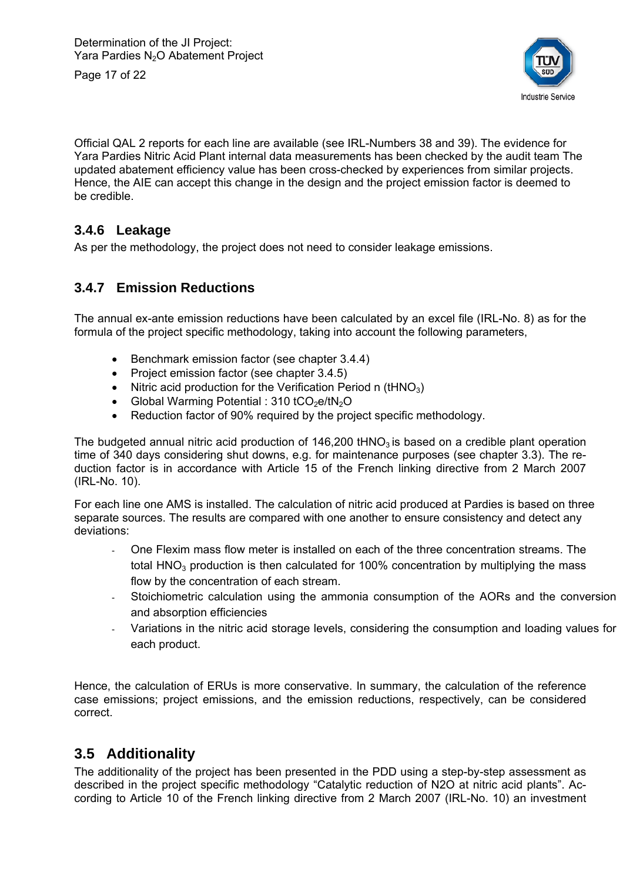Page 17 of 22



Official QAL 2 reports for each line are available (see IRL-Numbers 38 and 39). The evidence for Yara Pardies Nitric Acid Plant internal data measurements has been checked by the audit team The updated abatement efficiency value has been cross-checked by experiences from similar projects. Hence, the AIE can accept this change in the design and the project emission factor is deemed to be credible.

#### **3.4.6 Leakage**

As per the methodology, the project does not need to consider leakage emissions.

#### **3.4.7 Emission Reductions**

The annual ex-ante emission reductions have been calculated by an excel file (IRL-No. 8) as for the formula of the project specific methodology, taking into account the following parameters,

- Benchmark emission factor (see chapter 3.4.4)
- Project emission factor (see chapter 3.4.5)
- Nitric acid production for the Verification Period n  $(HNO<sub>3</sub>)$
- Global Warming Potential :  $310$  tCO<sub>2</sub>e/tN<sub>2</sub>O
- Reduction factor of 90% required by the project specific methodology.

The budgeted annual nitric acid production of  $146,200$  tHNO<sub>3</sub> is based on a credible plant operation time of 340 days considering shut downs, e.g. for maintenance purposes (see chapter 3.3). The reduction factor is in accordance with Article 15 of the French linking directive from 2 March 2007 (IRL-No. 10).

For each line one AMS is installed. The calculation of nitric acid produced at Pardies is based on three separate sources. The results are compared with one another to ensure consistency and detect any deviations:

- One Flexim mass flow meter is installed on each of the three concentration streams. The total HNO<sub>3</sub> production is then calculated for 100% concentration by multiplying the mass flow by the concentration of each stream.
- Stoichiometric calculation using the ammonia consumption of the AORs and the conversion and absorption efficiencies
- Variations in the nitric acid storage levels, considering the consumption and loading values for each product.

Hence, the calculation of ERUs is more conservative. In summary, the calculation of the reference case emissions; project emissions, and the emission reductions, respectively, can be considered correct.

#### **3.5 Additionality**

The additionality of the project has been presented in the PDD using a step-by-step assessment as described in the project specific methodology "Catalytic reduction of N2O at nitric acid plants". According to Article 10 of the French linking directive from 2 March 2007 (IRL-No. 10) an investment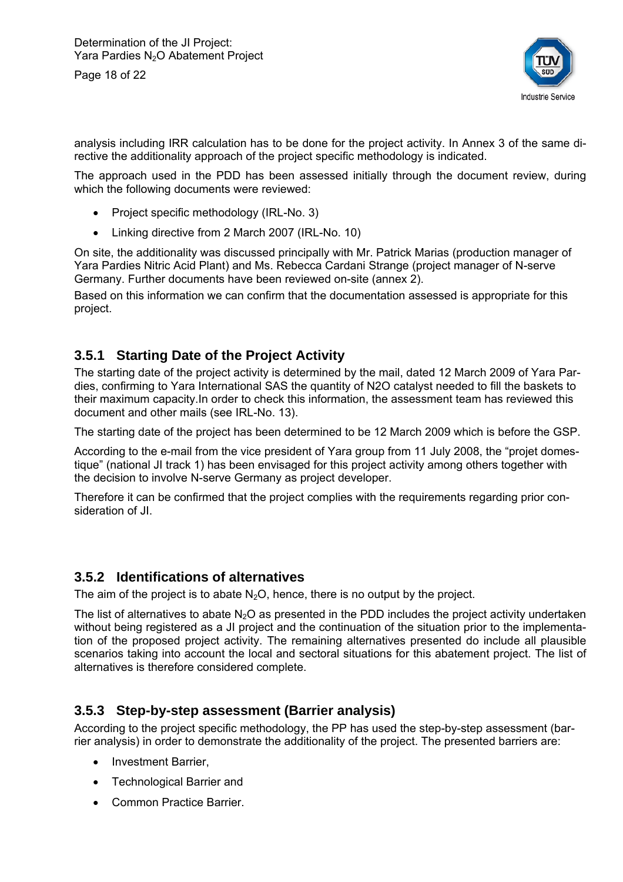Page 18 of 22



analysis including IRR calculation has to be done for the project activity. In Annex 3 of the same directive the additionality approach of the project specific methodology is indicated.

The approach used in the PDD has been assessed initially through the document review, during which the following documents were reviewed:

- Project specific methodology (IRL-No. 3)
- Linking directive from 2 March 2007 (IRL-No. 10)

On site, the additionality was discussed principally with Mr. Patrick Marias (production manager of Yara Pardies Nitric Acid Plant) and Ms. Rebecca Cardani Strange (project manager of N-serve Germany. Further documents have been reviewed on-site (annex 2).

Based on this information we can confirm that the documentation assessed is appropriate for this project.

#### **3.5.1 Starting Date of the Project Activity**

The starting date of the project activity is determined by the mail, dated 12 March 2009 of Yara Pardies, confirming to Yara International SAS the quantity of N2O catalyst needed to fill the baskets to their maximum capacity.In order to check this information, the assessment team has reviewed this document and other mails (see IRL-No. 13).

The starting date of the project has been determined to be 12 March 2009 which is before the GSP.

According to the e-mail from the vice president of Yara group from 11 July 2008, the "projet domestique" (national JI track 1) has been envisaged for this project activity among others together with the decision to involve N-serve Germany as project developer.

Therefore it can be confirmed that the project complies with the requirements regarding prior consideration of JI.

#### **3.5.2 Identifications of alternatives**

The aim of the project is to abate  $N_2O$ , hence, there is no output by the project.

The list of alternatives to abate  $N_2O$  as presented in the PDD includes the project activity undertaken without being registered as a JI project and the continuation of the situation prior to the implementation of the proposed project activity. The remaining alternatives presented do include all plausible scenarios taking into account the local and sectoral situations for this abatement project. The list of alternatives is therefore considered complete.

#### **3.5.3 Step-by-step assessment (Barrier analysis)**

According to the project specific methodology, the PP has used the step-by-step assessment (barrier analysis) in order to demonstrate the additionality of the project. The presented barriers are:

- Investment Barrier,
- Technological Barrier and
- Common Practice Barrier.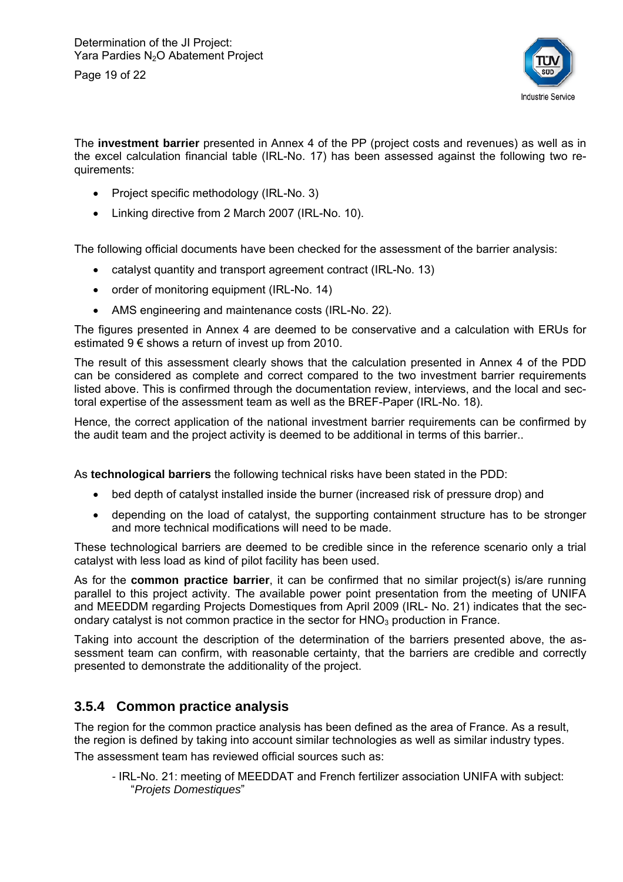

The **investment barrier** presented in Annex 4 of the PP (project costs and revenues) as well as in the excel calculation financial table (IRL-No. 17) has been assessed against the following two requirements:

- Project specific methodology (IRL-No. 3)
- Linking directive from 2 March 2007 (IRL-No. 10).

The following official documents have been checked for the assessment of the barrier analysis:

- catalyst quantity and transport agreement contract (IRL-No. 13)
- order of monitoring equipment (IRL-No. 14)
- AMS engineering and maintenance costs (IRL-No. 22).

The figures presented in Annex 4 are deemed to be conservative and a calculation with ERUs for estimated  $9 \in$  shows a return of invest up from 2010.

The result of this assessment clearly shows that the calculation presented in Annex 4 of the PDD can be considered as complete and correct compared to the two investment barrier requirements listed above. This is confirmed through the documentation review, interviews, and the local and sectoral expertise of the assessment team as well as the BREF-Paper (IRL-No. 18).

Hence, the correct application of the national investment barrier requirements can be confirmed by the audit team and the project activity is deemed to be additional in terms of this barrier..

As **technological barriers** the following technical risks have been stated in the PDD:

- bed depth of catalyst installed inside the burner (increased risk of pressure drop) and
- depending on the load of catalyst, the supporting containment structure has to be stronger and more technical modifications will need to be made.

These technological barriers are deemed to be credible since in the reference scenario only a trial catalyst with less load as kind of pilot facility has been used.

As for the **common practice barrier**, it can be confirmed that no similar project(s) is/are running parallel to this project activity. The available power point presentation from the meeting of UNIFA and MEEDDM regarding Projects Domestiques from April 2009 (IRL- No. 21) indicates that the secondary catalyst is not common practice in the sector for  $HNO<sub>3</sub>$  production in France.

Taking into account the description of the determination of the barriers presented above, the assessment team can confirm, with reasonable certainty, that the barriers are credible and correctly presented to demonstrate the additionality of the project.

#### **3.5.4 Common practice analysis**

The region for the common practice analysis has been defined as the area of France. As a result, the region is defined by taking into account similar technologies as well as similar industry types. The assessment team has reviewed official sources such as:

*-* IRL-No. 21: meeting of MEEDDAT and French fertilizer association UNIFA with subject: "*Projets Domestiques*"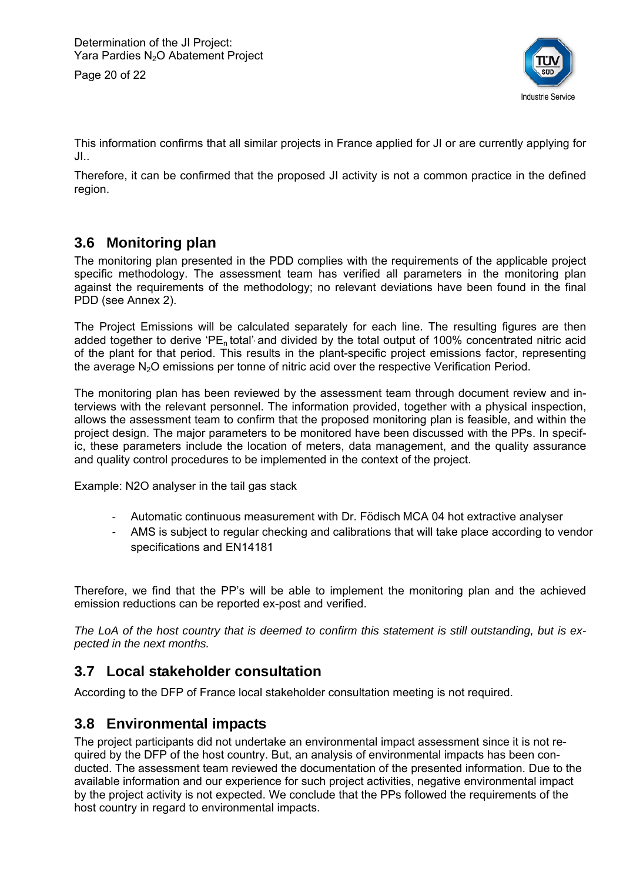Page 20 of 22



This information confirms that all similar projects in France applied for JI or are currently applying for JI..

Therefore, it can be confirmed that the proposed JI activity is not a common practice in the defined region.

#### **3.6 Monitoring plan**

The monitoring plan presented in the PDD complies with the requirements of the applicable project specific methodology. The assessment team has verified all parameters in the monitoring plan against the requirements of the methodology; no relevant deviations have been found in the final PDD (see Annex 2).

The Project Emissions will be calculated separately for each line. The resulting figures are then added together to derive 'PE, total' and divided by the total output of 100% concentrated nitric acid of the plant for that period. This results in the plant-specific project emissions factor, representing the average  $N<sub>2</sub>O$  emissions per tonne of nitric acid over the respective Verification Period.

The monitoring plan has been reviewed by the assessment team through document review and interviews with the relevant personnel. The information provided, together with a physical inspection, allows the assessment team to confirm that the proposed monitoring plan is feasible, and within the project design. The major parameters to be monitored have been discussed with the PPs. In specific, these parameters include the location of meters, data management, and the quality assurance and quality control procedures to be implemented in the context of the project.

Example: N2O analyser in the tail gas stack

- Automatic continuous measurement with Dr. Födisch MCA 04 hot extractive analyser
- AMS is subject to regular checking and calibrations that will take place according to vendor specifications and EN14181

Therefore, we find that the PP's will be able to implement the monitoring plan and the achieved emission reductions can be reported ex-post and verified.

*The LoA of the host country that is deemed to confirm this statement is still outstanding, but is expected in the next months.* 

#### **3.7 Local stakeholder consultation**

According to the DFP of France local stakeholder consultation meeting is not required.

#### **3.8 Environmental impacts**

The project participants did not undertake an environmental impact assessment since it is not required by the DFP of the host country. But, an analysis of environmental impacts has been conducted. The assessment team reviewed the documentation of the presented information. Due to the available information and our experience for such project activities, negative environmental impact by the project activity is not expected. We conclude that the PPs followed the requirements of the host country in regard to environmental impacts.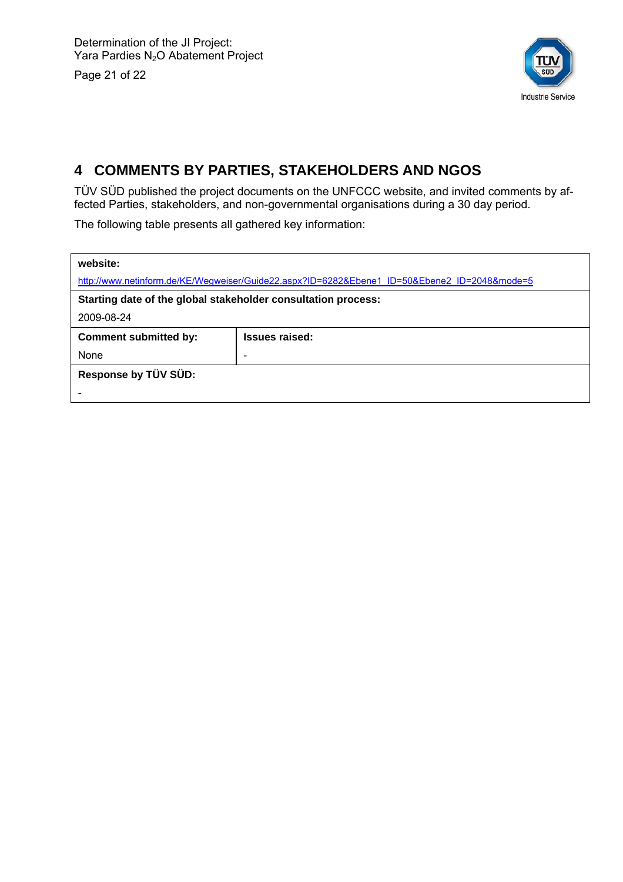Page 21 of 22



# **4 COMMENTS BY PARTIES, STAKEHOLDERS AND NGOS**

TÜV SÜD published the project documents on the UNFCCC website, and invited comments by affected Parties, stakeholders, and non-governmental organisations during a 30 day period.

The following table presents all gathered key information:

| website:                                                      |                                                                                              |  |  |  |  |  |
|---------------------------------------------------------------|----------------------------------------------------------------------------------------------|--|--|--|--|--|
|                                                               | http://www.netinform.de/KE/Wegweiser/Guide22.aspx?ID=6282&Ebene1_ID=50&Ebene2_ID=2048&mode=5 |  |  |  |  |  |
| Starting date of the global stakeholder consultation process: |                                                                                              |  |  |  |  |  |
| 2009-08-24                                                    |                                                                                              |  |  |  |  |  |
| <b>Comment submitted by:</b>                                  | <b>Issues raised:</b>                                                                        |  |  |  |  |  |
| None                                                          | -                                                                                            |  |  |  |  |  |
| Response by TÜV SÜD:                                          |                                                                                              |  |  |  |  |  |
|                                                               |                                                                                              |  |  |  |  |  |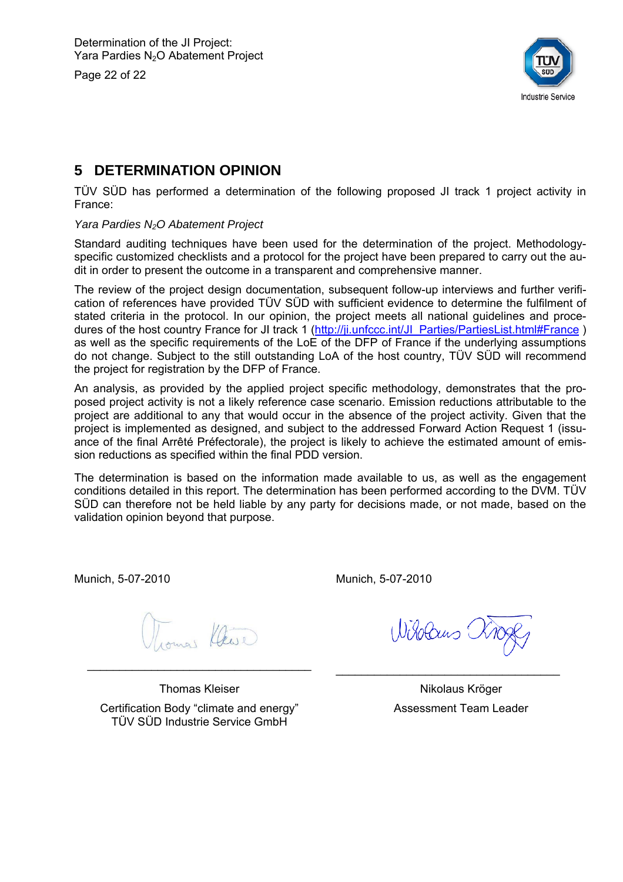Page 22 of 22



# **5 DETERMINATION OPINION**

TÜV SÜD has performed a determination of the following proposed JI track 1 project activity in France:

#### *Yara Pardies N2O Abatement Project*

Standard auditing techniques have been used for the determination of the project. Methodologyspecific customized checklists and a protocol for the project have been prepared to carry out the audit in order to present the outcome in a transparent and comprehensive manner.

The review of the project design documentation, subsequent follow-up interviews and further verification of references have provided TÜV SÜD with sufficient evidence to determine the fulfilment of stated criteria in the protocol. In our opinion, the project meets all national guidelines and procedures of the host country France for JI track 1 (http://ji.unfccc.int/JI\_Parties/PartiesList.html#France ) as well as the specific requirements of the LoE of the DFP of France if the underlying assumptions do not change. Subject to the still outstanding LoA of the host country, TÜV SÜD will recommend the project for registration by the DFP of France.

An analysis, as provided by the applied project specific methodology, demonstrates that the proposed project activity is not a likely reference case scenario. Emission reductions attributable to the project are additional to any that would occur in the absence of the project activity. Given that the project is implemented as designed, and subject to the addressed Forward Action Request 1 (issuance of the final Arrêté Préfectorale), the project is likely to achieve the estimated amount of emission reductions as specified within the final PDD version.

The determination is based on the information made available to us, as well as the engagement conditions detailed in this report. The determination has been performed according to the DVM. TÜV SÜD can therefore not be held liable by any party for decisions made, or not made, based on the validation opinion beyond that purpose.

Munich, 5-07-2010

Munich, 5-07-2010

\_\_\_\_\_\_\_\_\_\_\_\_\_\_\_\_\_\_\_\_\_\_\_\_\_\_\_\_\_\_\_\_\_\_\_

Wisolaus C

\_\_\_\_\_\_\_\_\_\_\_\_\_\_\_\_\_\_\_\_\_\_\_\_\_\_\_\_\_\_\_\_\_\_\_

Thomas Kleiser Certification Body "climate and energy" TÜV SÜD Industrie Service GmbH

Nikolaus Kröger Assessment Team Leader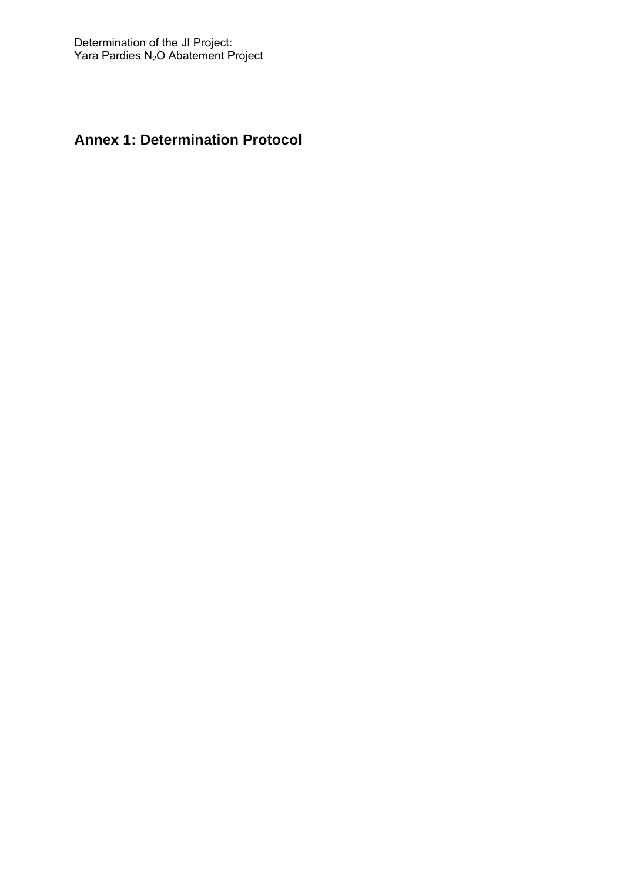# **Annex 1: Determination Protocol**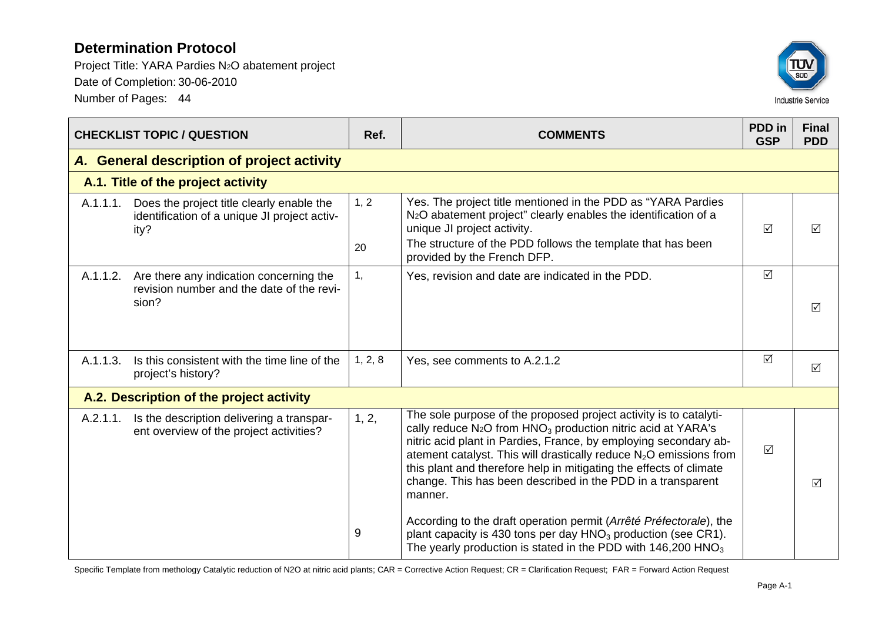Project Title: YARA Pardies N2O abatement project Date of Completion: 30-06-2010 Number of Pages: 44



|                                            | <b>CHECKLIST TOPIC / QUESTION</b>                                                                 | Ref.    | <b>COMMENTS</b>                                                                                                                                                                                                                                                                                                                                                                                                                                       | PDD in<br><b>GSP</b> | <b>Final</b><br><b>PDD</b> |
|--------------------------------------------|---------------------------------------------------------------------------------------------------|---------|-------------------------------------------------------------------------------------------------------------------------------------------------------------------------------------------------------------------------------------------------------------------------------------------------------------------------------------------------------------------------------------------------------------------------------------------------------|----------------------|----------------------------|
| A. General description of project activity |                                                                                                   |         |                                                                                                                                                                                                                                                                                                                                                                                                                                                       |                      |                            |
| A.1. Title of the project activity         |                                                                                                   |         |                                                                                                                                                                                                                                                                                                                                                                                                                                                       |                      |                            |
| A.1.1.1.                                   | Does the project title clearly enable the<br>identification of a unique JI project activ-<br>ity? | 1, 2    | Yes. The project title mentioned in the PDD as "YARA Pardies<br>N <sub>2</sub> O abatement project" clearly enables the identification of a<br>unique JI project activity.                                                                                                                                                                                                                                                                            | $\sqrt{ }$           | ☑                          |
|                                            |                                                                                                   | 20      | The structure of the PDD follows the template that has been<br>provided by the French DFP.                                                                                                                                                                                                                                                                                                                                                            |                      |                            |
| A.1.1.2.                                   | Are there any indication concerning the<br>revision number and the date of the revi-              | 1,      | Yes, revision and date are indicated in the PDD.                                                                                                                                                                                                                                                                                                                                                                                                      | $\Delta$             |                            |
|                                            | sion?                                                                                             |         |                                                                                                                                                                                                                                                                                                                                                                                                                                                       |                      | $\triangledown$            |
| A.1.1.3.                                   | Is this consistent with the time line of the<br>project's history?                                | 1, 2, 8 | Yes, see comments to A.2.1.2                                                                                                                                                                                                                                                                                                                                                                                                                          | $\sqrt{ }$           | $\triangledown$            |
|                                            | A.2. Description of the project activity                                                          |         |                                                                                                                                                                                                                                                                                                                                                                                                                                                       |                      |                            |
| A.2.1.1.                                   | Is the description delivering a transpar-<br>ent overview of the project activities?              | 1, 2,   | The sole purpose of the proposed project activity is to catalyti-<br>cally reduce N <sub>2</sub> O from HNO <sub>3</sub> production nitric acid at YARA's<br>nitric acid plant in Pardies, France, by employing secondary ab-<br>atement catalyst. This will drastically reduce $N_2O$ emissions from<br>this plant and therefore help in mitigating the effects of climate<br>change. This has been described in the PDD in a transparent<br>manner. | $\Delta$             | $\triangledown$            |
|                                            |                                                                                                   | 9       | According to the draft operation permit (Arrêté Préfectorale), the<br>plant capacity is 430 tons per day HNO <sub>3</sub> production (see CR1).<br>The yearly production is stated in the PDD with $146,200$ HNO <sub>3</sub>                                                                                                                                                                                                                         |                      |                            |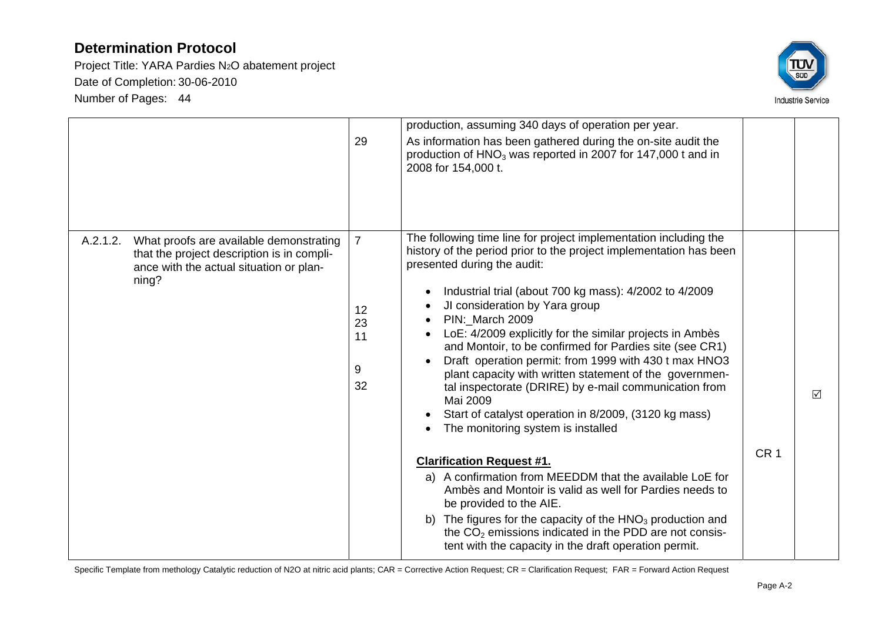Project Title: YARA Pardies N2O abatement project Date of Completion: 30-06-2010 Number of Pages: 44



|                                                                                                                                                       | 29                                          | production, assuming 340 days of operation per year.<br>As information has been gathered during the on-site audit the<br>production of $HNO3$ was reported in 2007 for 147,000 t and in<br>2008 for 154,000 t.                                                                                                                                                                                                                                                                                                                                                                                                                                                                                      |                 |                 |
|-------------------------------------------------------------------------------------------------------------------------------------------------------|---------------------------------------------|-----------------------------------------------------------------------------------------------------------------------------------------------------------------------------------------------------------------------------------------------------------------------------------------------------------------------------------------------------------------------------------------------------------------------------------------------------------------------------------------------------------------------------------------------------------------------------------------------------------------------------------------------------------------------------------------------------|-----------------|-----------------|
| What proofs are available demonstrating<br>A.2.1.2.<br>that the project description is in compli-<br>ance with the actual situation or plan-<br>ning? | $\overline{7}$<br>12<br>23<br>11<br>9<br>32 | The following time line for project implementation including the<br>history of the period prior to the project implementation has been<br>presented during the audit:<br>Industrial trial (about 700 kg mass): 4/2002 to 4/2009<br>JI consideration by Yara group<br>PIN:_March 2009<br>LoE: 4/2009 explicitly for the similar projects in Ambès<br>and Montoir, to be confirmed for Pardies site (see CR1)<br>Draft operation permit: from 1999 with 430 t max HNO3<br>plant capacity with written statement of the governmen-<br>tal inspectorate (DRIRE) by e-mail communication from<br>Mai 2009<br>Start of catalyst operation in 8/2009, (3120 kg mass)<br>The monitoring system is installed | CR <sub>1</sub> | $\triangledown$ |
|                                                                                                                                                       |                                             | <b>Clarification Request #1.</b><br>a) A confirmation from MEEDDM that the available LoE for<br>Ambès and Montoir is valid as well for Pardies needs to<br>be provided to the AIE.<br>b) The figures for the capacity of the $HNO3$ production and<br>the CO <sub>2</sub> emissions indicated in the PDD are not consis-<br>tent with the capacity in the draft operation permit.                                                                                                                                                                                                                                                                                                                   |                 |                 |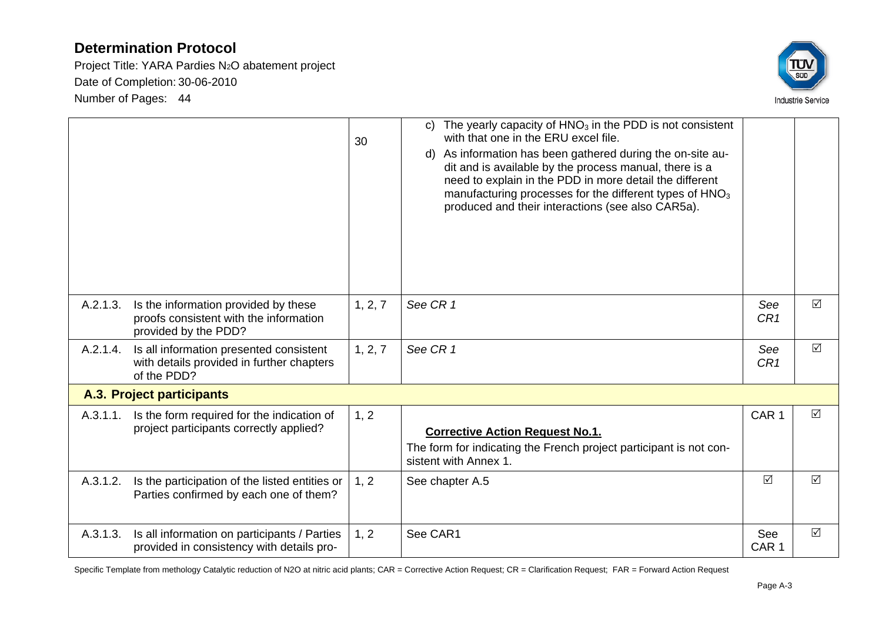Project Title: YARA Pardies N2O abatement project Date of Completion: 30-06-2010 Number of Pages: 44



|          |                                                                                                        | 30      | c) The yearly capacity of $HNO3$ in the PDD is not consistent<br>with that one in the ERU excel file.<br>d) As information has been gathered during the on-site au-<br>dit and is available by the process manual, there is a<br>need to explain in the PDD in more detail the different<br>manufacturing processes for the different types of $HNO3$<br>produced and their interactions (see also CAR5a). |                         |                 |
|----------|--------------------------------------------------------------------------------------------------------|---------|------------------------------------------------------------------------------------------------------------------------------------------------------------------------------------------------------------------------------------------------------------------------------------------------------------------------------------------------------------------------------------------------------------|-------------------------|-----------------|
| A.2.1.3. | Is the information provided by these<br>proofs consistent with the information<br>provided by the PDD? | 1, 2, 7 | See CR 1                                                                                                                                                                                                                                                                                                                                                                                                   | See<br>CR <sub>1</sub>  | ☑               |
| A.2.1.4. | Is all information presented consistent<br>with details provided in further chapters<br>of the PDD?    | 1, 2, 7 | See CR 1                                                                                                                                                                                                                                                                                                                                                                                                   | See<br>CR <sub>1</sub>  | $\triangledown$ |
|          | A.3. Project participants                                                                              |         |                                                                                                                                                                                                                                                                                                                                                                                                            |                         |                 |
| A.3.1.1. | Is the form required for the indication of<br>project participants correctly applied?                  | 1, 2    | <b>Corrective Action Request No.1.</b><br>The form for indicating the French project participant is not con-<br>sistent with Annex 1.                                                                                                                                                                                                                                                                      | CAR <sub>1</sub>        | $\triangledown$ |
| A.3.1.2. | Is the participation of the listed entities or<br>Parties confirmed by each one of them?               | 1, 2    | See chapter A.5                                                                                                                                                                                                                                                                                                                                                                                            | $\sqrt{ }$              | $\Delta$        |
| A.3.1.3. | Is all information on participants / Parties<br>provided in consistency with details pro-              | 1, 2    | See CAR1                                                                                                                                                                                                                                                                                                                                                                                                   | See<br>CAR <sub>1</sub> | $\triangledown$ |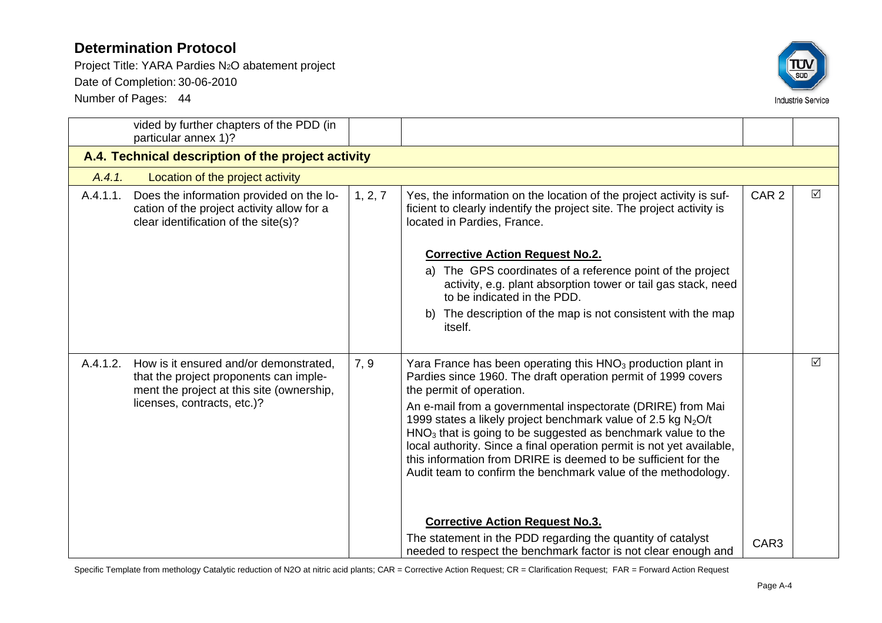Project Title: YARA Pardies N2O abatement project

Date of Completion: 30-06-2010

Number of Pages: 44



|          | vided by further chapters of the PDD (in<br>particular annex 1)?                                                                                             |         |                                                                                                                                                                                                                                                                                                                                                                                                                                                                                                                                                                                                                                 |                  |   |
|----------|--------------------------------------------------------------------------------------------------------------------------------------------------------------|---------|---------------------------------------------------------------------------------------------------------------------------------------------------------------------------------------------------------------------------------------------------------------------------------------------------------------------------------------------------------------------------------------------------------------------------------------------------------------------------------------------------------------------------------------------------------------------------------------------------------------------------------|------------------|---|
|          | A.4. Technical description of the project activity                                                                                                           |         |                                                                                                                                                                                                                                                                                                                                                                                                                                                                                                                                                                                                                                 |                  |   |
| A.4.1.   | Location of the project activity                                                                                                                             |         |                                                                                                                                                                                                                                                                                                                                                                                                                                                                                                                                                                                                                                 |                  |   |
| A.4.1.1. | Does the information provided on the lo-<br>cation of the project activity allow for a<br>clear identification of the site(s)?                               | 1, 2, 7 | Yes, the information on the location of the project activity is suf-<br>ficient to clearly indentify the project site. The project activity is<br>located in Pardies, France.                                                                                                                                                                                                                                                                                                                                                                                                                                                   | CAR <sub>2</sub> | ☑ |
|          |                                                                                                                                                              |         | <b>Corrective Action Request No.2.</b><br>a) The GPS coordinates of a reference point of the project<br>activity, e.g. plant absorption tower or tail gas stack, need<br>to be indicated in the PDD.<br>b) The description of the map is not consistent with the map<br><i>itself.</i>                                                                                                                                                                                                                                                                                                                                          |                  |   |
| A.4.1.2. | How is it ensured and/or demonstrated.<br>that the project proponents can imple-<br>ment the project at this site (ownership,<br>licenses, contracts, etc.)? | 7, 9    | Yara France has been operating this $HNO3$ production plant in<br>Pardies since 1960. The draft operation permit of 1999 covers<br>the permit of operation.<br>An e-mail from a governmental inspectorate (DRIRE) from Mai<br>1999 states a likely project benchmark value of 2.5 kg $N_2O/t$<br>HNO <sub>3</sub> that is going to be suggested as benchmark value to the<br>local authority. Since a final operation permit is not yet available,<br>this information from DRIRE is deemed to be sufficient for the<br>Audit team to confirm the benchmark value of the methodology.<br><b>Corrective Action Request No.3.</b> |                  | ☑ |
|          |                                                                                                                                                              |         | The statement in the PDD regarding the quantity of catalyst<br>needed to respect the benchmark factor is not clear enough and                                                                                                                                                                                                                                                                                                                                                                                                                                                                                                   | CAR3             |   |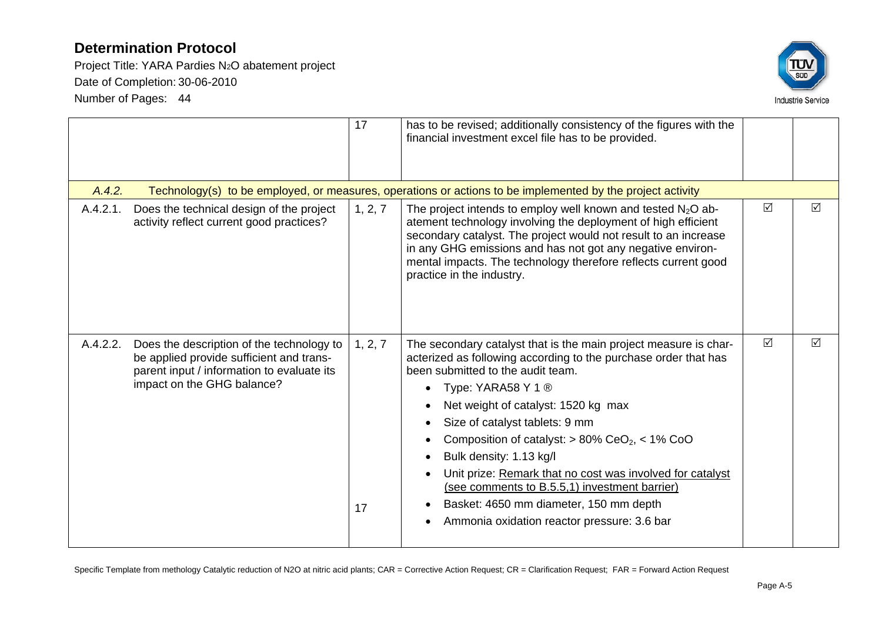Project Title: YARA Pardies N2O abatement project Date of Completion: 30-06-2010 Number of Pages: 44



|          |                                                                                                                                                                   | 17            | has to be revised; additionally consistency of the figures with the<br>financial investment excel file has to be provided.                                                                                                                                                                                                                                                                                                                                                                                                                                                 |          |                 |
|----------|-------------------------------------------------------------------------------------------------------------------------------------------------------------------|---------------|----------------------------------------------------------------------------------------------------------------------------------------------------------------------------------------------------------------------------------------------------------------------------------------------------------------------------------------------------------------------------------------------------------------------------------------------------------------------------------------------------------------------------------------------------------------------------|----------|-----------------|
| A.4.2.   |                                                                                                                                                                   |               | Technology(s) to be employed, or measures, operations or actions to be implemented by the project activity                                                                                                                                                                                                                                                                                                                                                                                                                                                                 |          |                 |
| A.4.2.1. | Does the technical design of the project<br>activity reflect current good practices?                                                                              | 1, 2, 7       | The project intends to employ well known and tested $N_2O$ ab-<br>atement technology involving the deployment of high efficient<br>secondary catalyst. The project would not result to an increase<br>in any GHG emissions and has not got any negative environ-<br>mental impacts. The technology therefore reflects current good<br>practice in the industry.                                                                                                                                                                                                            | ☑        | ☑               |
| A.4.2.2. | Does the description of the technology to<br>be applied provide sufficient and trans-<br>parent input / information to evaluate its<br>impact on the GHG balance? | 1, 2, 7<br>17 | The secondary catalyst that is the main project measure is char-<br>acterized as following according to the purchase order that has<br>been submitted to the audit team.<br>Type: YARA58 Y 1 ®<br>Net weight of catalyst: 1520 kg max<br>Size of catalyst tablets: 9 mm<br>Composition of catalyst: $> 80\%$ CeO <sub>2</sub> , < 1% CoO<br>Bulk density: 1.13 kg/l<br>Unit prize: Remark that no cost was involved for catalyst<br>(see comments to B.5.5,1) investment barrier)<br>Basket: 4650 mm diameter, 150 mm depth<br>Ammonia oxidation reactor pressure: 3.6 bar | $\Delta$ | $\triangledown$ |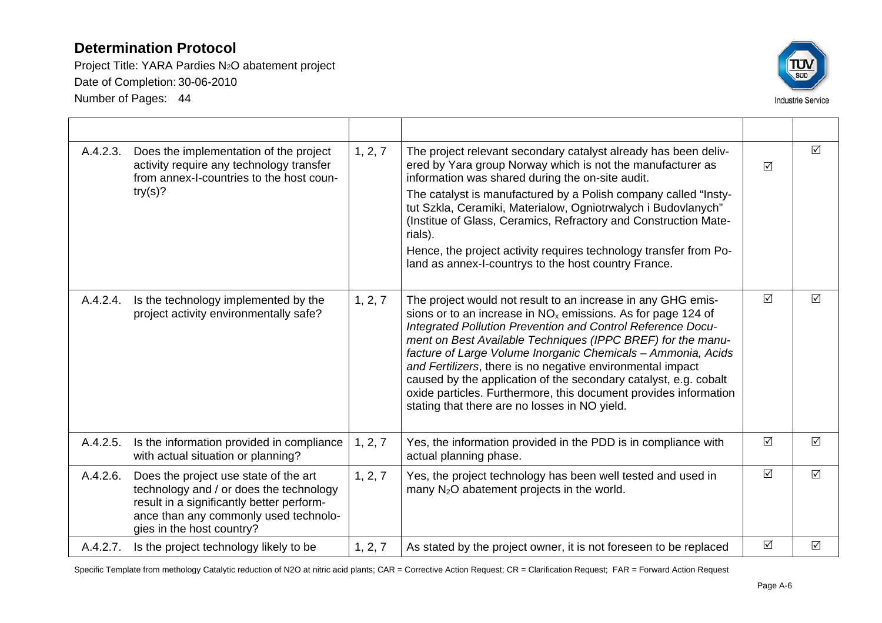Project Title: YARA Pardies N2O abatement project Date of Completion: 30-06-2010 Number of Pages: 44



| A.4.2.3. | Does the implementation of the project<br>activity require any technology transfer<br>from annex-I-countries to the host coun-<br>try(s)?                                                           | 1, 2, 7 | The project relevant secondary catalyst already has been deliv-<br>ered by Yara group Norway which is not the manufacturer as<br>information was shared during the on-site audit.<br>The catalyst is manufactured by a Polish company called "Insty-<br>tut Szkla, Ceramiki, Materialow, Ogniotrwalych i Budovlanych"<br>(Institue of Glass, Ceramics, Refractory and Construction Mate-<br>rials).<br>Hence, the project activity requires technology transfer from Po-<br>land as annex-I-countrys to the host country France.<br>The project would not result to an increase in any GHG emis-<br>sions or to an increase in $NOx$ emissions. As for page 124 of<br>Integrated Pollution Prevention and Control Reference Docu-<br>ment on Best Available Techniques (IPPC BREF) for the manu-<br>facture of Large Volume Inorganic Chemicals - Ammonia, Acids<br>and Fertilizers, there is no negative environmental impact<br>caused by the application of the secondary catalyst, e.g. cobalt<br>oxide particles. Furthermore, this document provides information<br>stating that there are no losses in NO yield. |          | ☑               |
|----------|-----------------------------------------------------------------------------------------------------------------------------------------------------------------------------------------------------|---------|-------------------------------------------------------------------------------------------------------------------------------------------------------------------------------------------------------------------------------------------------------------------------------------------------------------------------------------------------------------------------------------------------------------------------------------------------------------------------------------------------------------------------------------------------------------------------------------------------------------------------------------------------------------------------------------------------------------------------------------------------------------------------------------------------------------------------------------------------------------------------------------------------------------------------------------------------------------------------------------------------------------------------------------------------------------------------------------------------------------------------|----------|-----------------|
| A.4.2.4. | Is the technology implemented by the<br>project activity environmentally safe?                                                                                                                      | 1, 2, 7 |                                                                                                                                                                                                                                                                                                                                                                                                                                                                                                                                                                                                                                                                                                                                                                                                                                                                                                                                                                                                                                                                                                                         | $\Delta$ | $\triangledown$ |
| A.4.2.5. | Is the information provided in compliance<br>with actual situation or planning?                                                                                                                     | 1, 2, 7 | Yes, the information provided in the PDD is in compliance with<br>actual planning phase.                                                                                                                                                                                                                                                                                                                                                                                                                                                                                                                                                                                                                                                                                                                                                                                                                                                                                                                                                                                                                                | ☑        | $\triangledown$ |
| A.4.2.6. | Does the project use state of the art<br>technology and / or does the technology<br>result in a significantly better perform-<br>ance than any commonly used technolo-<br>gies in the host country? | 1, 2, 7 | Yes, the project technology has been well tested and used in<br>many $N_2O$ abatement projects in the world.                                                                                                                                                                                                                                                                                                                                                                                                                                                                                                                                                                                                                                                                                                                                                                                                                                                                                                                                                                                                            | $\Delta$ | $\triangledown$ |
| A.4.2.7. | Is the project technology likely to be                                                                                                                                                              | 1, 2, 7 | As stated by the project owner, it is not foreseen to be replaced                                                                                                                                                                                                                                                                                                                                                                                                                                                                                                                                                                                                                                                                                                                                                                                                                                                                                                                                                                                                                                                       | $\Delta$ | ☑               |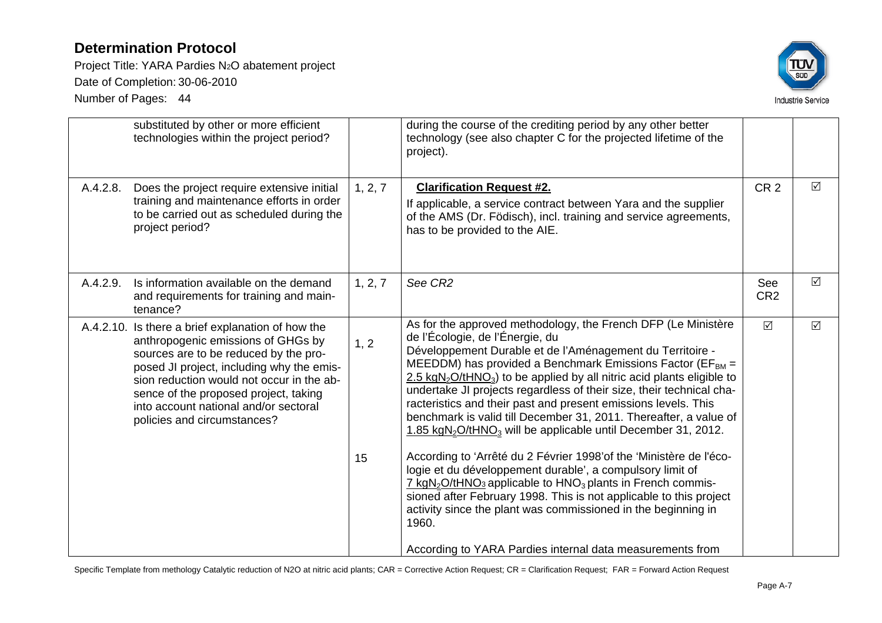Project Title: YARA Pardies N2O abatement project Date of Completion: 30-06-2010 Number of Pages: 44



|          | substituted by other or more efficient<br>technologies within the project period?                                                                                                                                                                                                                                                           |            | during the course of the crediting period by any other better<br>technology (see also chapter C for the projected lifetime of the<br>project).                                                                                                                                                                                                                                                                                                                                                                                                                                                                                                                                                                                                                                                                                                                                                                                                                                                                                            |                        |          |
|----------|---------------------------------------------------------------------------------------------------------------------------------------------------------------------------------------------------------------------------------------------------------------------------------------------------------------------------------------------|------------|-------------------------------------------------------------------------------------------------------------------------------------------------------------------------------------------------------------------------------------------------------------------------------------------------------------------------------------------------------------------------------------------------------------------------------------------------------------------------------------------------------------------------------------------------------------------------------------------------------------------------------------------------------------------------------------------------------------------------------------------------------------------------------------------------------------------------------------------------------------------------------------------------------------------------------------------------------------------------------------------------------------------------------------------|------------------------|----------|
| A.4.2.8. | Does the project require extensive initial<br>training and maintenance efforts in order<br>to be carried out as scheduled during the<br>project period?                                                                                                                                                                                     | 1, 2, 7    | <b>Clarification Request #2.</b><br>If applicable, a service contract between Yara and the supplier<br>of the AMS (Dr. Födisch), incl. training and service agreements,<br>has to be provided to the AIE.                                                                                                                                                                                                                                                                                                                                                                                                                                                                                                                                                                                                                                                                                                                                                                                                                                 | CR <sub>2</sub>        | $\Delta$ |
| A.4.2.9. | Is information available on the demand<br>and requirements for training and main-<br>tenance?                                                                                                                                                                                                                                               | 1, 2, 7    | See CR2                                                                                                                                                                                                                                                                                                                                                                                                                                                                                                                                                                                                                                                                                                                                                                                                                                                                                                                                                                                                                                   | See<br>CR <sub>2</sub> | $\Delta$ |
|          | A.4.2.10. Is there a brief explanation of how the<br>anthropogenic emissions of GHGs by<br>sources are to be reduced by the pro-<br>posed JI project, including why the emis-<br>sion reduction would not occur in the ab-<br>sence of the proposed project, taking<br>into account national and/or sectoral<br>policies and circumstances? | 1, 2<br>15 | As for the approved methodology, the French DFP (Le Ministère<br>de l'Écologie, de l'Énergie, du<br>Développement Durable et de l'Aménagement du Territoire -<br>MEEDDM) has provided a Benchmark Emissions Factor ( $EF_{BM}$ =<br>2.5 kgN <sub>2</sub> O/tHNO <sub>3</sub> ) to be applied by all nitric acid plants eligible to<br>undertake JI projects regardless of their size, their technical cha-<br>racteristics and their past and present emissions levels. This<br>benchmark is valid till December 31, 2011. Thereafter, a value of<br>1.85 kgN <sub>2</sub> O/tHNO <sub>3</sub> will be applicable until December 31, 2012.<br>According to 'Arrêté du 2 Février 1998' of the 'Ministère de l'éco-<br>logie et du développement durable', a compulsory limit of<br>$\frac{7 \text{ kgN}_2\text{O}}{1 \text{ HNO}_3}$ applicable to $\text{HNO}_3$ plants in French commis-<br>sioned after February 1998. This is not applicable to this project<br>activity since the plant was commissioned in the beginning in<br>1960. | $\triangledown$        | $\Delta$ |
|          |                                                                                                                                                                                                                                                                                                                                             |            | According to YARA Pardies internal data measurements from                                                                                                                                                                                                                                                                                                                                                                                                                                                                                                                                                                                                                                                                                                                                                                                                                                                                                                                                                                                 |                        |          |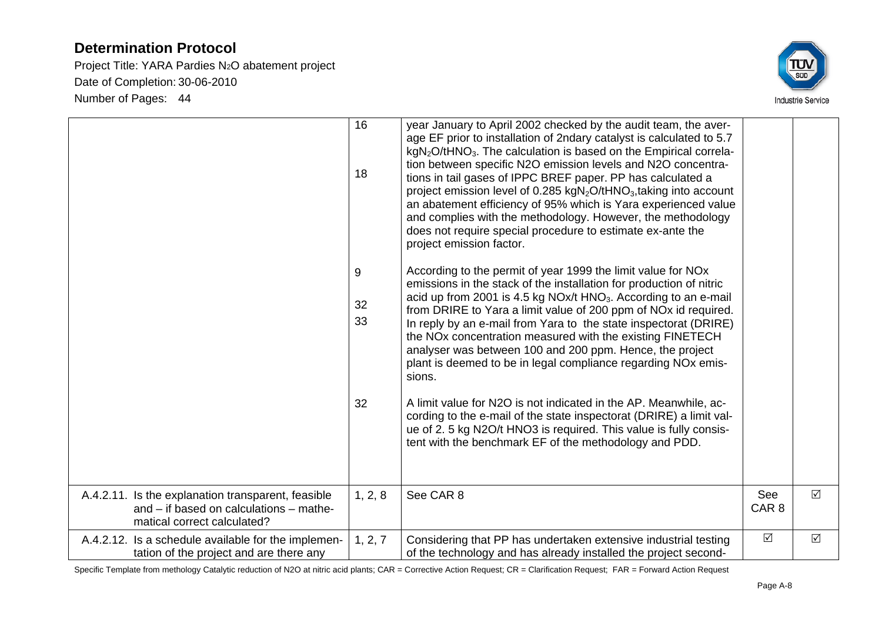Project Title: YARA Pardies N2O abatement project Date of Completion: 30-06-2010 Number of Pages: 44



|                                                                                                                              | 16<br>18      | year January to April 2002 checked by the audit team, the aver-<br>age EF prior to installation of 2ndary catalyst is calculated to 5.7<br>$kgN2O/tHNO3$ . The calculation is based on the Empirical correla-<br>tion between specific N2O emission levels and N2O concentra-<br>tions in tail gases of IPPC BREF paper. PP has calculated a<br>project emission level of 0.285 kgN <sub>2</sub> O/tHNO <sub>3</sub> , taking into account<br>an abatement efficiency of 95% which is Yara experienced value<br>and complies with the methodology. However, the methodology<br>does not require special procedure to estimate ex-ante the<br>project emission factor. |                         |            |
|------------------------------------------------------------------------------------------------------------------------------|---------------|-----------------------------------------------------------------------------------------------------------------------------------------------------------------------------------------------------------------------------------------------------------------------------------------------------------------------------------------------------------------------------------------------------------------------------------------------------------------------------------------------------------------------------------------------------------------------------------------------------------------------------------------------------------------------|-------------------------|------------|
|                                                                                                                              | 9<br>32<br>33 | According to the permit of year 1999 the limit value for NO <sub>x</sub><br>emissions in the stack of the installation for production of nitric<br>acid up from 2001 is 4.5 kg NOx/t $HNO3$ . According to an e-mail<br>from DRIRE to Yara a limit value of 200 ppm of NO <sub>x</sub> id required.<br>In reply by an e-mail from Yara to the state inspectorat (DRIRE)<br>the NOx concentration measured with the existing FINETECH<br>analyser was between 100 and 200 ppm. Hence, the project<br>plant is deemed to be in legal compliance regarding NO <sub>x</sub> emis-<br>sions.                                                                               |                         |            |
|                                                                                                                              | 32            | A limit value for N2O is not indicated in the AP. Meanwhile, ac-<br>cording to the e-mail of the state inspectorat (DRIRE) a limit val-<br>ue of 2. 5 kg N2O/t HNO3 is required. This value is fully consis-<br>tent with the benchmark EF of the methodology and PDD.                                                                                                                                                                                                                                                                                                                                                                                                |                         |            |
| A.4.2.11. Is the explanation transparent, feasible<br>and – if based on calculations – mathe-<br>matical correct calculated? | 1, 2, 8       | See CAR 8                                                                                                                                                                                                                                                                                                                                                                                                                                                                                                                                                                                                                                                             | See<br>CAR <sub>8</sub> | $\Delta$   |
| A.4.2.12. Is a schedule available for the implemen-<br>tation of the project and are there any                               | 1, 2, 7       | Considering that PP has undertaken extensive industrial testing<br>of the technology and has already installed the project second-                                                                                                                                                                                                                                                                                                                                                                                                                                                                                                                                    | $\Delta$                | $\sqrt{ }$ |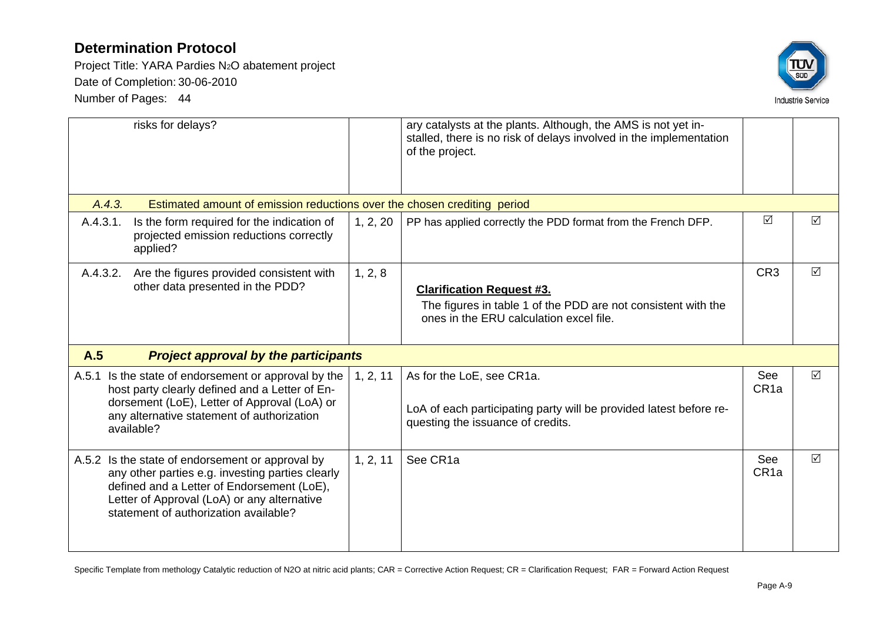Project Title: YARA Pardies N2O abatement project Date of Completion: 30-06-2010 Number of Pages: 44



|                                                                                                                                                                                                                                            | risks for delays?                                                                                                                                                                                                  |          | ary catalysts at the plants. Although, the AMS is not yet in-<br>stalled, there is no risk of delays involved in the implementation<br>of the project. |                         |                 |
|--------------------------------------------------------------------------------------------------------------------------------------------------------------------------------------------------------------------------------------------|--------------------------------------------------------------------------------------------------------------------------------------------------------------------------------------------------------------------|----------|--------------------------------------------------------------------------------------------------------------------------------------------------------|-------------------------|-----------------|
| A.4.3.                                                                                                                                                                                                                                     | Estimated amount of emission reductions over the chosen crediting period                                                                                                                                           |          |                                                                                                                                                        |                         |                 |
| A.4.3.1.                                                                                                                                                                                                                                   | Is the form required for the indication of<br>projected emission reductions correctly<br>applied?                                                                                                                  | 1, 2, 20 | PP has applied correctly the PDD format from the French DFP.                                                                                           | $\triangledown$         | ☑               |
| A.4.3.2.                                                                                                                                                                                                                                   | Are the figures provided consistent with<br>other data presented in the PDD?                                                                                                                                       | 1, 2, 8  | <b>Clarification Request #3.</b><br>The figures in table 1 of the PDD are not consistent with the<br>ones in the ERU calculation excel file.           | CR <sub>3</sub>         | ☑               |
| A.5                                                                                                                                                                                                                                        | <b>Project approval by the participants</b>                                                                                                                                                                        |          |                                                                                                                                                        |                         |                 |
|                                                                                                                                                                                                                                            | A.5.1 Is the state of endorsement or approval by the<br>host party clearly defined and a Letter of En-<br>dorsement (LoE), Letter of Approval (LoA) or<br>any alternative statement of authorization<br>available? | 1, 2, 11 | As for the LoE, see CR1a.<br>LoA of each participating party will be provided latest before re-<br>questing the issuance of credits.                   | See<br>CR <sub>1a</sub> | $\triangledown$ |
| A.5.2 Is the state of endorsement or approval by<br>any other parties e.g. investing parties clearly<br>defined and a Letter of Endorsement (LoE),<br>Letter of Approval (LoA) or any alternative<br>statement of authorization available? |                                                                                                                                                                                                                    | 1, 2, 11 | See CR1a                                                                                                                                               | See<br>CR <sub>1a</sub> | $\triangledown$ |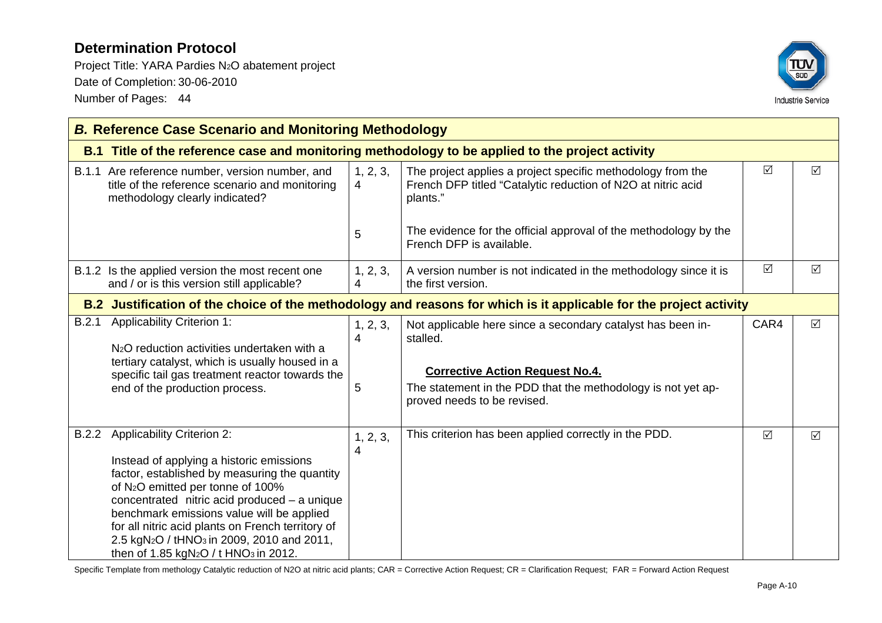Project Title: YARA Pardies N2O abatement project Date of Completion: 30-06-2010 Number of Pages: 44



|       | <b>B. Reference Case Scenario and Monitoring Methodology</b>                                                                                                                                                                                                                                                                                                                                                                                                             |                    |                                                                                                                                                                                                                  |          |                 |
|-------|--------------------------------------------------------------------------------------------------------------------------------------------------------------------------------------------------------------------------------------------------------------------------------------------------------------------------------------------------------------------------------------------------------------------------------------------------------------------------|--------------------|------------------------------------------------------------------------------------------------------------------------------------------------------------------------------------------------------------------|----------|-----------------|
|       |                                                                                                                                                                                                                                                                                                                                                                                                                                                                          |                    | B.1 Title of the reference case and monitoring methodology to be applied to the project activity                                                                                                                 |          |                 |
|       | B.1.1 Are reference number, version number, and<br>title of the reference scenario and monitoring<br>methodology clearly indicated?                                                                                                                                                                                                                                                                                                                                      | 1, 2, 3,<br>4      | The project applies a project specific methodology from the<br>French DFP titled "Catalytic reduction of N2O at nitric acid<br>plants."                                                                          | $\Delta$ | $\Delta$        |
|       |                                                                                                                                                                                                                                                                                                                                                                                                                                                                          | 5                  | The evidence for the official approval of the methodology by the<br>French DFP is available.                                                                                                                     |          |                 |
|       | B.1.2 Is the applied version the most recent one<br>and / or is this version still applicable?                                                                                                                                                                                                                                                                                                                                                                           | 1, 2, 3,<br>4      | A version number is not indicated in the methodology since it is<br>the first version.                                                                                                                           | $\Delta$ | $\triangledown$ |
|       | B.2 Justification of the choice of the methodology and reasons for which is it applicable for the project activity                                                                                                                                                                                                                                                                                                                                                       |                    |                                                                                                                                                                                                                  |          |                 |
| B.2.1 | <b>Applicability Criterion 1:</b><br>N <sub>2</sub> O reduction activities undertaken with a<br>tertiary catalyst, which is usually housed in a<br>specific tail gas treatment reactor towards the<br>end of the production process.                                                                                                                                                                                                                                     | 1, 2, 3,<br>4<br>5 | Not applicable here since a secondary catalyst has been in-<br>stalled.<br><b>Corrective Action Request No.4.</b><br>The statement in the PDD that the methodology is not yet ap-<br>proved needs to be revised. | CAR4     | $\triangledown$ |
| B.2.2 | <b>Applicability Criterion 2:</b><br>Instead of applying a historic emissions<br>factor, established by measuring the quantity<br>of N <sub>2</sub> O emitted per tonne of 100%<br>concentrated nitric acid produced - a unique<br>benchmark emissions value will be applied<br>for all nitric acid plants on French territory of<br>2.5 kgN <sub>2</sub> O / tHNO <sub>3</sub> in 2009, 2010 and 2011,<br>then of 1.85 kgN <sub>2</sub> O / t HNO <sub>3</sub> in 2012. | 1, 2, 3,<br>4      | This criterion has been applied correctly in the PDD.                                                                                                                                                            | $\Delta$ | $\triangledown$ |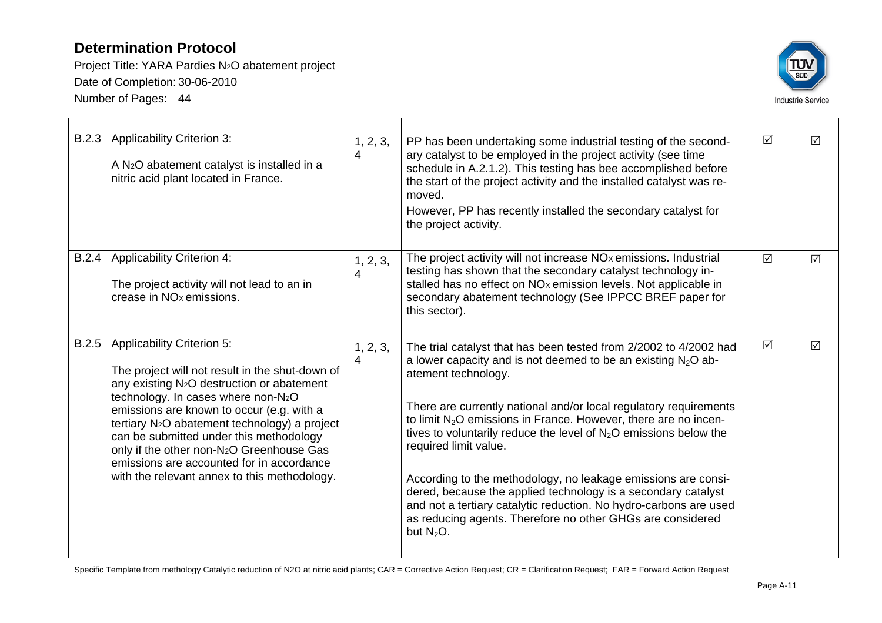Project Title: YARA Pardies N2O abatement project Date of Completion: 30-06-2010 Number of Pages: 44



|       | B.2.3 Applicability Criterion 3:<br>A N <sub>2</sub> O abatement catalyst is installed in a<br>nitric acid plant located in France.                                                                                                                                                                                                                                                                                                                                                             | 1, 2, 3,<br>4 | PP has been undertaking some industrial testing of the second-<br>ary catalyst to be employed in the project activity (see time<br>schedule in A.2.1.2). This testing has bee accomplished before<br>the start of the project activity and the installed catalyst was re-<br>moved.<br>However, PP has recently installed the secondary catalyst for<br>the project activity.                                                                                                                                                                                                                                                                                                            | $\Delta$        | $\triangledown$ |
|-------|-------------------------------------------------------------------------------------------------------------------------------------------------------------------------------------------------------------------------------------------------------------------------------------------------------------------------------------------------------------------------------------------------------------------------------------------------------------------------------------------------|---------------|------------------------------------------------------------------------------------------------------------------------------------------------------------------------------------------------------------------------------------------------------------------------------------------------------------------------------------------------------------------------------------------------------------------------------------------------------------------------------------------------------------------------------------------------------------------------------------------------------------------------------------------------------------------------------------------|-----------------|-----------------|
| B.2.4 | <b>Applicability Criterion 4:</b><br>The project activity will not lead to an in<br>crease in NO <sub>x</sub> emissions.                                                                                                                                                                                                                                                                                                                                                                        | 1, 2, 3,<br>4 | The project activity will not increase NO <sub>x</sub> emissions. Industrial<br>testing has shown that the secondary catalyst technology in-<br>stalled has no effect on NO <sub>x</sub> emission levels. Not applicable in<br>secondary abatement technology (See IPPCC BREF paper for<br>this sector).                                                                                                                                                                                                                                                                                                                                                                                 | $\triangledown$ | $\triangledown$ |
| B.2.5 | <b>Applicability Criterion 5:</b><br>The project will not result in the shut-down of<br>any existing N <sub>2</sub> O destruction or abatement<br>technology. In cases where non-N2O<br>emissions are known to occur (e.g. with a<br>tertiary N <sub>2</sub> O abatement technology) a project<br>can be submitted under this methodology<br>only if the other non-N <sub>2</sub> O Greenhouse Gas<br>emissions are accounted for in accordance<br>with the relevant annex to this methodology. | 1, 2, 3,<br>4 | The trial catalyst that has been tested from 2/2002 to 4/2002 had<br>a lower capacity and is not deemed to be an existing $N_2O$ ab-<br>atement technology.<br>There are currently national and/or local regulatory requirements<br>to limit $N_2O$ emissions in France. However, there are no incen-<br>tives to voluntarily reduce the level of $N2O$ emissions below the<br>required limit value.<br>According to the methodology, no leakage emissions are consi-<br>dered, because the applied technology is a secondary catalyst<br>and not a tertiary catalytic reduction. No hydro-carbons are used<br>as reducing agents. Therefore no other GHGs are considered<br>but $N2O$ . | $\triangledown$ | $\triangledown$ |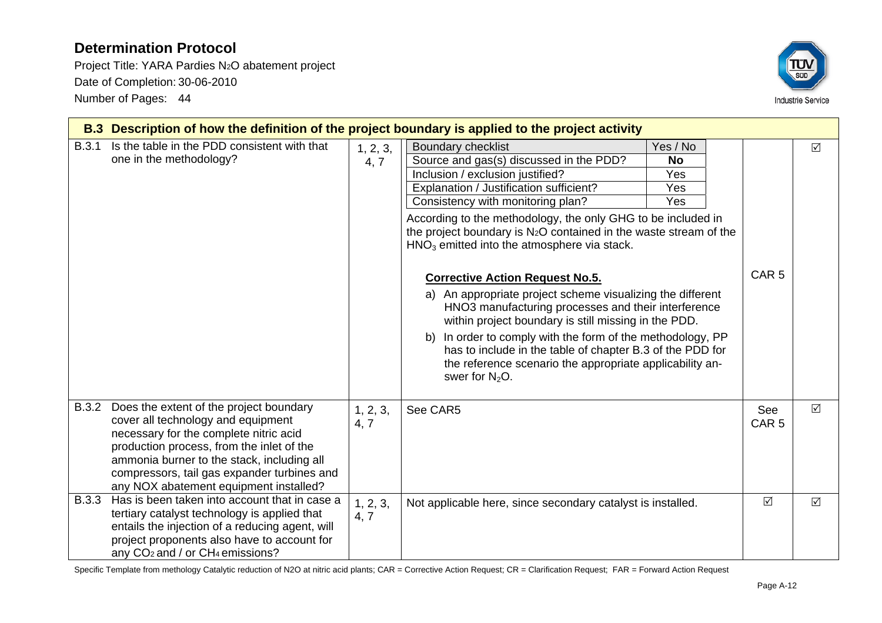Project Title: YARA Pardies N2O abatement project Date of Completion: 30-06-2010 Number of Pages: 44



|              | B.3 Description of how the definition of the project boundary is applied to the project activity                                                                                                                                                                                                            |                  |                                                                                                                                                                                                                                                                                                                                                                                                                                                                                                                                                                                                                                                                                                                                                                                                                               |                                            |                         |          |  |  |
|--------------|-------------------------------------------------------------------------------------------------------------------------------------------------------------------------------------------------------------------------------------------------------------------------------------------------------------|------------------|-------------------------------------------------------------------------------------------------------------------------------------------------------------------------------------------------------------------------------------------------------------------------------------------------------------------------------------------------------------------------------------------------------------------------------------------------------------------------------------------------------------------------------------------------------------------------------------------------------------------------------------------------------------------------------------------------------------------------------------------------------------------------------------------------------------------------------|--------------------------------------------|-------------------------|----------|--|--|
| B.3.1        | Is the table in the PDD consistent with that<br>one in the methodology?                                                                                                                                                                                                                                     | 1, 2, 3,<br>4, 7 | <b>Boundary checklist</b><br>Source and gas(s) discussed in the PDD?<br>Inclusion / exclusion justified?<br>Explanation / Justification sufficient?<br>Consistency with monitoring plan?<br>According to the methodology, the only GHG to be included in<br>the project boundary is N <sub>2</sub> O contained in the waste stream of the<br>$HNO3$ emitted into the atmosphere via stack.<br><b>Corrective Action Request No.5.</b><br>a) An appropriate project scheme visualizing the different<br>HNO3 manufacturing processes and their interference<br>within project boundary is still missing in the PDD.<br>b) In order to comply with the form of the methodology, PP<br>has to include in the table of chapter B.3 of the PDD for<br>the reference scenario the appropriate applicability an-<br>swer for $N_2O$ . | Yes / No<br><b>No</b><br>Yes<br>Yes<br>Yes | CAR <sub>5</sub>        | $\Delta$ |  |  |
| <b>B.3.2</b> | Does the extent of the project boundary<br>cover all technology and equipment<br>necessary for the complete nitric acid<br>production process, from the inlet of the<br>ammonia burner to the stack, including all<br>compressors, tail gas expander turbines and<br>any NOX abatement equipment installed? | 1, 2, 3,<br>4, 7 | See CAR5                                                                                                                                                                                                                                                                                                                                                                                                                                                                                                                                                                                                                                                                                                                                                                                                                      |                                            | See<br>CAR <sub>5</sub> | ☑        |  |  |
| <b>B.3.3</b> | Has is been taken into account that in case a<br>tertiary catalyst technology is applied that<br>entails the injection of a reducing agent, will<br>project proponents also have to account for<br>any CO <sub>2</sub> and / or CH <sub>4</sub> emissions?                                                  | 1, 2, 3,<br>4, 7 | Not applicable here, since secondary catalyst is installed.                                                                                                                                                                                                                                                                                                                                                                                                                                                                                                                                                                                                                                                                                                                                                                   |                                            | $\Delta$                | $\Delta$ |  |  |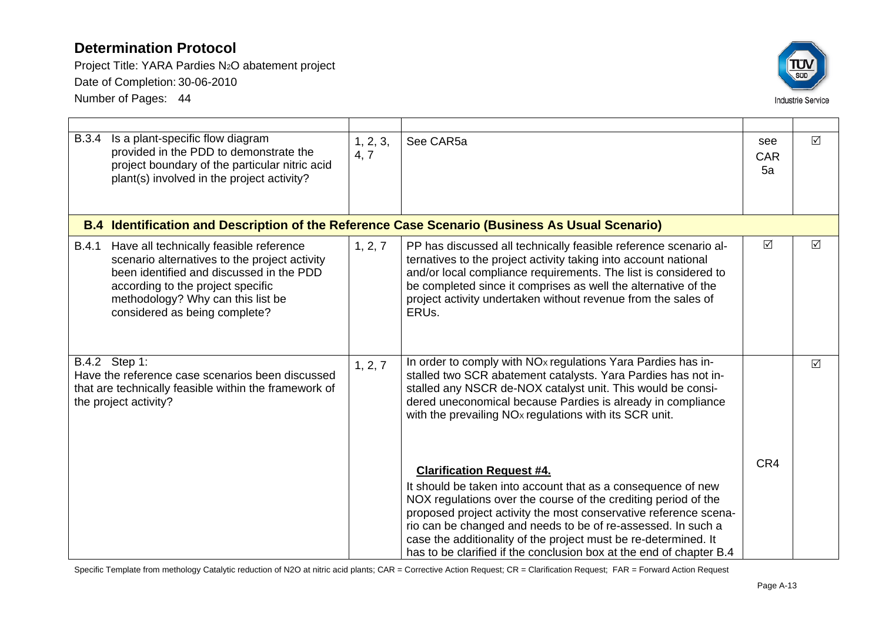Project Title: YARA Pardies N2O abatement project Date of Completion: 30-06-2010 Number of Pages: 44



| <b>B.3.4</b> | Is a plant-specific flow diagram<br>provided in the PDD to demonstrate the<br>project boundary of the particular nitric acid<br>plant(s) involved in the project activity?                                                                      | 1, 2, 3,<br>4, 7 | See CAR5a                                                                                                                                                                                                                                                                                                                                                                                                                                        | see<br><b>CAR</b><br>5a | $\Delta$        |
|--------------|-------------------------------------------------------------------------------------------------------------------------------------------------------------------------------------------------------------------------------------------------|------------------|--------------------------------------------------------------------------------------------------------------------------------------------------------------------------------------------------------------------------------------------------------------------------------------------------------------------------------------------------------------------------------------------------------------------------------------------------|-------------------------|-----------------|
|              |                                                                                                                                                                                                                                                 |                  | B.4 Identification and Description of the Reference Case Scenario (Business As Usual Scenario)                                                                                                                                                                                                                                                                                                                                                   |                         |                 |
| <b>B.4.1</b> | Have all technically feasible reference<br>scenario alternatives to the project activity<br>been identified and discussed in the PDD<br>according to the project specific<br>methodology? Why can this list be<br>considered as being complete? | 1, 2, 7          | PP has discussed all technically feasible reference scenario al-<br>ternatives to the project activity taking into account national<br>and/or local compliance requirements. The list is considered to<br>be completed since it comprises as well the alternative of the<br>project activity undertaken without revenue from the sales of<br>ERUs.                                                                                               | $\Delta$                | $\triangledown$ |
|              | B.4.2 Step 1:<br>Have the reference case scenarios been discussed<br>that are technically feasible within the framework of<br>the project activity?                                                                                             | 1, 2, 7          | In order to comply with NO <sub>x</sub> regulations Yara Pardies has in-<br>stalled two SCR abatement catalysts. Yara Pardies has not in-<br>stalled any NSCR de-NOX catalyst unit. This would be consi-<br>dered uneconomical because Pardies is already in compliance<br>with the prevailing NO <sub>x</sub> regulations with its SCR unit.                                                                                                    |                         | $\triangledown$ |
|              |                                                                                                                                                                                                                                                 |                  | <b>Clarification Request #4.</b><br>It should be taken into account that as a consequence of new<br>NOX regulations over the course of the crediting period of the<br>proposed project activity the most conservative reference scena-<br>rio can be changed and needs to be of re-assessed. In such a<br>case the additionality of the project must be re-determined. It<br>has to be clarified if the conclusion box at the end of chapter B.4 | CR4                     |                 |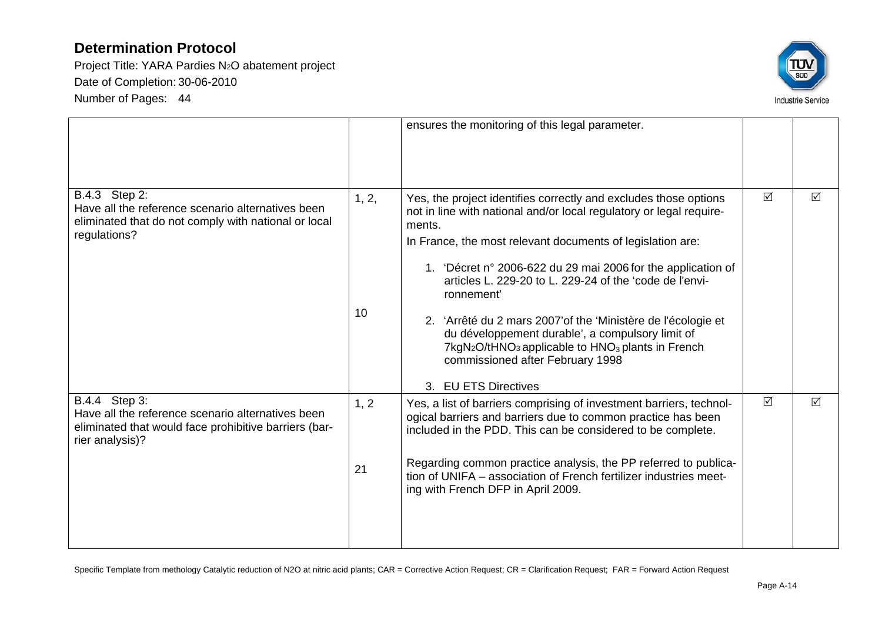Project Title: YARA Pardies N2O abatement project Date of Completion: 30-06-2010 Number of Pages: 44



|                                                                                                                                                |             | ensures the monitoring of this legal parameter.                                                                                                                                                                                                                                                                                                                                                                                                                                                                                                                                                                                    |          |                 |
|------------------------------------------------------------------------------------------------------------------------------------------------|-------------|------------------------------------------------------------------------------------------------------------------------------------------------------------------------------------------------------------------------------------------------------------------------------------------------------------------------------------------------------------------------------------------------------------------------------------------------------------------------------------------------------------------------------------------------------------------------------------------------------------------------------------|----------|-----------------|
| B.4.3 Step 2:<br>Have all the reference scenario alternatives been<br>eliminated that do not comply with national or local<br>regulations?     | 1, 2,<br>10 | Yes, the project identifies correctly and excludes those options<br>not in line with national and/or local regulatory or legal require-<br>ments.<br>In France, the most relevant documents of legislation are:<br>1. 'Décret n° 2006-622 du 29 mai 2006 for the application of<br>articles L. 229-20 to L. 229-24 of the 'code de l'envi-<br>ronnement'<br>2. 'Arrêté du 2 mars 2007' of the 'Ministère de l'écologie et<br>du développement durable', a compulsory limit of<br>7kgN <sub>2</sub> O/tHNO <sub>3</sub> applicable to HNO <sub>3</sub> plants in French<br>commissioned after February 1998<br>3. EU ETS Directives | ☑        | $\triangledown$ |
| B.4.4 Step 3:<br>Have all the reference scenario alternatives been<br>eliminated that would face prohibitive barriers (bar-<br>rier analysis)? | 1, 2<br>21  | Yes, a list of barriers comprising of investment barriers, technol-<br>ogical barriers and barriers due to common practice has been<br>included in the PDD. This can be considered to be complete.<br>Regarding common practice analysis, the PP referred to publica-<br>tion of UNIFA - association of French fertilizer industries meet-<br>ing with French DFP in April 2009.                                                                                                                                                                                                                                                   | $\Delta$ | ☑               |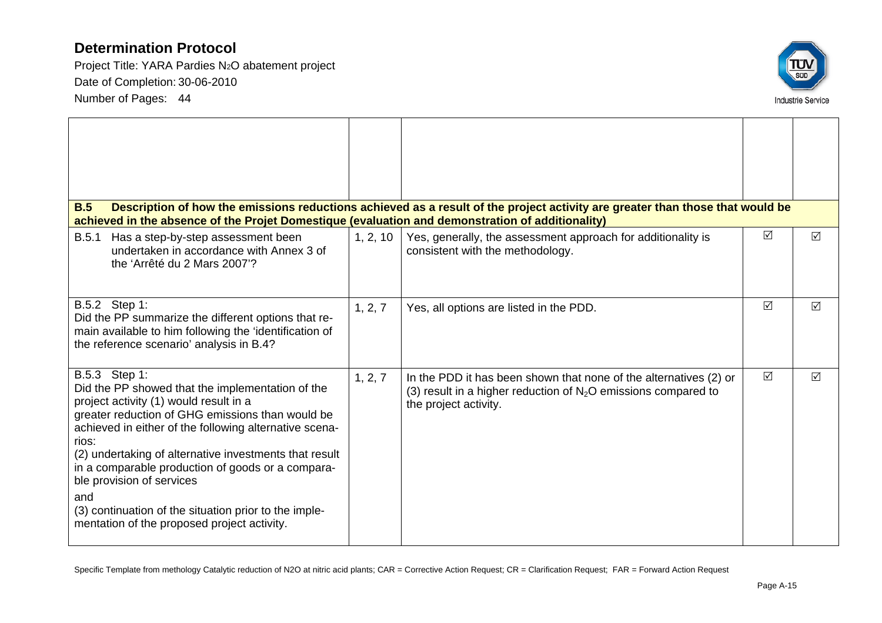Project Title: YARA Pardies N2O abatement project Date of Completion: 30-06-2010 Number of Pages: 44



| <b>B.5</b><br>achieved in the absence of the Projet Domestique (evaluation and demonstration of additionality)                                                                                                                                                                                                                                                                                                                                                                                |          | Description of how the emissions reductions achieved as a result of the project activity are greater than those that would be                                  |                 |                 |
|-----------------------------------------------------------------------------------------------------------------------------------------------------------------------------------------------------------------------------------------------------------------------------------------------------------------------------------------------------------------------------------------------------------------------------------------------------------------------------------------------|----------|----------------------------------------------------------------------------------------------------------------------------------------------------------------|-----------------|-----------------|
| B.5.1<br>Has a step-by-step assessment been<br>undertaken in accordance with Annex 3 of<br>the 'Arrêté du 2 Mars 2007'?                                                                                                                                                                                                                                                                                                                                                                       | 1, 2, 10 | Yes, generally, the assessment approach for additionality is<br>consistent with the methodology.                                                               | $\Delta$        | ☑               |
| B.5.2 Step 1:<br>Did the PP summarize the different options that re-<br>main available to him following the 'identification of<br>the reference scenario' analysis in B.4?                                                                                                                                                                                                                                                                                                                    | 1, 2, 7  | Yes, all options are listed in the PDD.                                                                                                                        | $\triangledown$ | $\triangledown$ |
| B.5.3 Step 1:<br>Did the PP showed that the implementation of the<br>project activity (1) would result in a<br>greater reduction of GHG emissions than would be<br>achieved in either of the following alternative scena-<br>rios:<br>(2) undertaking of alternative investments that result<br>in a comparable production of goods or a compara-<br>ble provision of services<br>and<br>(3) continuation of the situation prior to the imple-<br>mentation of the proposed project activity. | 1, 2, 7  | In the PDD it has been shown that none of the alternatives (2) or<br>(3) result in a higher reduction of $N_2O$ emissions compared to<br>the project activity. | $\triangledown$ | $\triangledown$ |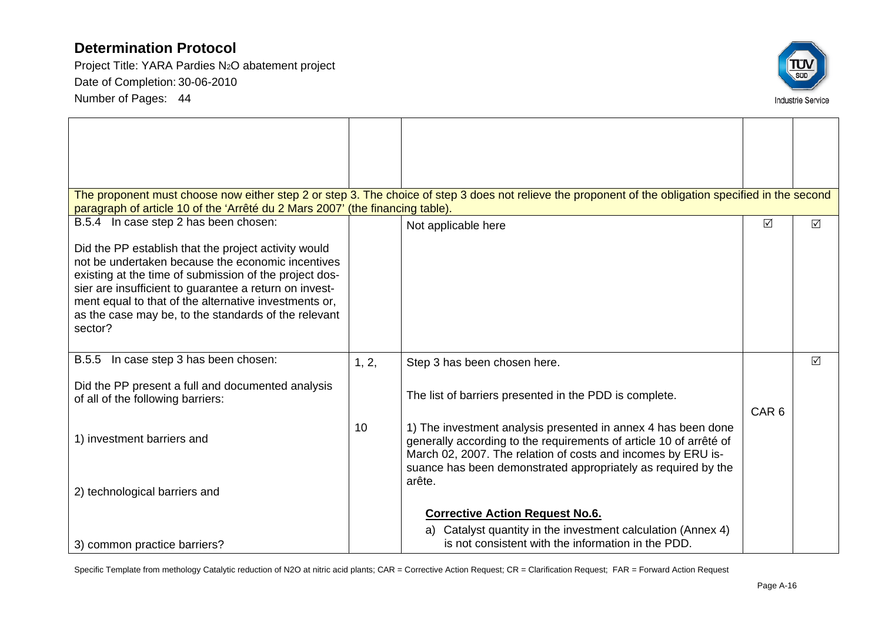Project Title: YARA Pardies N2O abatement project Date of Completion: 30-06-2010 Number of Pages: 44



|                                                                               |       | The proponent must choose now either step 2 or step 3. The choice of step 3 does not relieve the proponent of the obligation specified in the second |                  |                 |
|-------------------------------------------------------------------------------|-------|------------------------------------------------------------------------------------------------------------------------------------------------------|------------------|-----------------|
| paragraph of article 10 of the 'Arrêté du 2 Mars 2007' (the financing table). |       |                                                                                                                                                      |                  |                 |
| B.5.4 In case step 2 has been chosen:                                         |       | Not applicable here                                                                                                                                  | $\Delta$         | $\triangledown$ |
| Did the PP establish that the project activity would                          |       |                                                                                                                                                      |                  |                 |
| not be undertaken because the economic incentives                             |       |                                                                                                                                                      |                  |                 |
| existing at the time of submission of the project dos-                        |       |                                                                                                                                                      |                  |                 |
| sier are insufficient to guarantee a return on invest-                        |       |                                                                                                                                                      |                  |                 |
| ment equal to that of the alternative investments or,                         |       |                                                                                                                                                      |                  |                 |
| as the case may be, to the standards of the relevant                          |       |                                                                                                                                                      |                  |                 |
| sector?                                                                       |       |                                                                                                                                                      |                  |                 |
|                                                                               |       |                                                                                                                                                      |                  |                 |
| B.5.5 In case step 3 has been chosen:                                         | 1, 2, | Step 3 has been chosen here.                                                                                                                         |                  | $\triangledown$ |
| Did the PP present a full and documented analysis                             |       |                                                                                                                                                      |                  |                 |
| of all of the following barriers:                                             |       | The list of barriers presented in the PDD is complete.                                                                                               |                  |                 |
|                                                                               |       |                                                                                                                                                      | CAR <sub>6</sub> |                 |
|                                                                               | 10    | 1) The investment analysis presented in annex 4 has been done                                                                                        |                  |                 |
| 1) investment barriers and                                                    |       | generally according to the requirements of article 10 of arrêté of                                                                                   |                  |                 |
|                                                                               |       | March 02, 2007. The relation of costs and incomes by ERU is-                                                                                         |                  |                 |
|                                                                               |       | suance has been demonstrated appropriately as required by the                                                                                        |                  |                 |
| 2) technological barriers and                                                 |       | arête.                                                                                                                                               |                  |                 |
|                                                                               |       |                                                                                                                                                      |                  |                 |
|                                                                               |       | <b>Corrective Action Request No.6.</b>                                                                                                               |                  |                 |
|                                                                               |       | a) Catalyst quantity in the investment calculation (Annex 4)                                                                                         |                  |                 |
| 3) common practice barriers?                                                  |       | is not consistent with the information in the PDD.                                                                                                   |                  |                 |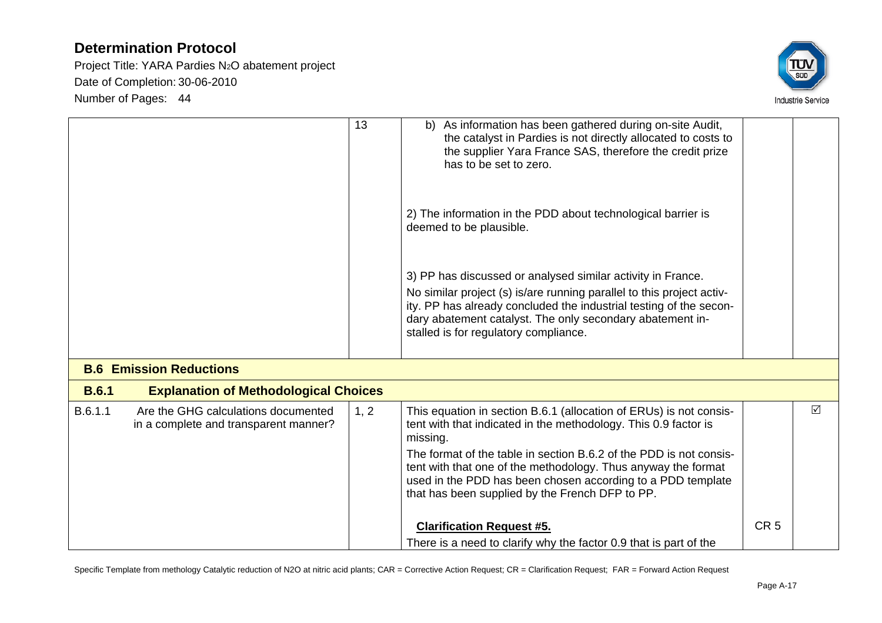Project Title: YARA Pardies N2O abatement project Date of Completion: 30-06-2010 Number of Pages: 44



|              |                                                                              | 13   | As information has been gathered during on-site Audit,<br>b)<br>the catalyst in Pardies is not directly allocated to costs to<br>the supplier Yara France SAS, therefore the credit prize<br>has to be set to zero.                                                                                                                                                                                        |                 |   |
|--------------|------------------------------------------------------------------------------|------|------------------------------------------------------------------------------------------------------------------------------------------------------------------------------------------------------------------------------------------------------------------------------------------------------------------------------------------------------------------------------------------------------------|-----------------|---|
|              |                                                                              |      | 2) The information in the PDD about technological barrier is<br>deemed to be plausible.                                                                                                                                                                                                                                                                                                                    |                 |   |
|              |                                                                              |      | 3) PP has discussed or analysed similar activity in France.<br>No similar project (s) is/are running parallel to this project activ-<br>ity. PP has already concluded the industrial testing of the secon-<br>dary abatement catalyst. The only secondary abatement in-<br>stalled is for regulatory compliance.                                                                                           |                 |   |
|              | <b>B.6 Emission Reductions</b>                                               |      |                                                                                                                                                                                                                                                                                                                                                                                                            |                 |   |
| <b>B.6.1</b> | <b>Explanation of Methodological Choices</b>                                 |      |                                                                                                                                                                                                                                                                                                                                                                                                            |                 |   |
| B.6.1.1      | Are the GHG calculations documented<br>in a complete and transparent manner? | 1, 2 | This equation in section B.6.1 (allocation of ERUs) is not consis-<br>tent with that indicated in the methodology. This 0.9 factor is<br>missing.<br>The format of the table in section B.6.2 of the PDD is not consis-<br>tent with that one of the methodology. Thus anyway the format<br>used in the PDD has been chosen according to a PDD template<br>that has been supplied by the French DFP to PP. |                 | ☑ |
|              |                                                                              |      | <b>Clarification Request #5.</b><br>There is a need to clarify why the factor 0.9 that is part of the                                                                                                                                                                                                                                                                                                      | CR <sub>5</sub> |   |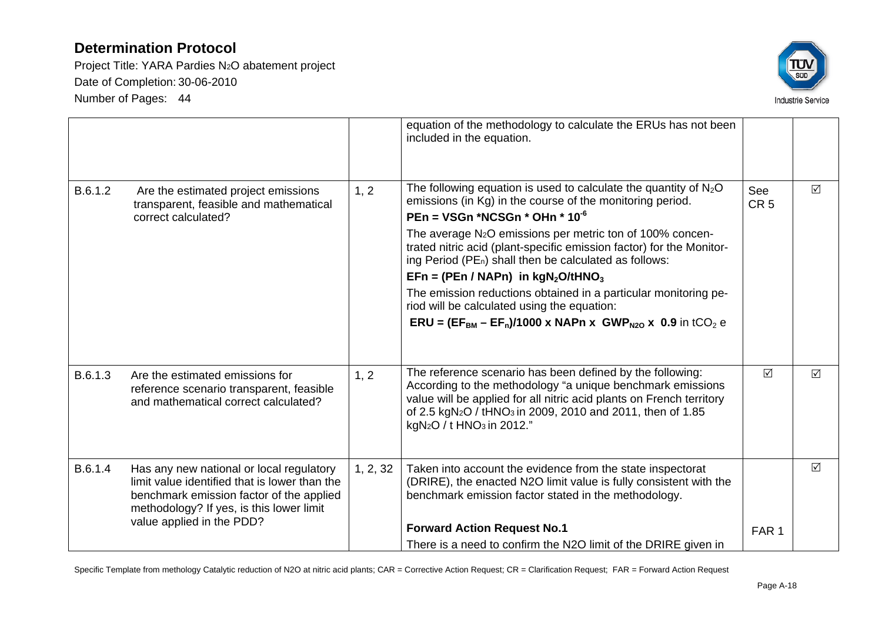Project Title: YARA Pardies N2O abatement project Date of Completion: 30-06-2010 Number of Pages: 44



|         |                                                                                                                                                                                   |          | equation of the methodology to calculate the ERUs has not been                                                                                                                                                                                                                                                                             |                        |                 |
|---------|-----------------------------------------------------------------------------------------------------------------------------------------------------------------------------------|----------|--------------------------------------------------------------------------------------------------------------------------------------------------------------------------------------------------------------------------------------------------------------------------------------------------------------------------------------------|------------------------|-----------------|
|         |                                                                                                                                                                                   |          | included in the equation.                                                                                                                                                                                                                                                                                                                  |                        |                 |
|         |                                                                                                                                                                                   |          |                                                                                                                                                                                                                                                                                                                                            |                        |                 |
| B.6.1.2 | Are the estimated project emissions<br>transparent, feasible and mathematical                                                                                                     | 1, 2     | The following equation is used to calculate the quantity of $N_2O$<br>emissions (in Kg) in the course of the monitoring period.                                                                                                                                                                                                            | See<br>CR <sub>5</sub> | ☑               |
|         | correct calculated?                                                                                                                                                               |          | PEn = VSGn *NCSGn * OHn * 10 <sup>-6</sup>                                                                                                                                                                                                                                                                                                 |                        |                 |
|         |                                                                                                                                                                                   |          | The average N <sub>2</sub> O emissions per metric ton of 100% concen-<br>trated nitric acid (plant-specific emission factor) for the Monitor-<br>ing Period (PE <sub>n</sub> ) shall then be calculated as follows:                                                                                                                        |                        |                 |
|         |                                                                                                                                                                                   |          | $EFn = (PEn / NAPn)$ in $kgN_2O/tHNO_3$                                                                                                                                                                                                                                                                                                    |                        |                 |
|         |                                                                                                                                                                                   |          | The emission reductions obtained in a particular monitoring pe-<br>riod will be calculated using the equation:                                                                                                                                                                                                                             |                        |                 |
|         |                                                                                                                                                                                   |          | <b>ERU</b> = $(EF_{BM} - EF_n)/1000 \times NAPn \times GWP_{N20} \times 0.9$ in tCO <sub>2</sub> e                                                                                                                                                                                                                                         |                        |                 |
|         |                                                                                                                                                                                   |          |                                                                                                                                                                                                                                                                                                                                            |                        |                 |
| B.6.1.3 | Are the estimated emissions for<br>reference scenario transparent, feasible<br>and mathematical correct calculated?                                                               | 1, 2     | The reference scenario has been defined by the following:<br>According to the methodology "a unique benchmark emissions<br>value will be applied for all nitric acid plants on French territory<br>of 2.5 kgN <sub>2</sub> O / tHNO <sub>3</sub> in 2009, 2010 and 2011, then of 1.85<br>kgN <sub>2</sub> O / t HNO <sub>3</sub> in 2012." | $\triangledown$        | $\triangledown$ |
| B.6.1.4 | Has any new national or local regulatory<br>limit value identified that is lower than the<br>benchmark emission factor of the applied<br>methodology? If yes, is this lower limit | 1, 2, 32 | Taken into account the evidence from the state inspectorat<br>(DRIRE), the enacted N2O limit value is fully consistent with the<br>benchmark emission factor stated in the methodology.                                                                                                                                                    |                        | $\triangledown$ |
|         | value applied in the PDD?                                                                                                                                                         |          | <b>Forward Action Request No.1</b>                                                                                                                                                                                                                                                                                                         | FAR <sub>1</sub>       |                 |
|         |                                                                                                                                                                                   |          | There is a need to confirm the N2O limit of the DRIRE given in                                                                                                                                                                                                                                                                             |                        |                 |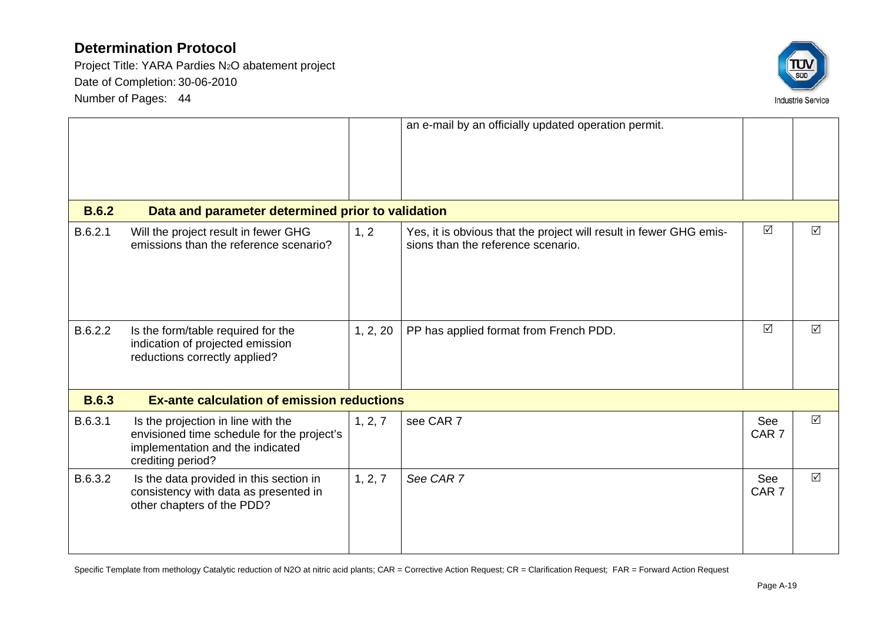Project Title: YARA Pardies N2O abatement project Date of Completion: 30-06-2010 Number of Pages: 44



| <b>B.6.2</b><br>B.6.2.1 | Data and parameter determined prior to validation<br>Will the project result in fewer GHG<br>emissions than the reference scenario?       | 1, 2     | an e-mail by an officially updated operation permit.<br>Yes, it is obvious that the project will result in fewer GHG emis-<br>sions than the reference scenario. | ☑                       | $\triangledown$ |
|-------------------------|-------------------------------------------------------------------------------------------------------------------------------------------|----------|------------------------------------------------------------------------------------------------------------------------------------------------------------------|-------------------------|-----------------|
| B.6.2.2                 | Is the form/table required for the<br>indication of projected emission<br>reductions correctly applied?                                   | 1, 2, 20 | PP has applied format from French PDD.                                                                                                                           | $\triangledown$         | $\triangledown$ |
| <b>B.6.3</b>            | <b>Ex-ante calculation of emission reductions</b>                                                                                         |          |                                                                                                                                                                  |                         |                 |
| B.6.3.1                 | Is the projection in line with the<br>envisioned time schedule for the project's<br>implementation and the indicated<br>crediting period? | 1, 2, 7  | see CAR 7                                                                                                                                                        | See<br>CAR <sub>7</sub> | $\triangledown$ |
| B.6.3.2                 | Is the data provided in this section in<br>consistency with data as presented in<br>other chapters of the PDD?                            | 1, 2, 7  | See CAR 7                                                                                                                                                        | See<br>CAR <sub>7</sub> | $\triangledown$ |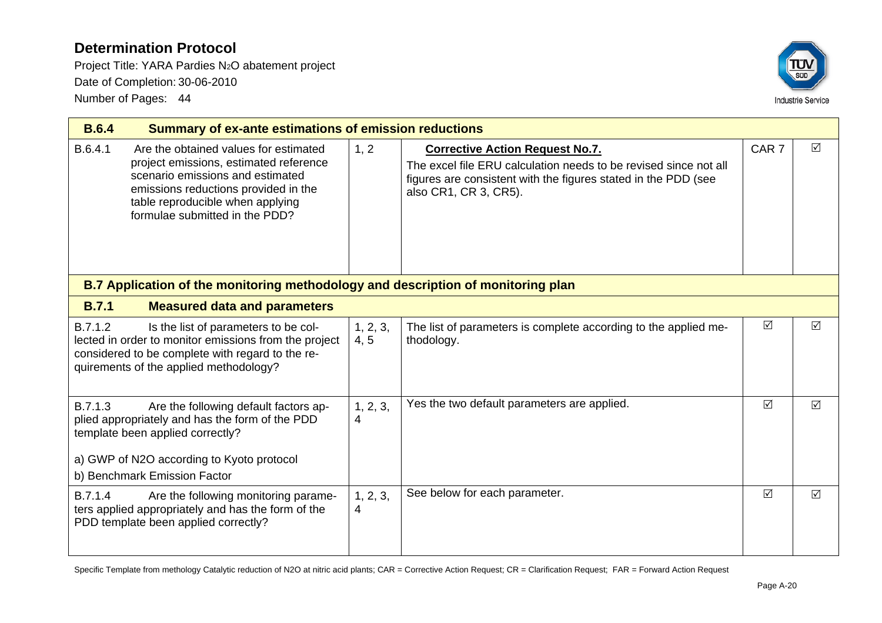Project Title: YARA Pardies N2O abatement project Date of Completion: 30-06-2010 Number of Pages: 44



| <b>B.6.4</b> |                                                                                                                                                                                                                                   |                  | <b>Summary of ex-ante estimations of emission reductions</b>                                                                                                                                          |                 |                 |  |  |
|--------------|-----------------------------------------------------------------------------------------------------------------------------------------------------------------------------------------------------------------------------------|------------------|-------------------------------------------------------------------------------------------------------------------------------------------------------------------------------------------------------|-----------------|-----------------|--|--|
| B.6.4.1      | Are the obtained values for estimated<br>project emissions, estimated reference<br>scenario emissions and estimated<br>emissions reductions provided in the<br>table reproducible when applying<br>formulae submitted in the PDD? | 1, 2             | <b>Corrective Action Request No.7.</b><br>The excel file ERU calculation needs to be revised since not all<br>figures are consistent with the figures stated in the PDD (see<br>also CR1, CR 3, CR5). |                 | $\Delta$        |  |  |
|              | B.7 Application of the monitoring methodology and description of monitoring plan                                                                                                                                                  |                  |                                                                                                                                                                                                       |                 |                 |  |  |
| <b>B.7.1</b> | <b>Measured data and parameters</b>                                                                                                                                                                                               |                  |                                                                                                                                                                                                       |                 |                 |  |  |
| B.7.1.2      | Is the list of parameters to be col-<br>lected in order to monitor emissions from the project<br>considered to be complete with regard to the re-<br>quirements of the applied methodology?                                       | 1, 2, 3,<br>4, 5 | The list of parameters is complete according to the applied me-<br>thodology.                                                                                                                         | $\sqrt{ }$      | $\triangledown$ |  |  |
| B.7.1.3      | Are the following default factors ap-<br>plied appropriately and has the form of the PDD<br>template been applied correctly?<br>a) GWP of N2O according to Kyoto protocol<br>b) Benchmark Emission Factor                         | 1, 2, 3,<br>4    | Yes the two default parameters are applied.                                                                                                                                                           | $\triangledown$ | $\triangledown$ |  |  |
| B.7.1.4      | Are the following monitoring parame-<br>ters applied appropriately and has the form of the<br>PDD template been applied correctly?                                                                                                | 1, 2, 3,<br>4    | See below for each parameter.                                                                                                                                                                         | $\Delta$        | $\triangledown$ |  |  |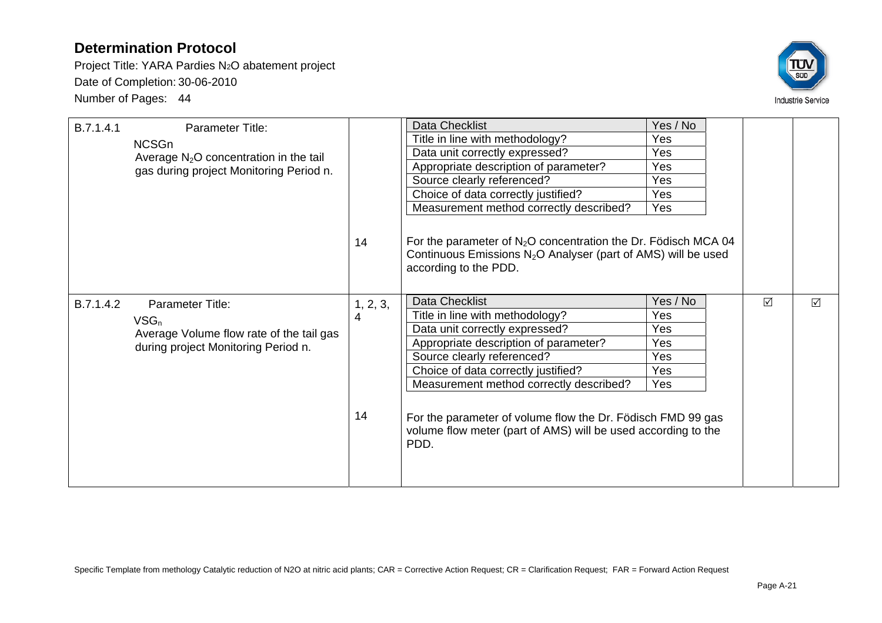Project Title: YARA Pardies N2O abatement project Date of Completion: 30-06-2010 Number of Pages: 44



| B.7.1.4.1 | <b>Parameter Title:</b><br><b>NCSGn</b><br>Average $N_2O$ concentration in the tail<br>gas during project Monitoring Period n. | 14                  | Data Checklist<br>Title in line with methodology?<br>Data unit correctly expressed?<br>Appropriate description of parameter?<br>Source clearly referenced?<br>Choice of data correctly justified?<br>Measurement method correctly described?<br>For the parameter of $N_2O$ concentration the Dr. Födisch MCA 04<br>Continuous Emissions $N_2O$ Analyser (part of AMS) will be used<br>according to the PDD. | Yes / No<br>Yes<br>Yes<br>Yes<br>Yes<br>Yes<br>Yes |   |                 |
|-----------|--------------------------------------------------------------------------------------------------------------------------------|---------------------|--------------------------------------------------------------------------------------------------------------------------------------------------------------------------------------------------------------------------------------------------------------------------------------------------------------------------------------------------------------------------------------------------------------|----------------------------------------------------|---|-----------------|
| B.7.1.4.2 | <b>Parameter Title:</b><br>$VSG_n$<br>Average Volume flow rate of the tail gas<br>during project Monitoring Period n.          | 1, 2, 3,<br>4<br>14 | Data Checklist<br>Title in line with methodology?<br>Data unit correctly expressed?<br>Appropriate description of parameter?<br>Source clearly referenced?<br>Choice of data correctly justified?<br>Measurement method correctly described?<br>For the parameter of volume flow the Dr. Födisch FMD 99 gas<br>volume flow meter (part of AMS) will be used according to the<br>PDD.                         | Yes / No<br>Yes<br>Yes<br>Yes<br>Yes<br>Yes<br>Yes | ☑ | $\triangledown$ |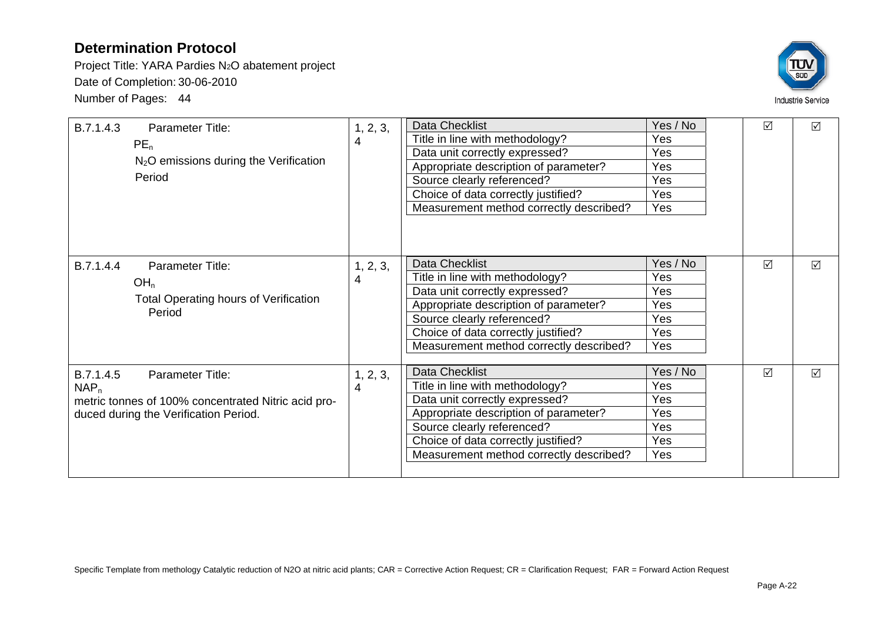Project Title: YARA Pardies N2O abatement project Date of Completion: 30-06-2010 Number of Pages: 44



| B.7.1.4.3<br>Parameter Title:<br>PE <sub>n</sub><br>$N2O$ emissions during the Verification<br>Period                                    | 1, 2, 3,<br>4 | <b>Data Checklist</b><br>Title in line with methodology?<br>Data unit correctly expressed?<br>Appropriate description of parameter?<br>Source clearly referenced?<br>Choice of data correctly justified?<br>Measurement method correctly described? | Yes / No<br>Yes<br>Yes<br>Yes<br>Yes<br>Yes<br>Yes | $\triangledown$ | $\triangledown$ |
|------------------------------------------------------------------------------------------------------------------------------------------|---------------|-----------------------------------------------------------------------------------------------------------------------------------------------------------------------------------------------------------------------------------------------------|----------------------------------------------------|-----------------|-----------------|
| B.7.1.4.4<br>Parameter Title:<br>OH <sub>n</sub><br><b>Total Operating hours of Verification</b><br>Period                               | 1, 2, 3,<br>4 | Data Checklist<br>Title in line with methodology?<br>Data unit correctly expressed?<br>Appropriate description of parameter?<br>Source clearly referenced?<br>Choice of data correctly justified?<br>Measurement method correctly described?        | Yes / No<br>Yes<br>Yes<br>Yes<br>Yes<br>Yes<br>Yes | $\triangledown$ | $\triangledown$ |
| B.7.1.4.5<br>Parameter Title:<br>$NAP_n$<br>metric tonnes of 100% concentrated Nitric acid pro-<br>duced during the Verification Period. | 1, 2, 3,<br>4 | <b>Data Checklist</b><br>Title in line with methodology?<br>Data unit correctly expressed?<br>Appropriate description of parameter?<br>Source clearly referenced?<br>Choice of data correctly justified?<br>Measurement method correctly described? | Yes / No<br>Yes<br>Yes<br>Yes<br>Yes<br>Yes<br>Yes | $\sqrt{}$       | $\triangledown$ |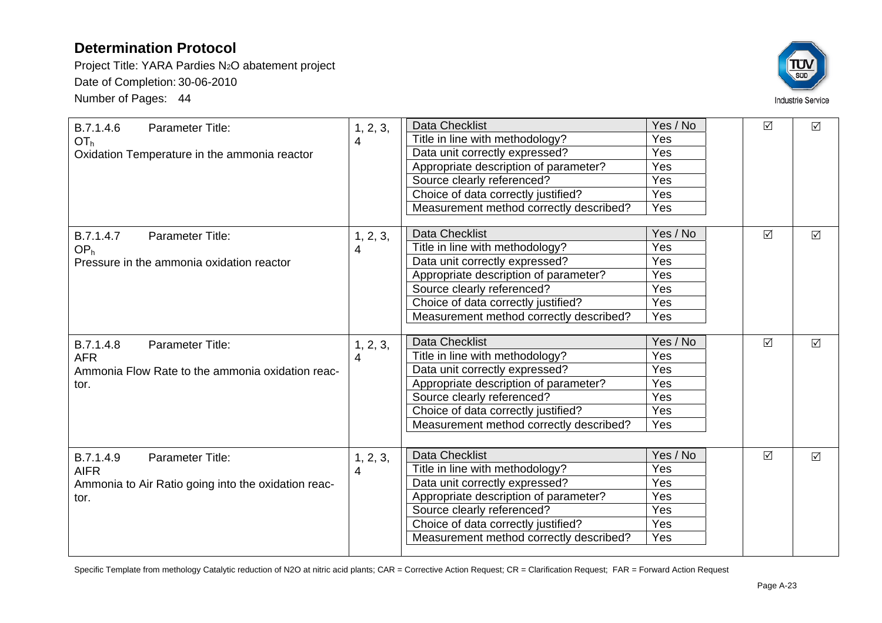Project Title: YARA Pardies N2O abatement project Date of Completion: 30-06-2010 Number of Pages: 44



| B.7.1.4.6<br>Parameter Title:<br>OT <sub>h</sub><br>Oxidation Temperature in the ammonia reactor                   | 1, 2, 3,<br>4 | <b>Data Checklist</b><br>Title in line with methodology?<br>Data unit correctly expressed?<br>Appropriate description of parameter?<br>Source clearly referenced?<br>Choice of data correctly justified?<br>Measurement method correctly described? | Yes / No<br>Yes<br>Yes<br>Yes<br>Yes<br>Yes<br>Yes | $\Delta$        | $\Delta$        |
|--------------------------------------------------------------------------------------------------------------------|---------------|-----------------------------------------------------------------------------------------------------------------------------------------------------------------------------------------------------------------------------------------------------|----------------------------------------------------|-----------------|-----------------|
| Parameter Title:<br>B.7.1.4.7<br>OP <sub>h</sub><br>Pressure in the ammonia oxidation reactor                      | 1, 2, 3,<br>4 | <b>Data Checklist</b><br>Title in line with methodology?<br>Data unit correctly expressed?<br>Appropriate description of parameter?<br>Source clearly referenced?<br>Choice of data correctly justified?<br>Measurement method correctly described? | Yes / No<br>Yes<br>Yes<br>Yes<br>Yes<br>Yes<br>Yes | $\triangledown$ | $\Delta$        |
| B.7.1.4.8<br>Parameter Title:<br><b>AFR</b><br>Ammonia Flow Rate to the ammonia oxidation reac-<br>tor.            | 1, 2, 3,<br>4 | <b>Data Checklist</b><br>Title in line with methodology?<br>Data unit correctly expressed?<br>Appropriate description of parameter?<br>Source clearly referenced?<br>Choice of data correctly justified?<br>Measurement method correctly described? | Yes / No<br>Yes<br>Yes<br>Yes<br>Yes<br>Yes<br>Yes | $\Delta$        | $\triangledown$ |
| B.7.1.4.9<br><b>Parameter Title:</b><br><b>AIFR</b><br>Ammonia to Air Ratio going into the oxidation reac-<br>tor. | 1, 2, 3,<br>4 | <b>Data Checklist</b><br>Title in line with methodology?<br>Data unit correctly expressed?<br>Appropriate description of parameter?<br>Source clearly referenced?<br>Choice of data correctly justified?<br>Measurement method correctly described? | Yes / No<br>Yes<br>Yes<br>Yes<br>Yes<br>Yes<br>Yes | $\Delta$        | $\Delta$        |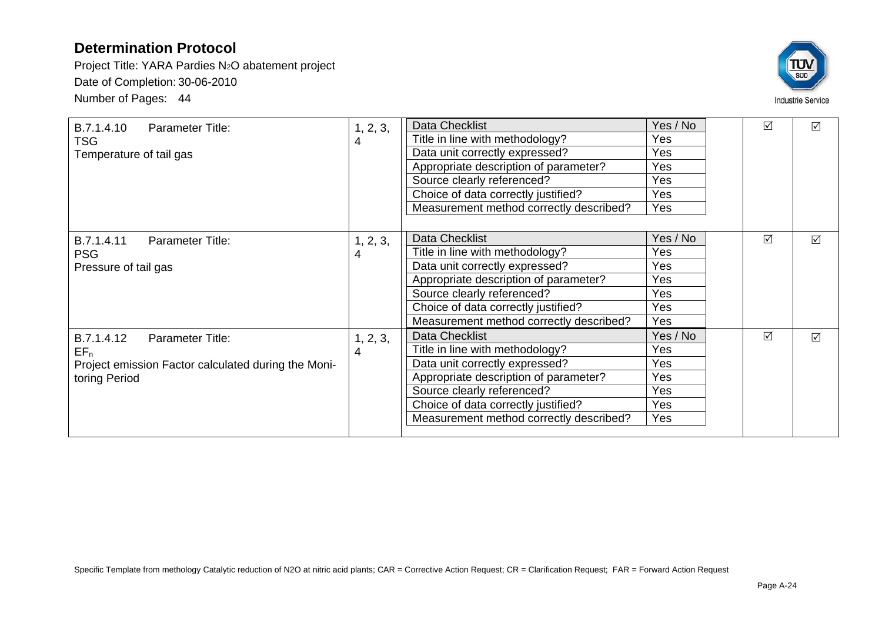Project Title: YARA Pardies N2O abatement project Date of Completion: 30-06-2010 Number of Pages: 44



| B.7.1.4.10<br>Parameter Title:<br><b>TSG</b><br>Temperature of tail gas                                          | 1, 2, 3,<br>4 | Data Checklist<br>Title in line with methodology?<br>Data unit correctly expressed?<br>Appropriate description of parameter?<br>Source clearly referenced?<br>Choice of data correctly justified?<br>Measurement method correctly described?        | Yes / No<br>Yes<br>Yes<br>Yes<br>Yes<br>Yes<br><b>Yes</b>        | $\triangledown$ | $\Delta$        |
|------------------------------------------------------------------------------------------------------------------|---------------|-----------------------------------------------------------------------------------------------------------------------------------------------------------------------------------------------------------------------------------------------------|------------------------------------------------------------------|-----------------|-----------------|
| B.7.1.4.11<br><b>Parameter Title:</b><br><b>PSG</b><br>Pressure of tail gas                                      | 1, 2, 3,<br>4 | Data Checklist<br>Title in line with methodology?<br>Data unit correctly expressed?<br>Appropriate description of parameter?<br>Source clearly referenced?<br>Choice of data correctly justified?<br>Measurement method correctly described?        | Yes / No<br><b>Yes</b><br>Yes<br>Yes<br>Yes<br>Yes<br><b>Yes</b> | $\triangledown$ | $\triangledown$ |
| B.7.1.4.12<br>Parameter Title:<br>$EF_n$<br>Project emission Factor calculated during the Moni-<br>toring Period | 1, 2, 3,<br>4 | <b>Data Checklist</b><br>Title in line with methodology?<br>Data unit correctly expressed?<br>Appropriate description of parameter?<br>Source clearly referenced?<br>Choice of data correctly justified?<br>Measurement method correctly described? | Yes / No<br>Yes<br><b>Yes</b><br><b>Yes</b><br>Yes<br>Yes<br>Yes | $\triangledown$ | $\triangledown$ |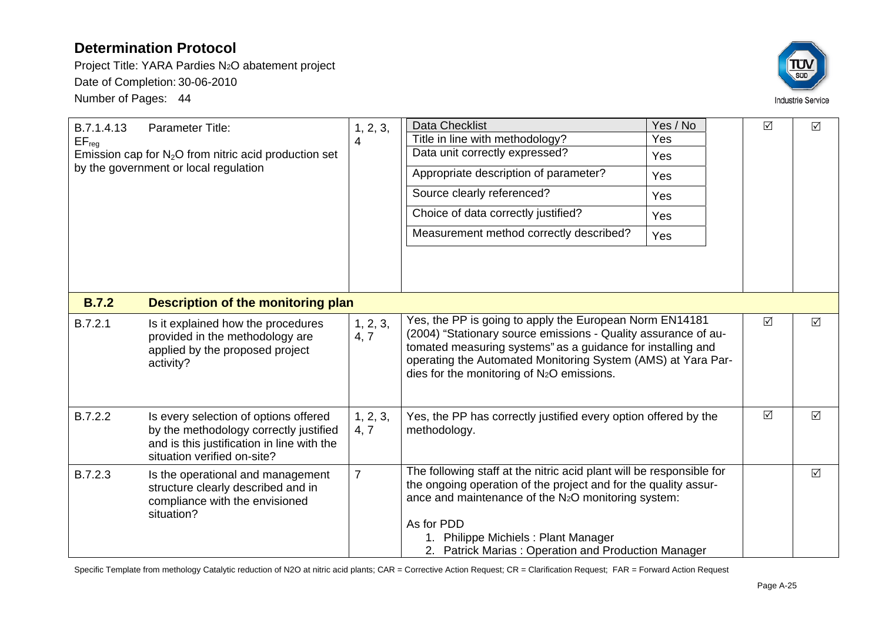Project Title: YARA Pardies N2O abatement project Date of Completion: 30-06-2010 Number of Pages: 44



| B.7.1.4.13<br>$EF_{reg}$ | Parameter Title:<br>Emission cap for $N_2O$ from nitric acid production set<br>by the government or local regulation                                         | 1, 2, 3,<br>4    | <b>Data Checklist</b><br>Title in line with methodology?<br>Data unit correctly expressed?<br>Appropriate description of parameter?<br>Source clearly referenced?<br>Choice of data correctly justified?<br>Measurement method correctly described?                                                                    | Yes / No<br>Yes<br>Yes<br>Yes<br>Yes<br>Yes<br>Yes | $\Delta$  | $\Delta$        |
|--------------------------|--------------------------------------------------------------------------------------------------------------------------------------------------------------|------------------|------------------------------------------------------------------------------------------------------------------------------------------------------------------------------------------------------------------------------------------------------------------------------------------------------------------------|----------------------------------------------------|-----------|-----------------|
| <b>B.7.2</b>             | Description of the monitoring plan                                                                                                                           |                  |                                                                                                                                                                                                                                                                                                                        |                                                    |           |                 |
| B.7.2.1                  | Is it explained how the procedures<br>provided in the methodology are<br>applied by the proposed project<br>activity?                                        | 1, 2, 3,<br>4, 7 | Yes, the PP is going to apply the European Norm EN14181<br>(2004) "Stationary source emissions - Quality assurance of au-<br>tomated measuring systems" as a guidance for installing and<br>operating the Automated Monitoring System (AMS) at Yara Par-<br>dies for the monitoring of N2O emissions.                  |                                                    | $\sqrt{}$ | $\Delta$        |
| B.7.2.2                  | Is every selection of options offered<br>by the methodology correctly justified<br>and is this justification in line with the<br>situation verified on-site? | 1, 2, 3,<br>4, 7 | Yes, the PP has correctly justified every option offered by the<br>methodology.                                                                                                                                                                                                                                        |                                                    | ☑         | $\triangledown$ |
| B.7.2.3                  | Is the operational and management<br>structure clearly described and in<br>compliance with the envisioned<br>situation?                                      | $\overline{7}$   | The following staff at the nitric acid plant will be responsible for<br>the ongoing operation of the project and for the quality assur-<br>ance and maintenance of the N <sub>2</sub> O monitoring system:<br>As for PDD<br>1. Philippe Michiels: Plant Manager<br>2. Patrick Marias: Operation and Production Manager |                                                    |           | $\Delta$        |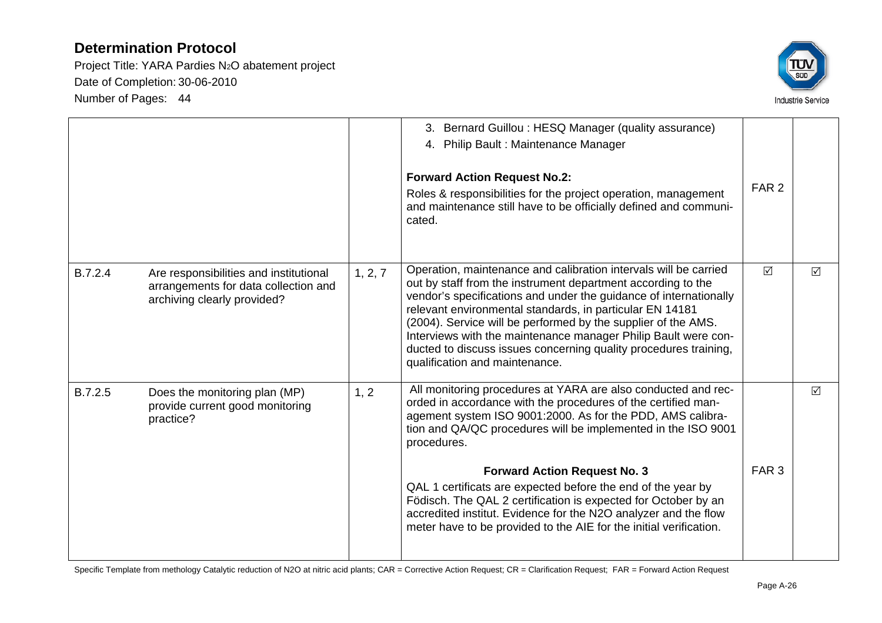Project Title: YARA Pardies N2O abatement project Date of Completion: 30-06-2010 Number of Pages: 44



|         |                                                                                                               |         | 3. Bernard Guillou : HESQ Manager (quality assurance)<br>4. Philip Bault: Maintenance Manager<br><b>Forward Action Request No.2:</b><br>Roles & responsibilities for the project operation, management<br>and maintenance still have to be officially defined and communi-<br>cated.                                                                                                                                                                                                                       | FAR <sub>2</sub> |   |
|---------|---------------------------------------------------------------------------------------------------------------|---------|------------------------------------------------------------------------------------------------------------------------------------------------------------------------------------------------------------------------------------------------------------------------------------------------------------------------------------------------------------------------------------------------------------------------------------------------------------------------------------------------------------|------------------|---|
| B.7.2.4 | Are responsibilities and institutional<br>arrangements for data collection and<br>archiving clearly provided? | 1, 2, 7 | Operation, maintenance and calibration intervals will be carried<br>out by staff from the instrument department according to the<br>vendor's specifications and under the guidance of internationally<br>relevant environmental standards, in particular EN 14181<br>(2004). Service will be performed by the supplier of the AMS.<br>Interviews with the maintenance manager Philip Bault were con-<br>ducted to discuss issues concerning quality procedures training,<br>qualification and maintenance. | $\triangledown$  | ☑ |
| B.7.2.5 | Does the monitoring plan (MP)<br>provide current good monitoring<br>practice?                                 | 1, 2    | All monitoring procedures at YARA are also conducted and rec-<br>orded in accordance with the procedures of the certified man-<br>agement system ISO 9001:2000. As for the PDD, AMS calibra-<br>tion and QA/QC procedures will be implemented in the ISO 9001<br>procedures.                                                                                                                                                                                                                               |                  | ☑ |
|         |                                                                                                               |         | <b>Forward Action Request No. 3</b><br>QAL 1 certificats are expected before the end of the year by<br>Födisch. The QAL 2 certification is expected for October by an<br>accredited institut. Evidence for the N2O analyzer and the flow<br>meter have to be provided to the AIE for the initial verification.                                                                                                                                                                                             | FAR <sub>3</sub> |   |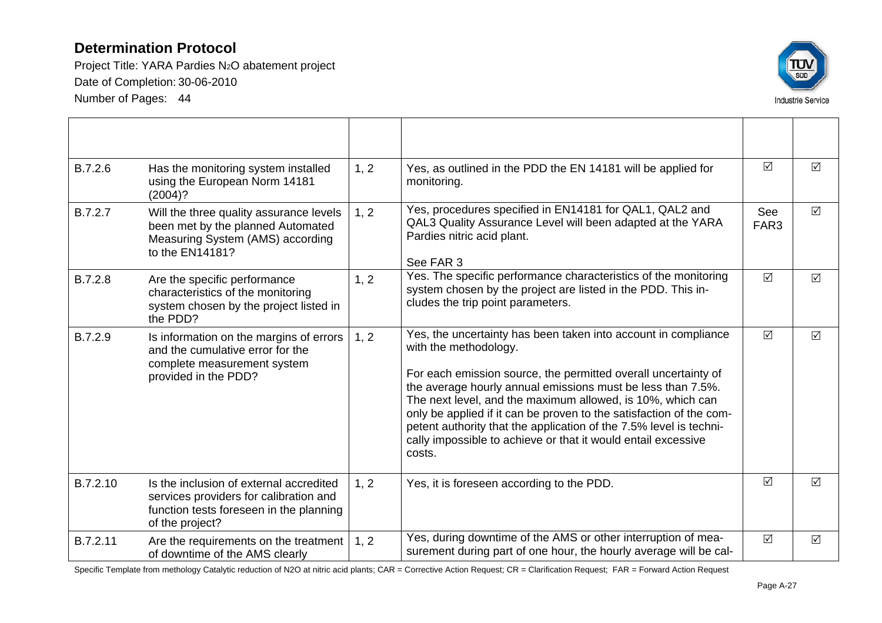Project Title: YARA Pardies N2O abatement project Date of Completion: 30-06-2010 Number of Pages: 44



| B.7.2.6  | Has the monitoring system installed<br>using the European Norm 14181<br>(2004)?                                                                 | 1, 2 | Yes, as outlined in the PDD the EN 14181 will be applied for<br>monitoring.                                                                                                                                                                                                                                                                                                                                                                                                                                    | ☑                       | $\triangledown$ |
|----------|-------------------------------------------------------------------------------------------------------------------------------------------------|------|----------------------------------------------------------------------------------------------------------------------------------------------------------------------------------------------------------------------------------------------------------------------------------------------------------------------------------------------------------------------------------------------------------------------------------------------------------------------------------------------------------------|-------------------------|-----------------|
| B.7.2.7  | Will the three quality assurance levels<br>been met by the planned Automated<br>Measuring System (AMS) according<br>to the EN14181?             | 1, 2 | Yes, procedures specified in EN14181 for QAL1, QAL2 and<br>QAL3 Quality Assurance Level will been adapted at the YARA<br>Pardies nitric acid plant.<br>See FAR 3                                                                                                                                                                                                                                                                                                                                               | See<br>FAR <sub>3</sub> | $\Delta$        |
| B.7.2.8  | Are the specific performance<br>characteristics of the monitoring<br>system chosen by the project listed in<br>the PDD?                         | 1, 2 | Yes. The specific performance characteristics of the monitoring<br>system chosen by the project are listed in the PDD. This in-<br>cludes the trip point parameters.                                                                                                                                                                                                                                                                                                                                           | $\Delta$                | $\Delta$        |
| B.7.2.9  | Is information on the margins of errors<br>and the cumulative error for the<br>complete measurement system<br>provided in the PDD?              | 1, 2 | Yes, the uncertainty has been taken into account in compliance<br>with the methodology.<br>For each emission source, the permitted overall uncertainty of<br>the average hourly annual emissions must be less than 7.5%.<br>The next level, and the maximum allowed, is 10%, which can<br>only be applied if it can be proven to the satisfaction of the com-<br>petent authority that the application of the 7.5% level is techni-<br>cally impossible to achieve or that it would entail excessive<br>costs. | $\triangledown$         | $\triangledown$ |
| B.7.2.10 | Is the inclusion of external accredited<br>services providers for calibration and<br>function tests foreseen in the planning<br>of the project? | 1, 2 | Yes, it is foreseen according to the PDD.                                                                                                                                                                                                                                                                                                                                                                                                                                                                      | ☑                       | $\Delta$        |
| B.7.2.11 | Are the requirements on the treatment<br>of downtime of the AMS clearly                                                                         | 1, 2 | Yes, during downtime of the AMS or other interruption of mea-<br>surement during part of one hour, the hourly average will be cal-                                                                                                                                                                                                                                                                                                                                                                             | $\Delta$                | $\Delta$        |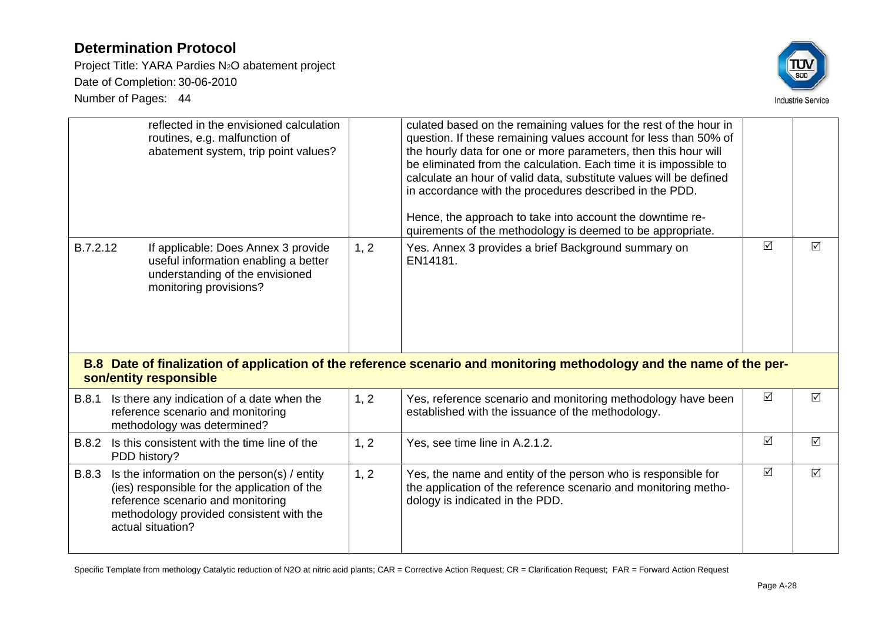Project Title: YARA Pardies N2O abatement project Date of Completion: 30-06-2010 Number of Pages: 44



|              | reflected in the envisioned calculation<br>routines, e.g. malfunction of<br>abatement system, trip point values?                         |      | culated based on the remaining values for the rest of the hour in<br>question. If these remaining values account for less than 50% of<br>the hourly data for one or more parameters, then this hour will<br>be eliminated from the calculation. Each time it is impossible to<br>calculate an hour of valid data, substitute values will be defined<br>in accordance with the procedures described in the PDD.<br>Hence, the approach to take into account the downtime re-<br>quirements of the methodology is deemed to be appropriate. |                 |                 |
|--------------|------------------------------------------------------------------------------------------------------------------------------------------|------|-------------------------------------------------------------------------------------------------------------------------------------------------------------------------------------------------------------------------------------------------------------------------------------------------------------------------------------------------------------------------------------------------------------------------------------------------------------------------------------------------------------------------------------------|-----------------|-----------------|
| B.7.2.12     | If applicable: Does Annex 3 provide<br>useful information enabling a better<br>understanding of the envisioned<br>monitoring provisions? | 1, 2 | Yes. Annex 3 provides a brief Background summary on<br>EN14181.                                                                                                                                                                                                                                                                                                                                                                                                                                                                           | $\triangledown$ | $\triangledown$ |
|              |                                                                                                                                          |      | B.8 Date of finalization of application of the reference scenario and monitoring methodology and the name of the per-                                                                                                                                                                                                                                                                                                                                                                                                                     |                 |                 |
|              | son/entity responsible                                                                                                                   |      |                                                                                                                                                                                                                                                                                                                                                                                                                                                                                                                                           |                 |                 |
| <b>B.8.1</b> | Is there any indication of a date when the<br>reference scenario and monitoring<br>methodology was determined?                           | 1, 2 | Yes, reference scenario and monitoring methodology have been<br>established with the issuance of the methodology.                                                                                                                                                                                                                                                                                                                                                                                                                         | $\sqrt{ }$      | $\triangledown$ |
| <b>B.8.2</b> | Is this consistent with the time line of the<br>PDD history?                                                                             | 1, 2 | Yes, see time line in A.2.1.2.                                                                                                                                                                                                                                                                                                                                                                                                                                                                                                            | $\Delta$        | $\Delta$        |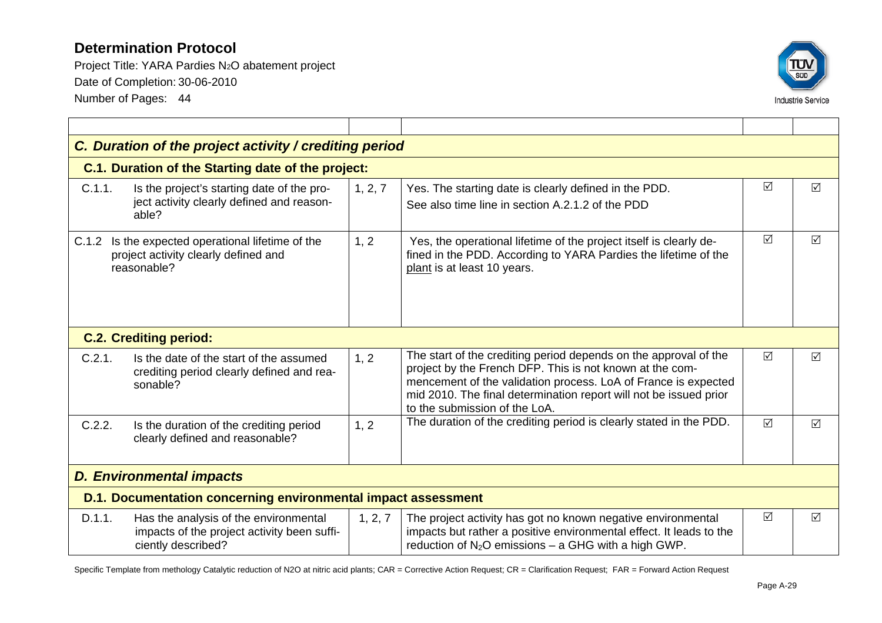Project Title: YARA Pardies N2O abatement project Date of Completion: 30-06-2010 Number of Pages: 44



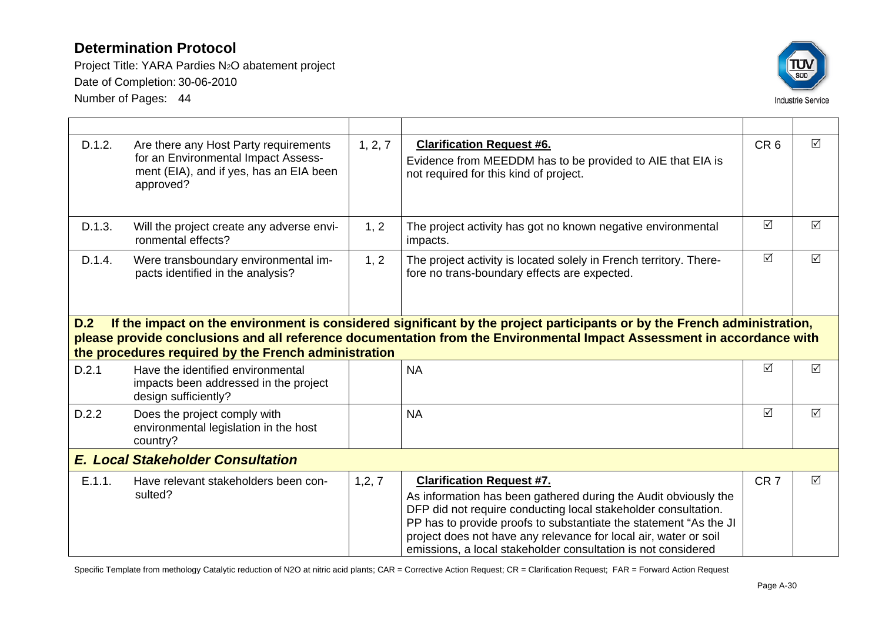Project Title: YARA Pardies N2O abatement project Date of Completion: 30-06-2010 Number of Pages: 44



| D.1.2.                                   | Are there any Host Party requirements<br>for an Environmental Impact Assess-<br>ment (EIA), and if yes, has an EIA been<br>approved?                                                                                                                                                                      | 1, 2, 7 | <b>Clarification Request #6.</b><br>Evidence from MEEDDM has to be provided to AIE that EIA is<br>not required for this kind of project. | CR <sub>6</sub> | $\triangledown$ |  |  |
|------------------------------------------|-----------------------------------------------------------------------------------------------------------------------------------------------------------------------------------------------------------------------------------------------------------------------------------------------------------|---------|------------------------------------------------------------------------------------------------------------------------------------------|-----------------|-----------------|--|--|
| D.1.3.                                   | Will the project create any adverse envi-<br>ronmental effects?                                                                                                                                                                                                                                           | 1, 2    | The project activity has got no known negative environmental<br>impacts.                                                                 | $\Delta$        | $\triangledown$ |  |  |
| D.1.4.                                   | Were transboundary environmental im-<br>pacts identified in the analysis?                                                                                                                                                                                                                                 | 1, 2    | The project activity is located solely in French territory. There-<br>fore no trans-boundary effects are expected.                       | $\triangledown$ | $\Delta$        |  |  |
| D.2                                      | If the impact on the environment is considered significant by the project participants or by the French administration,<br>please provide conclusions and all reference documentation from the Environmental Impact Assessment in accordance with<br>the procedures required by the French administration |         |                                                                                                                                          |                 |                 |  |  |
| D.2.1                                    | Have the identified environmental<br>impacts been addressed in the project<br>design sufficiently?                                                                                                                                                                                                        |         | <b>NA</b>                                                                                                                                | $\sqrt{ }$      | ☑               |  |  |
| D.2.2                                    | Does the project comply with<br>environmental legislation in the host                                                                                                                                                                                                                                     |         | <b>NA</b>                                                                                                                                | $\triangledown$ |                 |  |  |
| <b>E. Local Stakeholder Consultation</b> |                                                                                                                                                                                                                                                                                                           |         |                                                                                                                                          |                 |                 |  |  |
|                                          | country?                                                                                                                                                                                                                                                                                                  |         |                                                                                                                                          |                 | ☑               |  |  |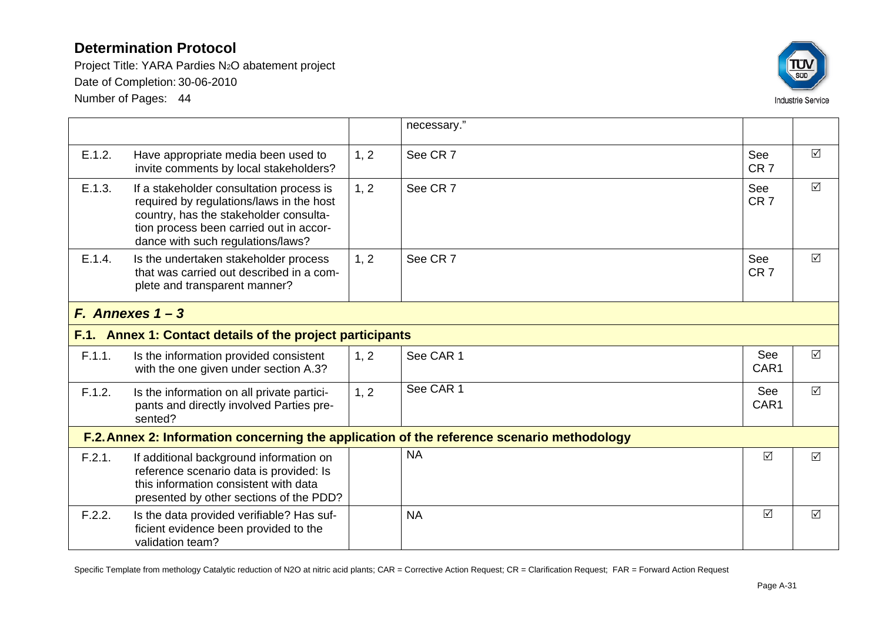Project Title: YARA Pardies N2O abatement project Date of Completion: 30-06-2010

Number of Pages: 44



|        |                                                                                                                                                                                                                |      | necessary."                                                                                |                        |                 |
|--------|----------------------------------------------------------------------------------------------------------------------------------------------------------------------------------------------------------------|------|--------------------------------------------------------------------------------------------|------------------------|-----------------|
|        |                                                                                                                                                                                                                |      |                                                                                            |                        |                 |
| E.1.2. | Have appropriate media been used to<br>invite comments by local stakeholders?                                                                                                                                  | 1, 2 | See CR 7                                                                                   | See<br>CR <sub>7</sub> | $\Delta$        |
| E.1.3. | If a stakeholder consultation process is<br>required by regulations/laws in the host<br>country, has the stakeholder consulta-<br>tion process been carried out in accor-<br>dance with such regulations/laws? | 1, 2 | See CR 7                                                                                   | See<br>CR <sub>7</sub> | $\triangledown$ |
| E.1.4. | Is the undertaken stakeholder process<br>that was carried out described in a com-<br>plete and transparent manner?                                                                                             | 1, 2 | See CR 7                                                                                   | See<br>CR <sub>7</sub> | ☑               |
|        | F. Annexes $1 - 3$                                                                                                                                                                                             |      |                                                                                            |                        |                 |
|        | F.1. Annex 1: Contact details of the project participants                                                                                                                                                      |      |                                                                                            |                        |                 |
| F.1.1. | Is the information provided consistent<br>with the one given under section A.3?                                                                                                                                | 1, 2 | See CAR 1                                                                                  | See<br>CAR1            | $\Delta$        |
| F.1.2. | Is the information on all private partici-<br>pants and directly involved Parties pre-<br>sented?                                                                                                              | 1, 2 | See CAR 1                                                                                  | See<br>CAR1            | $\Delta$        |
|        |                                                                                                                                                                                                                |      | F.2. Annex 2: Information concerning the application of the reference scenario methodology |                        |                 |
| F.2.1. | If additional background information on<br>reference scenario data is provided: Is<br>this information consistent with data<br>presented by other sections of the PDD?                                         |      | <b>NA</b>                                                                                  | $\triangledown$        | $\Delta$        |
| F.2.2. | Is the data provided verifiable? Has suf-<br>ficient evidence been provided to the<br>validation team?                                                                                                         |      | <b>NA</b>                                                                                  | $\triangledown$        | $\Delta$        |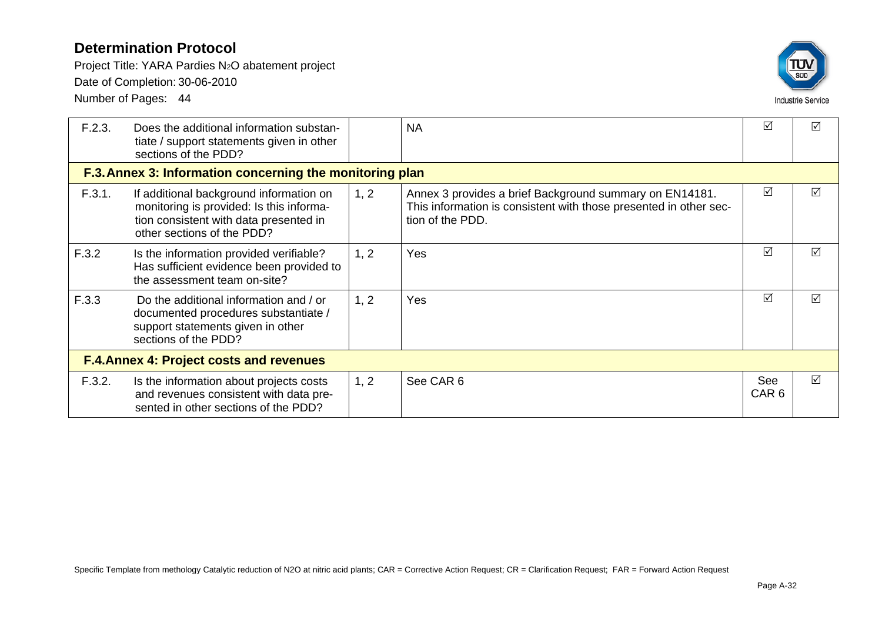Project Title: YARA Pardies N2O abatement project Date of Completion: 30-06-2010

Number of Pages: 44

| <b>SUD</b>               |
|--------------------------|
| <b>Industrie Service</b> |

| F.2.3. | Does the additional information substan-<br>tiate / support statements given in other<br>sections of the PDD?                                               |      | <b>NA</b>                                                                                                                                        | ☑                       | ☑               |  |  |
|--------|-------------------------------------------------------------------------------------------------------------------------------------------------------------|------|--------------------------------------------------------------------------------------------------------------------------------------------------|-------------------------|-----------------|--|--|
|        | F.3. Annex 3: Information concerning the monitoring plan                                                                                                    |      |                                                                                                                                                  |                         |                 |  |  |
| F.3.1. | If additional background information on<br>monitoring is provided: Is this informa-<br>tion consistent with data presented in<br>other sections of the PDD? | 1, 2 | Annex 3 provides a brief Background summary on EN14181.<br>This information is consistent with those presented in other sec-<br>tion of the PDD. | ☑                       | $\triangledown$ |  |  |
| F.3.2  | Is the information provided verifiable?<br>Has sufficient evidence been provided to<br>the assessment team on-site?                                         | 1, 2 | <b>Yes</b>                                                                                                                                       | ☑                       | $\triangledown$ |  |  |
| F.3.3  | Do the additional information and / or<br>documented procedures substantiate /<br>support statements given in other<br>sections of the PDD?                 | 1, 2 | <b>Yes</b>                                                                                                                                       | ☑                       | ☑               |  |  |
|        | <b>F.4.Annex 4: Project costs and revenues</b>                                                                                                              |      |                                                                                                                                                  |                         |                 |  |  |
| F.3.2. | Is the information about projects costs<br>and revenues consistent with data pre-<br>sented in other sections of the PDD?                                   | 1, 2 | See CAR 6                                                                                                                                        | See<br>CAR <sub>6</sub> | ☑               |  |  |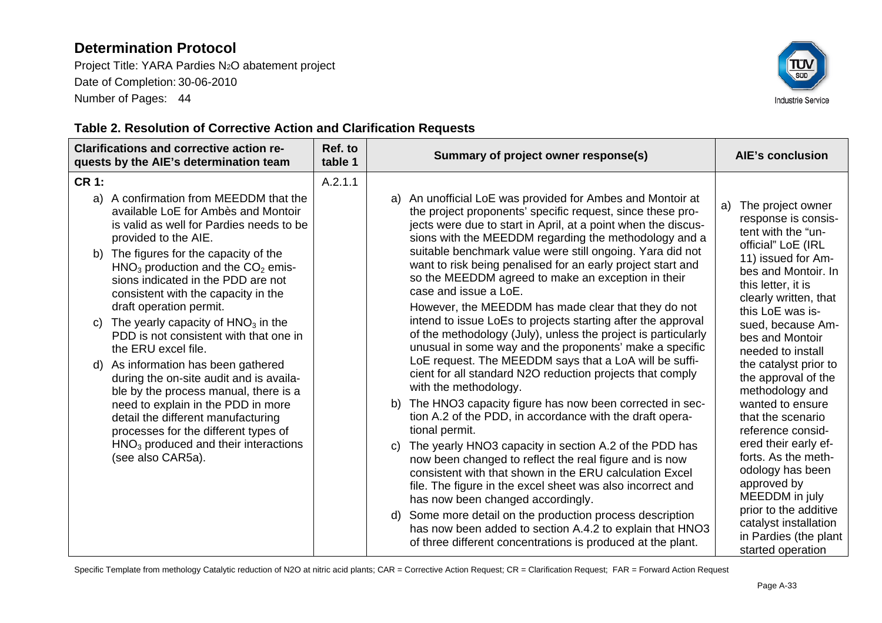Project Title: YARA Pardies N2O abatement project Date of Completion: 30-06-2010 Number of Pages: 44



#### **Table 2. Resolution of Corrective Action and Clarification Requests**

| <b>Clarifications and corrective action re-</b><br>quests by the AIE's determination team |                                                                                                                                                           | Ref. to<br>table 1 | Summary of project owner response(s)                                                                                                                                                                                                                  | <b>AIE's conclusion</b>                                                                                                                                                                                                                                                        |                                                                                                  |
|-------------------------------------------------------------------------------------------|-----------------------------------------------------------------------------------------------------------------------------------------------------------|--------------------|-------------------------------------------------------------------------------------------------------------------------------------------------------------------------------------------------------------------------------------------------------|--------------------------------------------------------------------------------------------------------------------------------------------------------------------------------------------------------------------------------------------------------------------------------|--------------------------------------------------------------------------------------------------|
| <b>CR 1:</b>                                                                              |                                                                                                                                                           | A.2.1.1            |                                                                                                                                                                                                                                                       |                                                                                                                                                                                                                                                                                |                                                                                                  |
| a)                                                                                        | A confirmation from MEEDDM that the<br>available LoE for Ambès and Montoir<br>is valid as well for Pardies needs to be<br>provided to the AIE.            |                    | An unofficial LoE was provided for Ambes and Montoir at<br>a)<br>the project proponents' specific request, since these pro-<br>jects were due to start in April, at a point when the discus-<br>sions with the MEEDDM regarding the methodology and a | The project owner<br>a)<br>response is consis-<br>tent with the "un-<br>official" LoE (IRL                                                                                                                                                                                     |                                                                                                  |
| b)                                                                                        | The figures for the capacity of the<br>$HNO3$ production and the $CO2$ emis-<br>sions indicated in the PDD are not<br>consistent with the capacity in the |                    | suitable benchmark value were still ongoing. Yara did not<br>want to risk being penalised for an early project start and<br>so the MEEDDM agreed to make an exception in their<br>case and issue a LoE.                                               | 11) issued for Am-<br>bes and Montoir. In<br>this letter, it is<br>clearly written, that                                                                                                                                                                                       |                                                                                                  |
| C)                                                                                        | draft operation permit.<br>The yearly capacity of $HNO3$ in the<br>PDD is not consistent with that one in<br>the ERU excel file.                          |                    | However, the MEEDDM has made clear that they do not<br>intend to issue LoEs to projects starting after the approval<br>of the methodology (July), unless the project is particularly<br>unusual in some way and the proponents' make a specific       | this LoE was is-<br>sued, because Am-<br>bes and Montoir<br>needed to install                                                                                                                                                                                                  |                                                                                                  |
| d)                                                                                        | As information has been gathered<br>during the on-site audit and is availa-<br>ble by the process manual, there is a                                      |                    | LoE request. The MEEDDM says that a LoA will be suffi-<br>cient for all standard N2O reduction projects that comply<br>with the methodology.                                                                                                          | the catalyst prior to<br>the approval of the<br>methodology and                                                                                                                                                                                                                |                                                                                                  |
|                                                                                           | need to explain in the PDD in more<br>detail the different manufacturing<br>processes for the different types of                                          |                    | The HNO3 capacity figure has now been corrected in sec-<br>b)<br>tion A.2 of the PDD, in accordance with the draft opera-<br>tional permit.                                                                                                           | wanted to ensure<br>that the scenario<br>reference consid-                                                                                                                                                                                                                     |                                                                                                  |
|                                                                                           | $HNO3$ produced and their interactions<br>(see also CAR5a).                                                                                               |                    | C)                                                                                                                                                                                                                                                    | The yearly HNO3 capacity in section A.2 of the PDD has<br>now been changed to reflect the real figure and is now<br>consistent with that shown in the ERU calculation Excel<br>file. The figure in the excel sheet was also incorrect and<br>has now been changed accordingly. | ered their early ef-<br>forts. As the meth-<br>odology has been<br>approved by<br>MEEDDM in july |
|                                                                                           |                                                                                                                                                           |                    | Some more detail on the production process description<br>d)<br>has now been added to section A.4.2 to explain that HNO3<br>of three different concentrations is produced at the plant.                                                               | prior to the additive<br>catalyst installation<br>in Pardies (the plant<br>started operation                                                                                                                                                                                   |                                                                                                  |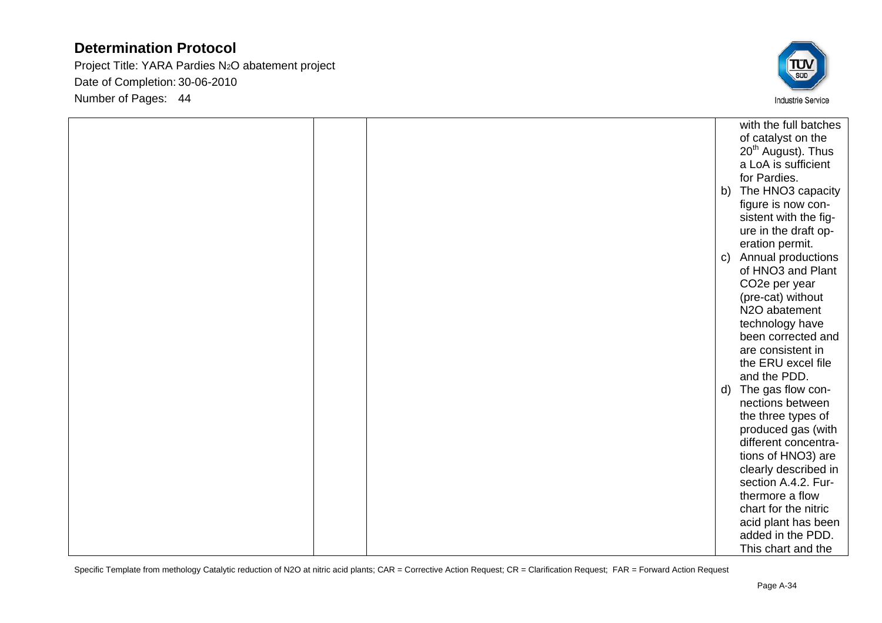Project Title: YARA Pardies N2O abatement project Date of Completion: 30-06-2010 Number of Pages: 44



|  |              | with the full batches                    |
|--|--------------|------------------------------------------|
|  |              | of catalyst on the                       |
|  |              | 20 <sup>th</sup> August). Thus           |
|  |              | a LoA is sufficient                      |
|  |              | for Pardies.                             |
|  | b)           | The HNO3 capacity                        |
|  |              | figure is now con-                       |
|  |              | sistent with the fig-                    |
|  |              | ure in the draft op-                     |
|  |              | eration permit.                          |
|  | $\mathsf{C}$ | Annual productions                       |
|  |              | of HNO3 and Plant                        |
|  |              | CO <sub>2</sub> e per year               |
|  |              | (pre-cat) without                        |
|  |              | N2O abatement                            |
|  |              | technology have                          |
|  |              | been corrected and                       |
|  |              | are consistent in                        |
|  |              | the ERU excel file<br>and the PDD.       |
|  |              |                                          |
|  | d)           | The gas flow con-<br>nections between    |
|  |              |                                          |
|  |              | the three types of<br>produced gas (with |
|  |              | different concentra-                     |
|  |              | tions of HNO3) are                       |
|  |              | clearly described in                     |
|  |              | section A.4.2. Fur-                      |
|  |              | thermore a flow                          |
|  |              | chart for the nitric                     |
|  |              | acid plant has been                      |
|  |              | added in the PDD.                        |
|  |              | This chart and the                       |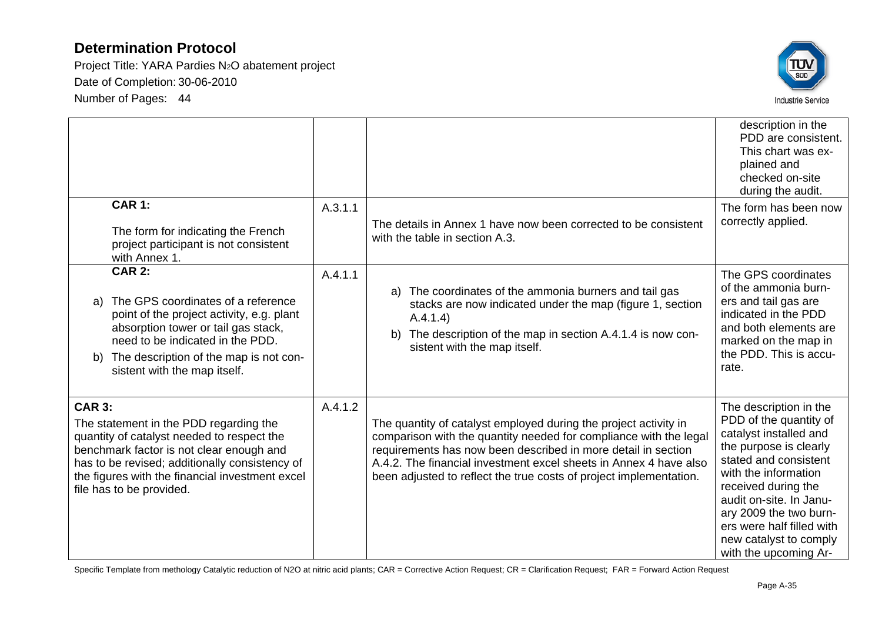Project Title: YARA Pardies N2O abatement project Date of Completion: 30-06-2010 Number of Pages: 44



|               |                                                                                                                                                                                                                                                                   |         |                                                                                                                                                                                                                                                                                                                                                   | description in the<br>PDD are consistent.<br>This chart was ex-<br>plained and<br>checked on-site<br>during the audit.                                                                                                                                                                                            |
|---------------|-------------------------------------------------------------------------------------------------------------------------------------------------------------------------------------------------------------------------------------------------------------------|---------|---------------------------------------------------------------------------------------------------------------------------------------------------------------------------------------------------------------------------------------------------------------------------------------------------------------------------------------------------|-------------------------------------------------------------------------------------------------------------------------------------------------------------------------------------------------------------------------------------------------------------------------------------------------------------------|
|               | <b>CAR 1:</b><br>The form for indicating the French<br>project participant is not consistent<br>with Annex 1.                                                                                                                                                     | A.3.1.1 | The details in Annex 1 have now been corrected to be consistent<br>with the table in section A.3.                                                                                                                                                                                                                                                 | The form has been now<br>correctly applied.                                                                                                                                                                                                                                                                       |
| b)            | <b>CAR 2:</b><br>a) The GPS coordinates of a reference<br>point of the project activity, e.g. plant<br>absorption tower or tail gas stack,<br>need to be indicated in the PDD.<br>The description of the map is not con-<br>sistent with the map itself.          | A.4.1.1 | The coordinates of the ammonia burners and tail gas<br>a)<br>stacks are now indicated under the map (figure 1, section<br>A.4.1.4)<br>The description of the map in section A.4.1.4 is now con-<br>b)<br>sistent with the map itself.                                                                                                             | The GPS coordinates<br>of the ammonia burn-<br>ers and tail gas are<br>indicated in the PDD<br>and both elements are<br>marked on the map in<br>the PDD. This is accu-<br>rate.                                                                                                                                   |
| <b>CAR 3:</b> | The statement in the PDD regarding the<br>quantity of catalyst needed to respect the<br>benchmark factor is not clear enough and<br>has to be revised; additionally consistency of<br>the figures with the financial investment excel<br>file has to be provided. | A.4.1.2 | The quantity of catalyst employed during the project activity in<br>comparison with the quantity needed for compliance with the legal<br>requirements has now been described in more detail in section<br>A.4.2. The financial investment excel sheets in Annex 4 have also<br>been adjusted to reflect the true costs of project implementation. | The description in the<br>PDD of the quantity of<br>catalyst installed and<br>the purpose is clearly<br>stated and consistent<br>with the information<br>received during the<br>audit on-site. In Janu-<br>ary 2009 the two burn-<br>ers were half filled with<br>new catalyst to comply<br>with the upcoming Ar- |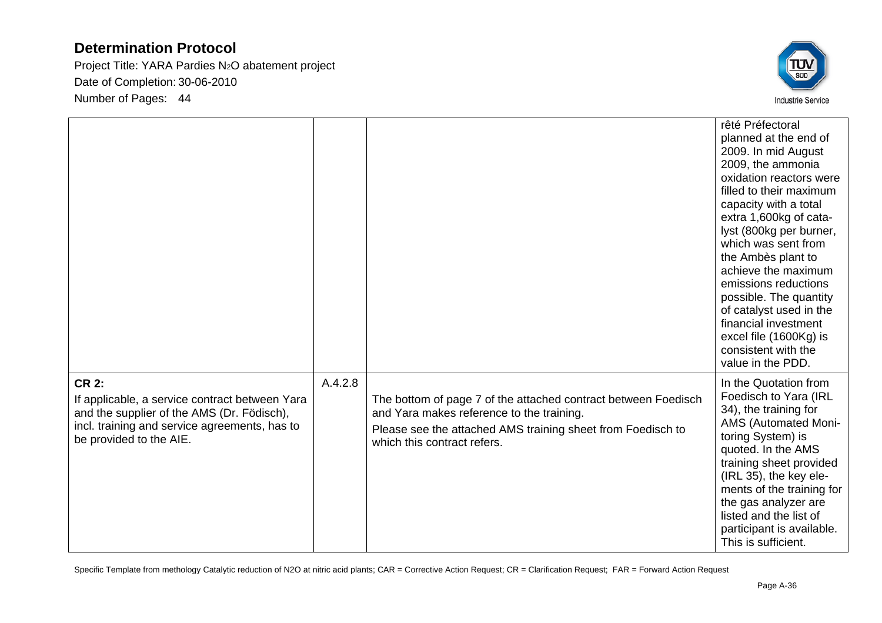Project Title: YARA Pardies N2O abatement project Date of Completion: 30-06-2010 Number of Pages: 44



|                                                                                                                                                                                          |         |                                                                                                                                                                                                           | rêté Préfectoral<br>planned at the end of<br>2009. In mid August<br>2009, the ammonia<br>oxidation reactors were<br>filled to their maximum<br>capacity with a total<br>extra 1,600kg of cata-<br>lyst (800kg per burner,<br>which was sent from<br>the Ambès plant to<br>achieve the maximum<br>emissions reductions<br>possible. The quantity<br>of catalyst used in the<br>financial investment<br>excel file (1600Kg) is<br>consistent with the<br>value in the PDD. |
|------------------------------------------------------------------------------------------------------------------------------------------------------------------------------------------|---------|-----------------------------------------------------------------------------------------------------------------------------------------------------------------------------------------------------------|--------------------------------------------------------------------------------------------------------------------------------------------------------------------------------------------------------------------------------------------------------------------------------------------------------------------------------------------------------------------------------------------------------------------------------------------------------------------------|
| <b>CR 2:</b><br>If applicable, a service contract between Yara<br>and the supplier of the AMS (Dr. Födisch),<br>incl. training and service agreements, has to<br>be provided to the AIE. | A.4.2.8 | The bottom of page 7 of the attached contract between Foedisch<br>and Yara makes reference to the training.<br>Please see the attached AMS training sheet from Foedisch to<br>which this contract refers. | In the Quotation from<br>Foedisch to Yara (IRL<br>34), the training for<br>AMS (Automated Moni-<br>toring System) is<br>quoted. In the AMS<br>training sheet provided<br>(IRL 35), the key ele-<br>ments of the training for<br>the gas analyzer are<br>listed and the list of<br>participant is available.<br>This is sufficient.                                                                                                                                       |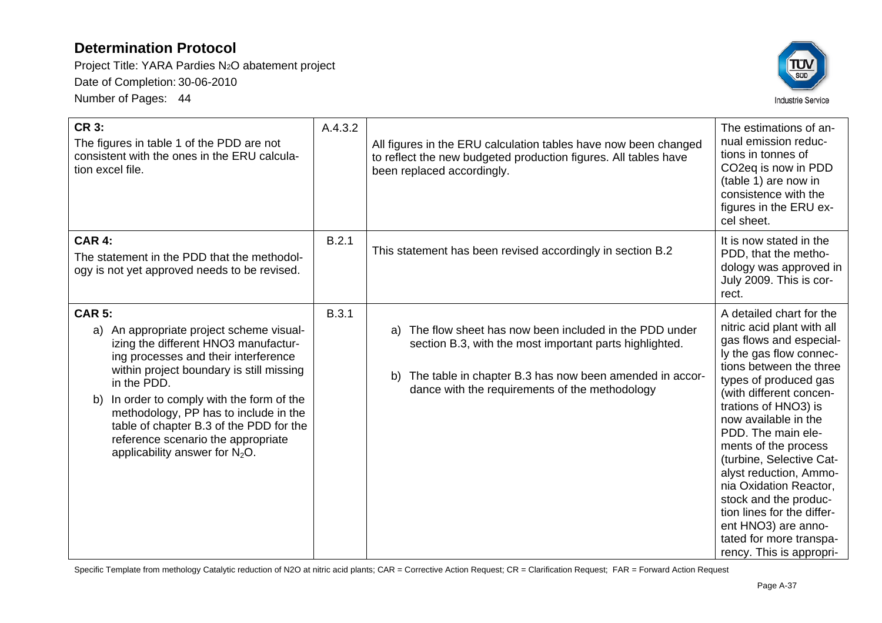Project Title: YARA Pardies N2O abatement project Date of Completion: 30-06-2010 Number of Pages: 44



| <b>CR 3:</b><br>The figures in table 1 of the PDD are not<br>consistent with the ones in the ERU calcula-<br>tion excel file.                                                                                                                                                                                                                                                                                           | A.4.3.2      | All figures in the ERU calculation tables have now been changed<br>to reflect the new budgeted production figures. All tables have<br>been replaced accordingly.                                                                          | The estimations of an-<br>nual emission reduc-<br>tions in tonnes of<br>CO <sub>2</sub> eq is now in PDD<br>(table 1) are now in<br>consistence with the<br>figures in the ERU ex-<br>cel sheet.                                                                                                                                                                                                                                                                                                               |
|-------------------------------------------------------------------------------------------------------------------------------------------------------------------------------------------------------------------------------------------------------------------------------------------------------------------------------------------------------------------------------------------------------------------------|--------------|-------------------------------------------------------------------------------------------------------------------------------------------------------------------------------------------------------------------------------------------|----------------------------------------------------------------------------------------------------------------------------------------------------------------------------------------------------------------------------------------------------------------------------------------------------------------------------------------------------------------------------------------------------------------------------------------------------------------------------------------------------------------|
| <b>CAR 4:</b><br>The statement in the PDD that the methodol-<br>ogy is not yet approved needs to be revised.                                                                                                                                                                                                                                                                                                            | B.2.1        | This statement has been revised accordingly in section B.2                                                                                                                                                                                | It is now stated in the<br>PDD, that the metho-<br>dology was approved in<br>July 2009. This is cor-<br>rect.                                                                                                                                                                                                                                                                                                                                                                                                  |
| <b>CAR 5:</b><br>An appropriate project scheme visual-<br>a)<br>izing the different HNO3 manufactur-<br>ing processes and their interference<br>within project boundary is still missing<br>in the PDD.<br>In order to comply with the form of the<br>b)<br>methodology, PP has to include in the<br>table of chapter B.3 of the PDD for the<br>reference scenario the appropriate<br>applicability answer for $N_2O$ . | <b>B.3.1</b> | The flow sheet has now been included in the PDD under<br>a)<br>section B.3, with the most important parts highlighted.<br>The table in chapter B.3 has now been amended in accor-<br>b)<br>dance with the requirements of the methodology | A detailed chart for the<br>nitric acid plant with all<br>gas flows and especial-<br>ly the gas flow connec-<br>tions between the three<br>types of produced gas<br>(with different concen-<br>trations of HNO3) is<br>now available in the<br>PDD. The main ele-<br>ments of the process<br>(turbine, Selective Cat-<br>alyst reduction, Ammo-<br>nia Oxidation Reactor,<br>stock and the produc-<br>tion lines for the differ-<br>ent HNO3) are anno-<br>tated for more transpa-<br>rency. This is appropri- |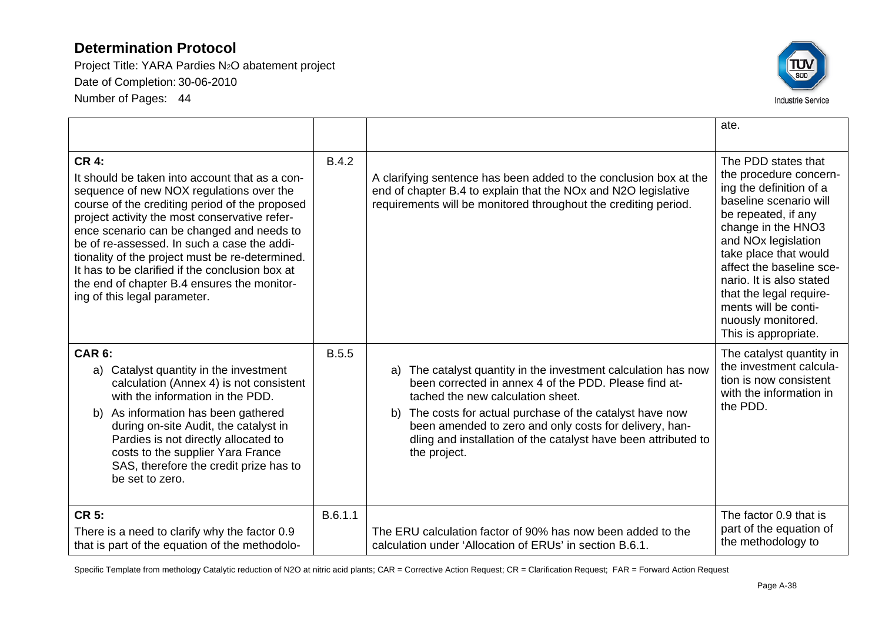Project Title: YARA Pardies N2O abatement project Date of Completion: 30-06-2010 Number of Pages: 44



|                                                                                                                                                                                                                                                                                                                                                                                                                                                                                                |              |                                                                                                                                                                                                                                                                                                                                                                             | ate.                                                                                                                                                                                                                                                                                                                                                                 |
|------------------------------------------------------------------------------------------------------------------------------------------------------------------------------------------------------------------------------------------------------------------------------------------------------------------------------------------------------------------------------------------------------------------------------------------------------------------------------------------------|--------------|-----------------------------------------------------------------------------------------------------------------------------------------------------------------------------------------------------------------------------------------------------------------------------------------------------------------------------------------------------------------------------|----------------------------------------------------------------------------------------------------------------------------------------------------------------------------------------------------------------------------------------------------------------------------------------------------------------------------------------------------------------------|
| <b>CR 4:</b><br>It should be taken into account that as a con-<br>sequence of new NOX regulations over the<br>course of the crediting period of the proposed<br>project activity the most conservative refer-<br>ence scenario can be changed and needs to<br>be of re-assessed. In such a case the addi-<br>tionality of the project must be re-determined.<br>It has to be clarified if the conclusion box at<br>the end of chapter B.4 ensures the monitor-<br>ing of this legal parameter. | <b>B.4.2</b> | A clarifying sentence has been added to the conclusion box at the<br>end of chapter B.4 to explain that the NOx and N2O legislative<br>requirements will be monitored throughout the crediting period.                                                                                                                                                                      | The PDD states that<br>the procedure concern-<br>ing the definition of a<br>baseline scenario will<br>be repeated, if any<br>change in the HNO3<br>and NO <sub>x</sub> legislation<br>take place that would<br>affect the baseline sce-<br>nario. It is also stated<br>that the legal require-<br>ments will be conti-<br>nuously monitored.<br>This is appropriate. |
| <b>CAR 6:</b><br>a) Catalyst quantity in the investment<br>calculation (Annex 4) is not consistent<br>with the information in the PDD.<br>b) As information has been gathered<br>during on-site Audit, the catalyst in<br>Pardies is not directly allocated to<br>costs to the supplier Yara France<br>SAS, therefore the credit prize has to<br>be set to zero.                                                                                                                               | <b>B.5.5</b> | The catalyst quantity in the investment calculation has now<br>a)<br>been corrected in annex 4 of the PDD. Please find at-<br>tached the new calculation sheet.<br>The costs for actual purchase of the catalyst have now<br>b)<br>been amended to zero and only costs for delivery, han-<br>dling and installation of the catalyst have been attributed to<br>the project. | The catalyst quantity in<br>the investment calcula-<br>tion is now consistent<br>with the information in<br>the PDD.                                                                                                                                                                                                                                                 |
| <b>CR 5:</b><br>There is a need to clarify why the factor 0.9<br>that is part of the equation of the methodolo-                                                                                                                                                                                                                                                                                                                                                                                | B.6.1.1      | The ERU calculation factor of 90% has now been added to the<br>calculation under 'Allocation of ERUs' in section B.6.1.                                                                                                                                                                                                                                                     | The factor 0.9 that is<br>part of the equation of<br>the methodology to                                                                                                                                                                                                                                                                                              |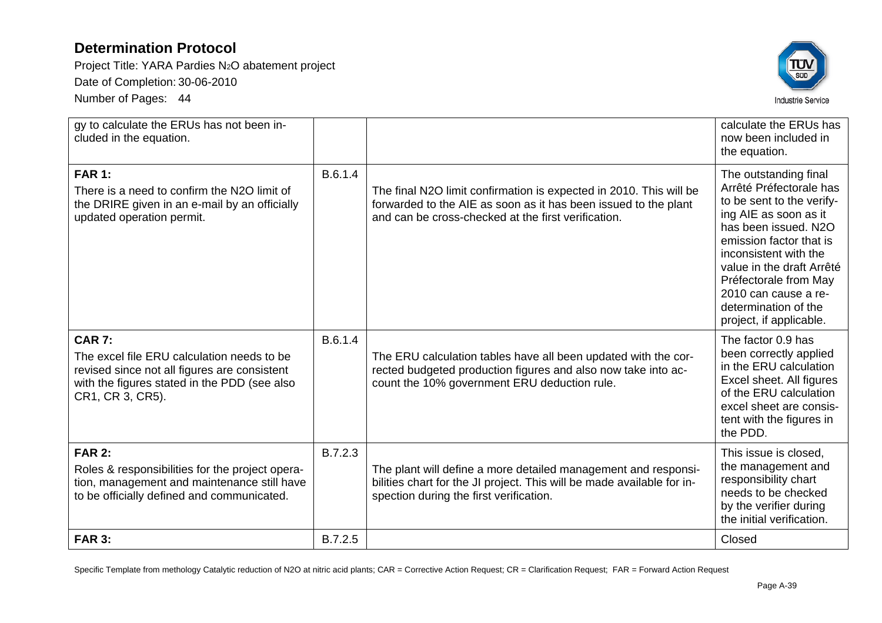Project Title: YARA Pardies N2O abatement project Date of Completion: 30-06-2010

Number of Pages: 44



| gy to calculate the ERUs has not been in-<br>cluded in the equation.                                                                                                            |         |                                                                                                                                                                                              | calculate the ERUs has<br>now been included in<br>the equation.                                                                                                                                                                                                                                                     |
|---------------------------------------------------------------------------------------------------------------------------------------------------------------------------------|---------|----------------------------------------------------------------------------------------------------------------------------------------------------------------------------------------------|---------------------------------------------------------------------------------------------------------------------------------------------------------------------------------------------------------------------------------------------------------------------------------------------------------------------|
| <b>FAR 1:</b><br>There is a need to confirm the N2O limit of<br>the DRIRE given in an e-mail by an officially<br>updated operation permit.                                      | B.6.1.4 | The final N2O limit confirmation is expected in 2010. This will be<br>forwarded to the AIE as soon as it has been issued to the plant<br>and can be cross-checked at the first verification. | The outstanding final<br>Arrêté Préfectorale has<br>to be sent to the verify-<br>ing AIE as soon as it<br>has been issued. N2O<br>emission factor that is<br>inconsistent with the<br>value in the draft Arrêté<br>Préfectorale from May<br>2010 can cause a re-<br>determination of the<br>project, if applicable. |
| <b>CAR 7:</b><br>The excel file ERU calculation needs to be<br>revised since not all figures are consistent<br>with the figures stated in the PDD (see also<br>CR1, CR 3, CR5). | B.6.1.4 | The ERU calculation tables have all been updated with the cor-<br>rected budgeted production figures and also now take into ac-<br>count the 10% government ERU deduction rule.              | The factor 0.9 has<br>been correctly applied<br>in the ERU calculation<br>Excel sheet. All figures<br>of the ERU calculation<br>excel sheet are consis-<br>tent with the figures in<br>the PDD.                                                                                                                     |
| <b>FAR 2:</b><br>Roles & responsibilities for the project opera-<br>tion, management and maintenance still have<br>to be officially defined and communicated.                   | B.7.2.3 | The plant will define a more detailed management and responsi-<br>bilities chart for the JI project. This will be made available for in-<br>spection during the first verification.          | This issue is closed,<br>the management and<br>responsibility chart<br>needs to be checked<br>by the verifier during<br>the initial verification.                                                                                                                                                                   |
| <b>FAR 3:</b>                                                                                                                                                                   | B.7.2.5 |                                                                                                                                                                                              | Closed                                                                                                                                                                                                                                                                                                              |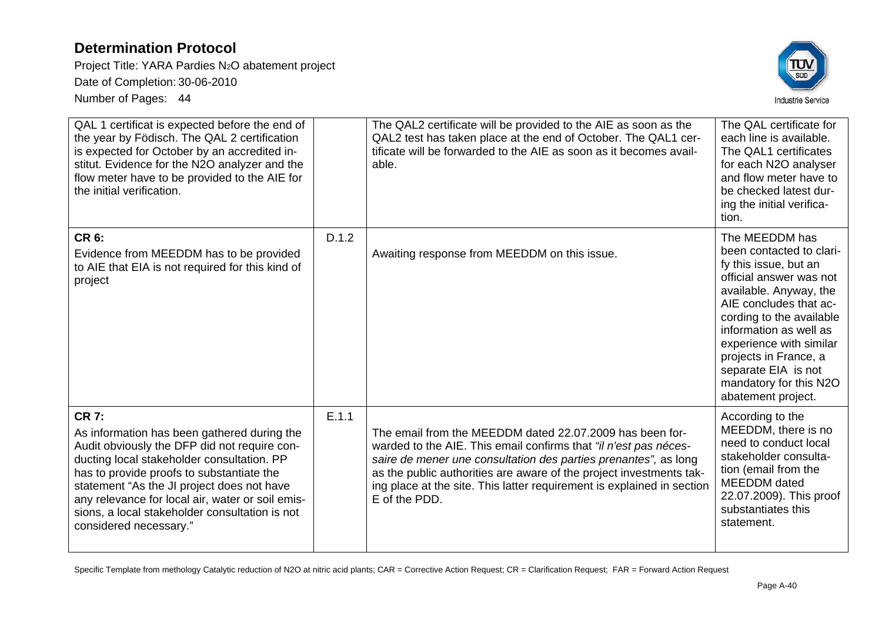Project Title: YARA Pardies N2O abatement project Date of Completion: 30-06-2010 Number of Pages: 44



| QAL 1 certificat is expected before the end of<br>the year by Födisch. The QAL 2 certification<br>is expected for October by an accredited in-<br>stitut. Evidence for the N2O analyzer and the<br>flow meter have to be provided to the AIE for<br>the initial verification.                                                                                                        |       | The QAL2 certificate will be provided to the AIE as soon as the<br>QAL2 test has taken place at the end of October. The QAL1 cer-<br>tificate will be forwarded to the AIE as soon as it becomes avail-<br>able.                                                                                                                                                  | The QAL certificate for<br>each line is available.<br>The QAL1 certificates<br>for each N2O analyser<br>and flow meter have to<br>be checked latest dur-<br>ing the initial verifica-<br>tion.                                                                                                                                      |
|--------------------------------------------------------------------------------------------------------------------------------------------------------------------------------------------------------------------------------------------------------------------------------------------------------------------------------------------------------------------------------------|-------|-------------------------------------------------------------------------------------------------------------------------------------------------------------------------------------------------------------------------------------------------------------------------------------------------------------------------------------------------------------------|-------------------------------------------------------------------------------------------------------------------------------------------------------------------------------------------------------------------------------------------------------------------------------------------------------------------------------------|
| <b>CR 6:</b><br>Evidence from MEEDDM has to be provided<br>to AIE that EIA is not required for this kind of<br>project                                                                                                                                                                                                                                                               | D.1.2 | Awaiting response from MEEDDM on this issue.                                                                                                                                                                                                                                                                                                                      | The MEEDDM has<br>been contacted to clari-<br>fy this issue, but an<br>official answer was not<br>available. Anyway, the<br>AIE concludes that ac-<br>cording to the available<br>information as well as<br>experience with similar<br>projects in France, a<br>separate EIA is not<br>mandatory for this N2O<br>abatement project. |
| <b>CR 7:</b><br>As information has been gathered during the<br>Audit obviously the DFP did not require con-<br>ducting local stakeholder consultation. PP<br>has to provide proofs to substantiate the<br>statement "As the JI project does not have<br>any relevance for local air, water or soil emis-<br>sions, a local stakeholder consultation is not<br>considered necessary." | E.1.1 | The email from the MEEDDM dated 22.07.2009 has been for-<br>warded to the AIE. This email confirms that "il n'est pas néces-<br>saire de mener une consultation des parties prenantes", as long<br>as the public authorities are aware of the project investments tak-<br>ing place at the site. This latter requirement is explained in section<br>E of the PDD. | According to the<br>MEEDDM, there is no<br>need to conduct local<br>stakeholder consulta-<br>tion (email from the<br>MEEDDM dated<br>22.07.2009). This proof<br>substantiates this<br>statement.                                                                                                                                    |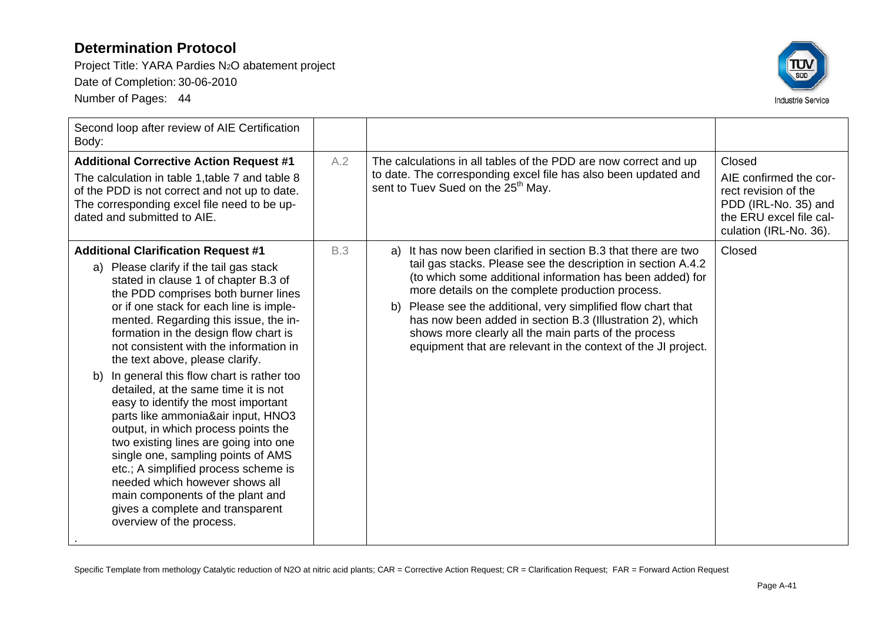Project Title: YARA Pardies N2O abatement project Date of Completion: 30-06-2010 Number of Pages: 44



| Second loop after review of AIE Certification<br>Body:                                                                                                                                                                                                                                                                                                                                                                                                                                                                                                                                                                                                                                                                                                                                                                                                    |            |                                                                                                                                                                                                                                                                                                                                                                                                                                                                                                              |                                                                                                                                       |
|-----------------------------------------------------------------------------------------------------------------------------------------------------------------------------------------------------------------------------------------------------------------------------------------------------------------------------------------------------------------------------------------------------------------------------------------------------------------------------------------------------------------------------------------------------------------------------------------------------------------------------------------------------------------------------------------------------------------------------------------------------------------------------------------------------------------------------------------------------------|------------|--------------------------------------------------------------------------------------------------------------------------------------------------------------------------------------------------------------------------------------------------------------------------------------------------------------------------------------------------------------------------------------------------------------------------------------------------------------------------------------------------------------|---------------------------------------------------------------------------------------------------------------------------------------|
| <b>Additional Corrective Action Request #1</b><br>The calculation in table 1, table 7 and table 8<br>of the PDD is not correct and not up to date.<br>The corresponding excel file need to be up-<br>dated and submitted to AIE.                                                                                                                                                                                                                                                                                                                                                                                                                                                                                                                                                                                                                          | A.2        | The calculations in all tables of the PDD are now correct and up<br>to date. The corresponding excel file has also been updated and<br>sent to Tuev Sued on the 25 <sup>th</sup> May.                                                                                                                                                                                                                                                                                                                        | Closed<br>AIE confirmed the cor-<br>rect revision of the<br>PDD (IRL-No. 35) and<br>the ERU excel file cal-<br>culation (IRL-No. 36). |
| <b>Additional Clarification Request #1</b><br>Please clarify if the tail gas stack<br>a)<br>stated in clause 1 of chapter B.3 of<br>the PDD comprises both burner lines<br>or if one stack for each line is imple-<br>mented. Regarding this issue, the in-<br>formation in the design flow chart is<br>not consistent with the information in<br>the text above, please clarify.<br>b) In general this flow chart is rather too<br>detailed, at the same time it is not<br>easy to identify the most important<br>parts like ammonia&air input, HNO3<br>output, in which process points the<br>two existing lines are going into one<br>single one, sampling points of AMS<br>etc.; A simplified process scheme is<br>needed which however shows all<br>main components of the plant and<br>gives a complete and transparent<br>overview of the process. | <b>B.3</b> | It has now been clarified in section B.3 that there are two<br>a)<br>tail gas stacks. Please see the description in section A.4.2<br>(to which some additional information has been added) for<br>more details on the complete production process.<br>Please see the additional, very simplified flow chart that<br>b)<br>has now been added in section B.3 (Illustration 2), which<br>shows more clearly all the main parts of the process<br>equipment that are relevant in the context of the JI project. | Closed                                                                                                                                |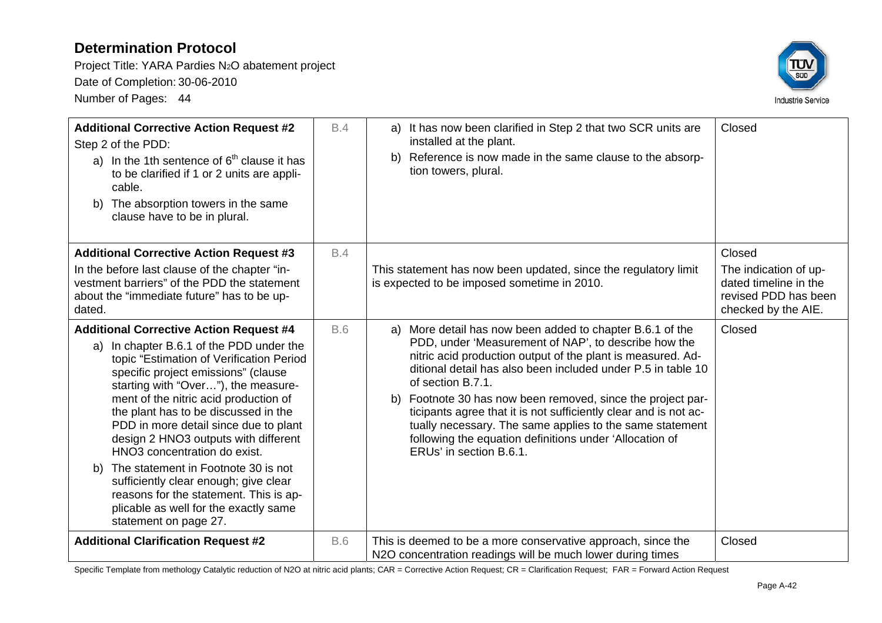Project Title: YARA Pardies N2O abatement project Date of Completion: 30-06-2010 Number of Pages: 44



| <b>Additional Corrective Action Request #2</b><br>Step 2 of the PDD:<br>a) In the 1th sentence of $6th$ clause it has<br>to be clarified if 1 or 2 units are appli-<br>cable.<br>The absorption towers in the same<br>b)<br>clause have to be in plural.                                                                                                                                                                                                                                                                                                                                                                 | B.4        | a) It has now been clarified in Step 2 that two SCR units are<br>installed at the plant.<br>Reference is now made in the same clause to the absorp-<br>b)<br>tion towers, plural.                                                                                                                                                                                                                                                                                                                                                                                | Closed                                                                                                  |
|--------------------------------------------------------------------------------------------------------------------------------------------------------------------------------------------------------------------------------------------------------------------------------------------------------------------------------------------------------------------------------------------------------------------------------------------------------------------------------------------------------------------------------------------------------------------------------------------------------------------------|------------|------------------------------------------------------------------------------------------------------------------------------------------------------------------------------------------------------------------------------------------------------------------------------------------------------------------------------------------------------------------------------------------------------------------------------------------------------------------------------------------------------------------------------------------------------------------|---------------------------------------------------------------------------------------------------------|
| <b>Additional Corrective Action Request #3</b><br>In the before last clause of the chapter "in-<br>vestment barriers" of the PDD the statement<br>about the "immediate future" has to be up-<br>dated.                                                                                                                                                                                                                                                                                                                                                                                                                   | <b>B.4</b> | This statement has now been updated, since the regulatory limit<br>is expected to be imposed sometime in 2010.                                                                                                                                                                                                                                                                                                                                                                                                                                                   | Closed<br>The indication of up-<br>dated timeline in the<br>revised PDD has been<br>checked by the AIE. |
| <b>Additional Corrective Action Request #4</b><br>a) In chapter B.6.1 of the PDD under the<br>topic "Estimation of Verification Period<br>specific project emissions" (clause<br>starting with "Over"), the measure-<br>ment of the nitric acid production of<br>the plant has to be discussed in the<br>PDD in more detail since due to plant<br>design 2 HNO3 outputs with different<br>HNO3 concentration do exist.<br>The statement in Footnote 30 is not<br>b)<br>sufficiently clear enough; give clear<br>reasons for the statement. This is ap-<br>plicable as well for the exactly same<br>statement on page 27. | <b>B.6</b> | More detail has now been added to chapter B.6.1 of the<br>a)<br>PDD, under 'Measurement of NAP', to describe how the<br>nitric acid production output of the plant is measured. Ad-<br>ditional detail has also been included under P.5 in table 10<br>of section B.7.1.<br>Footnote 30 has now been removed, since the project par-<br>b)<br>ticipants agree that it is not sufficiently clear and is not ac-<br>tually necessary. The same applies to the same statement<br>following the equation definitions under 'Allocation of<br>ERUs' in section B.6.1. | Closed                                                                                                  |
| <b>Additional Clarification Request #2</b>                                                                                                                                                                                                                                                                                                                                                                                                                                                                                                                                                                               | <b>B.6</b> | This is deemed to be a more conservative approach, since the<br>N2O concentration readings will be much lower during times                                                                                                                                                                                                                                                                                                                                                                                                                                       | Closed                                                                                                  |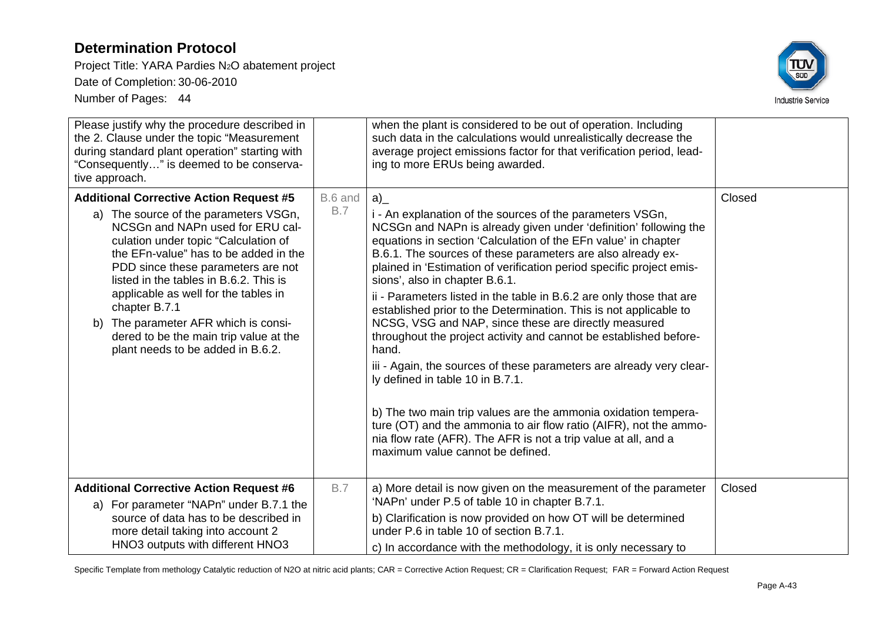Project Title: YARA Pardies N2O abatement project

Date of Completion: 30-06-2010

Number of Pages: 44



| Please justify why the procedure described in<br>the 2. Clause under the topic "Measurement<br>during standard plant operation" starting with<br>"Consequently" is deemed to be conserva-<br>tive approach.                                                                                                                                                                                                                                                                  |                       | when the plant is considered to be out of operation. Including<br>such data in the calculations would unrealistically decrease the<br>average project emissions factor for that verification period, lead-<br>ing to more ERUs being awarded.                                                                                                                                                                                                                                                                                                                                                                                                                                                                                                                                                                                                                                                                                                                                                                              |        |
|------------------------------------------------------------------------------------------------------------------------------------------------------------------------------------------------------------------------------------------------------------------------------------------------------------------------------------------------------------------------------------------------------------------------------------------------------------------------------|-----------------------|----------------------------------------------------------------------------------------------------------------------------------------------------------------------------------------------------------------------------------------------------------------------------------------------------------------------------------------------------------------------------------------------------------------------------------------------------------------------------------------------------------------------------------------------------------------------------------------------------------------------------------------------------------------------------------------------------------------------------------------------------------------------------------------------------------------------------------------------------------------------------------------------------------------------------------------------------------------------------------------------------------------------------|--------|
| <b>Additional Corrective Action Request #5</b><br>a) The source of the parameters VSGn,<br>NCSGn and NAPn used for ERU cal-<br>culation under topic "Calculation of<br>the EFn-value" has to be added in the<br>PDD since these parameters are not<br>listed in the tables in B.6.2. This is<br>applicable as well for the tables in<br>chapter B.7.1<br>b) The parameter AFR which is consi-<br>dered to be the main trip value at the<br>plant needs to be added in B.6.2. | B.6 and<br><b>B.7</b> | a)<br>i - An explanation of the sources of the parameters VSGn,<br>NCSGn and NAPn is already given under 'definition' following the<br>equations in section 'Calculation of the EFn value' in chapter<br>B.6.1. The sources of these parameters are also already ex-<br>plained in 'Estimation of verification period specific project emis-<br>sions', also in chapter B.6.1.<br>ii - Parameters listed in the table in B.6.2 are only those that are<br>established prior to the Determination. This is not applicable to<br>NCSG, VSG and NAP, since these are directly measured<br>throughout the project activity and cannot be established before-<br>hand.<br>iii - Again, the sources of these parameters are already very clear-<br>ly defined in table 10 in B.7.1.<br>b) The two main trip values are the ammonia oxidation tempera-<br>ture (OT) and the ammonia to air flow ratio (AIFR), not the ammo-<br>nia flow rate (AFR). The AFR is not a trip value at all, and a<br>maximum value cannot be defined. | Closed |
| <b>Additional Corrective Action Request #6</b><br>a) For parameter "NAPn" under B.7.1 the<br>source of data has to be described in<br>more detail taking into account 2<br>HNO3 outputs with different HNO3                                                                                                                                                                                                                                                                  | <b>B.7</b>            | a) More detail is now given on the measurement of the parameter<br>'NAPn' under P.5 of table 10 in chapter B.7.1.<br>b) Clarification is now provided on how OT will be determined<br>under P.6 in table 10 of section B.7.1.<br>c) In accordance with the methodology, it is only necessary to                                                                                                                                                                                                                                                                                                                                                                                                                                                                                                                                                                                                                                                                                                                            | Closed |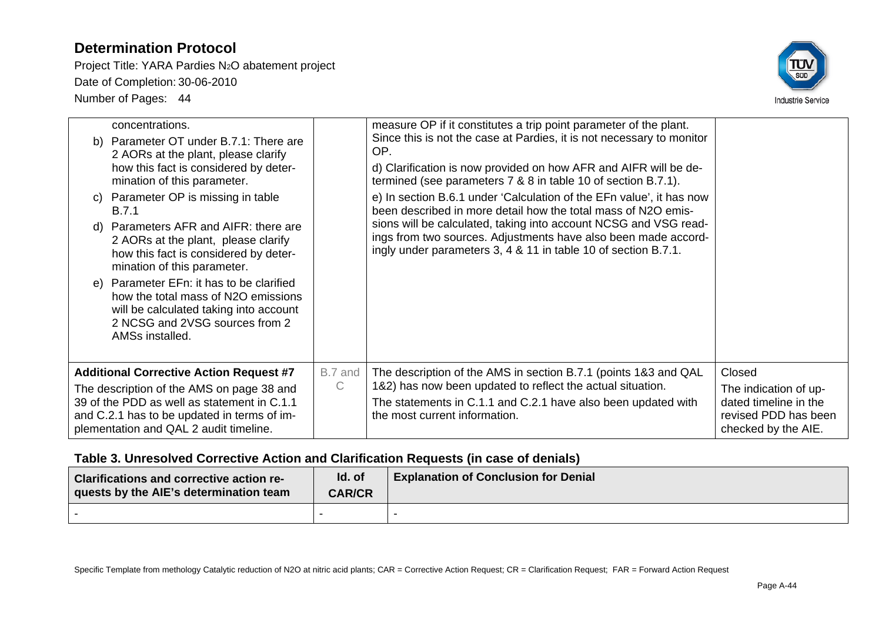Project Title: YARA Pardies N2O abatement project Date of Completion: 30-06-2010 Number of Pages: 44



|    | mination of this parameter.                                                                                                                                                                                                         |                         | termined (see parameters 7 & 8 in table 10 of section B.7.1).                                                                                                                                                                   |                                                                                                         |
|----|-------------------------------------------------------------------------------------------------------------------------------------------------------------------------------------------------------------------------------------|-------------------------|---------------------------------------------------------------------------------------------------------------------------------------------------------------------------------------------------------------------------------|---------------------------------------------------------------------------------------------------------|
| C) | Parameter OP is missing in table<br>B.7.1                                                                                                                                                                                           |                         | e) In section B.6.1 under 'Calculation of the EFn value', it has now<br>been described in more detail how the total mass of N2O emis-                                                                                           |                                                                                                         |
| d) | Parameters AFR and AIFR: there are<br>2 AORs at the plant, please clarify<br>how this fact is considered by deter-<br>mination of this parameter.                                                                                   |                         | sions will be calculated, taking into account NCSG and VSG read-<br>ings from two sources. Adjustments have also been made accord-<br>ingly under parameters 3, 4 & 11 in table 10 of section B.7.1.                            |                                                                                                         |
|    | e) Parameter EFn: it has to be clarified<br>how the total mass of N2O emissions<br>will be calculated taking into account<br>2 NCSG and 2VSG sources from 2<br>AMSs installed.                                                      |                         |                                                                                                                                                                                                                                 |                                                                                                         |
|    | <b>Additional Corrective Action Request #7</b><br>The description of the AMS on page 38 and<br>39 of the PDD as well as statement in C.1.1<br>and C.2.1 has to be updated in terms of im-<br>plementation and QAL 2 audit timeline. | B.7 and<br>$\mathsf{C}$ | The description of the AMS in section B.7.1 (points 1&3 and QAL<br>1&2) has now been updated to reflect the actual situation.<br>The statements in C.1.1 and C.2.1 have also been updated with<br>the most current information. | Closed<br>The indication of up-<br>dated timeline in the<br>revised PDD has been<br>checked by the AIE. |

### **Table 3. Unresolved Corrective Action and Clarification Requests (in case of denials)**

| Clarifications and corrective action re-<br>quests by the AIE's determination team | Id. of<br><b>CAR/CR</b> | <b>Explanation of Conclusion for Denial</b> |
|------------------------------------------------------------------------------------|-------------------------|---------------------------------------------|
|                                                                                    |                         |                                             |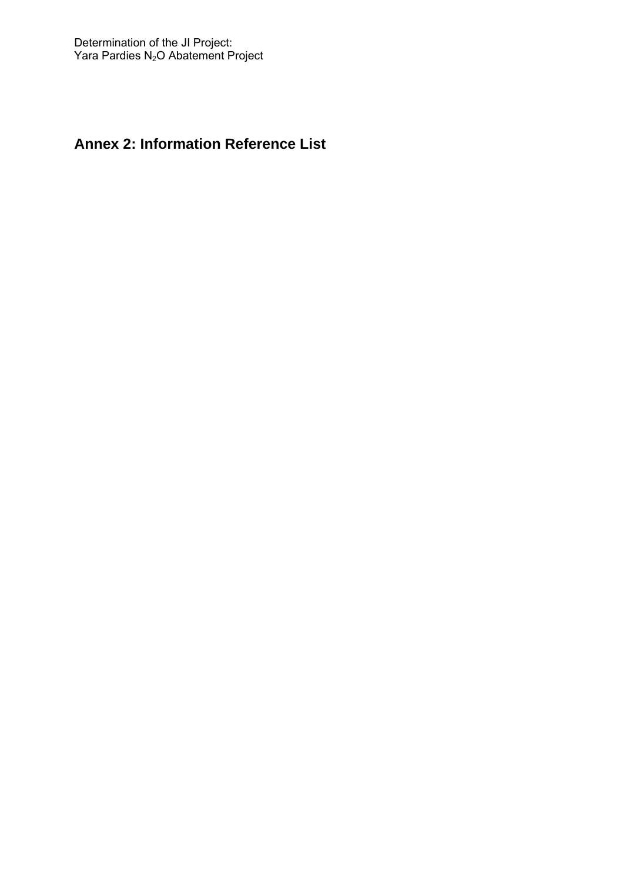# **Annex 2: Information Reference List**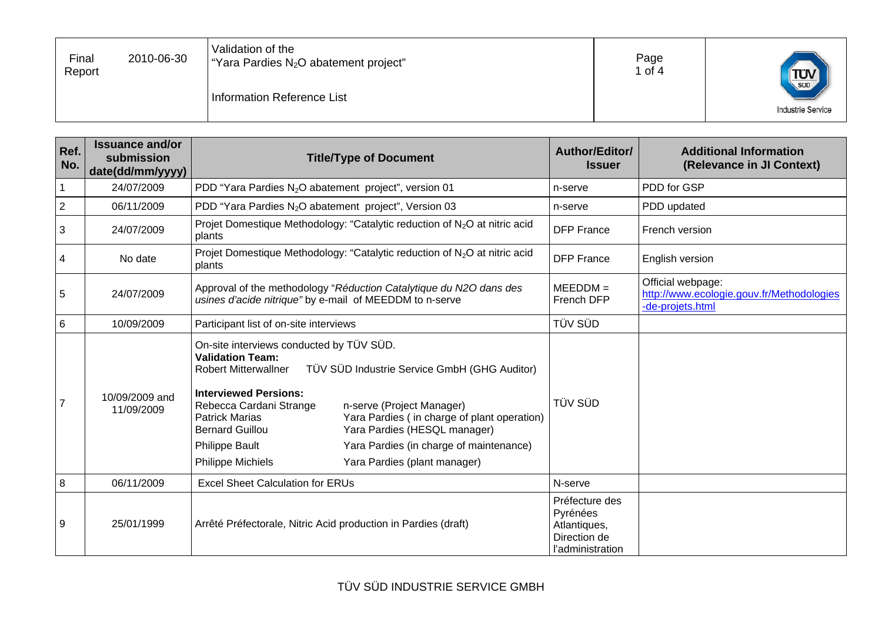| Validation of the<br>Page<br>Final<br>2010-06-30<br>"Yara Pardies N <sub>2</sub> O abatement project"<br>∣ of 4<br>Report<br>$T_{\text{SUD}}$<br>Information Reference List<br><b>Industrie Service</b> |
|---------------------------------------------------------------------------------------------------------------------------------------------------------------------------------------------------------|
|---------------------------------------------------------------------------------------------------------------------------------------------------------------------------------------------------------|

| Ref.<br>No.    | <b>Issuance and/or</b><br>submission<br>date(dd/mm/yyyy) | <b>Title/Type of Document</b>                                                                                                                                                                                                                                                                                                                                                                                                                                                                         | Author/Editor/<br><b>Issuer</b>                                                | <b>Additional Information</b><br>(Relevance in JI Context)                         |
|----------------|----------------------------------------------------------|-------------------------------------------------------------------------------------------------------------------------------------------------------------------------------------------------------------------------------------------------------------------------------------------------------------------------------------------------------------------------------------------------------------------------------------------------------------------------------------------------------|--------------------------------------------------------------------------------|------------------------------------------------------------------------------------|
| 1              | 24/07/2009                                               | PDD "Yara Pardies N <sub>2</sub> O abatement project", version 01                                                                                                                                                                                                                                                                                                                                                                                                                                     | n-serve                                                                        | PDD for GSP                                                                        |
| $\overline{2}$ | 06/11/2009                                               | PDD "Yara Pardies N <sub>2</sub> O abatement project", Version 03                                                                                                                                                                                                                                                                                                                                                                                                                                     | n-serve                                                                        | PDD updated                                                                        |
| $\mathbf{3}$   | 24/07/2009                                               | Projet Domestique Methodology: "Catalytic reduction of N <sub>2</sub> O at nitric acid<br>plants                                                                                                                                                                                                                                                                                                                                                                                                      | <b>DFP France</b>                                                              | French version                                                                     |
| 4              | No date                                                  | Projet Domestique Methodology: "Catalytic reduction of N <sub>2</sub> O at nitric acid<br>plants                                                                                                                                                                                                                                                                                                                                                                                                      | <b>DFP</b> France                                                              | English version                                                                    |
| 5              | 24/07/2009                                               | Approval of the methodology "Réduction Catalytique du N2O dans des<br>usines d'acide nitrique" by e-mail of MEEDDM to n-serve                                                                                                                                                                                                                                                                                                                                                                         | $MEEDDM =$<br>French DFP                                                       | Official webpage:<br>http://www.ecologie.gouv.fr/Methodologies<br>-de-projets.html |
| $\,6$          | 10/09/2009                                               | Participant list of on-site interviews                                                                                                                                                                                                                                                                                                                                                                                                                                                                | TÜV SÜD                                                                        |                                                                                    |
| $\overline{7}$ | 10/09/2009 and<br>11/09/2009                             | On-site interviews conducted by TÜV SÜD.<br><b>Validation Team:</b><br>TÜV SÜD Industrie Service GmbH (GHG Auditor)<br><b>Robert Mitterwallner</b><br><b>Interviewed Persions:</b><br>Rebecca Cardani Strange<br>n-serve (Project Manager)<br><b>Patrick Marias</b><br>Yara Pardies (in charge of plant operation)<br>Yara Pardies (HESQL manager)<br><b>Bernard Guillou</b><br><b>Philippe Bault</b><br>Yara Pardies (in charge of maintenance)<br>Philippe Michiels<br>Yara Pardies (plant manager) | <b>TÜV SÜD</b>                                                                 |                                                                                    |
| 8              | 06/11/2009                                               | <b>Excel Sheet Calculation for ERUs</b>                                                                                                                                                                                                                                                                                                                                                                                                                                                               | N-serve                                                                        |                                                                                    |
| 9              | 25/01/1999                                               | Arrêté Préfectorale, Nitric Acid production in Pardies (draft)                                                                                                                                                                                                                                                                                                                                                                                                                                        | Préfecture des<br>Pyrénées<br>Atlantiques,<br>Direction de<br>l'administration |                                                                                    |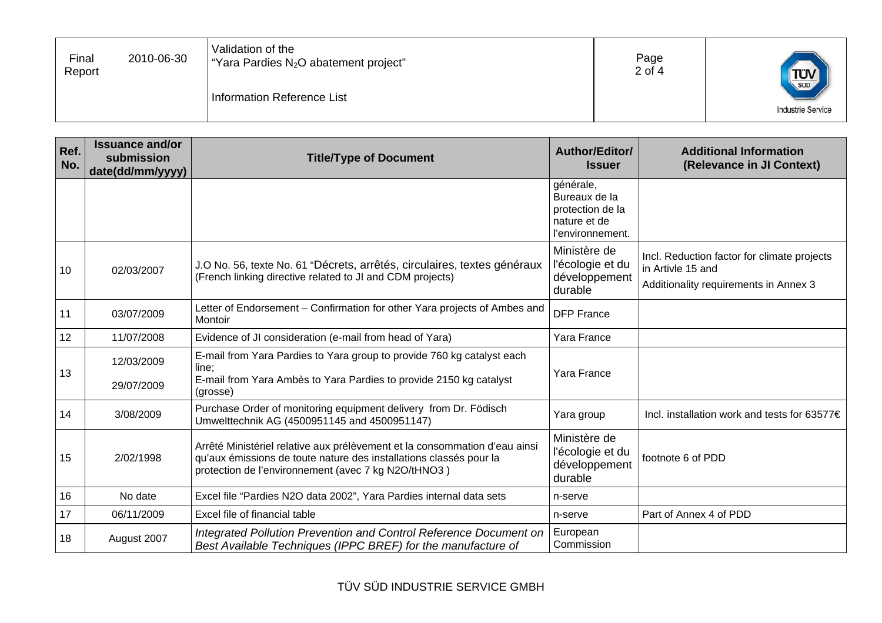| Validation of the<br>Page<br>Final<br>2010-06-30<br>"Yara Pardies N <sub>2</sub> O abatement project"<br>2 of 4<br>Report<br>$T_{\text{SUD}}$<br>Information Reference List<br><b>Industrie Service</b> |
|---------------------------------------------------------------------------------------------------------------------------------------------------------------------------------------------------------|
|---------------------------------------------------------------------------------------------------------------------------------------------------------------------------------------------------------|

| Ref.<br>No. | <b>Issuance and/or</b><br>submission<br>date(dd/mm/yyyy) | <b>Title/Type of Document</b>                                                                                                                                                                           | Author/Editor/<br><b>Issuer</b>                                                    | <b>Additional Information</b><br>(Relevance in JI Context)                                                |
|-------------|----------------------------------------------------------|---------------------------------------------------------------------------------------------------------------------------------------------------------------------------------------------------------|------------------------------------------------------------------------------------|-----------------------------------------------------------------------------------------------------------|
|             |                                                          |                                                                                                                                                                                                         | générale,<br>Bureaux de la<br>protection de la<br>nature et de<br>l'environnement. |                                                                                                           |
| 10          | 02/03/2007                                               | J.O No. 56, texte No. 61 "Décrets, arrêtés, circulaires, textes généraux<br>(French linking directive related to JI and CDM projects)                                                                   | Ministère de<br>l'écologie et du<br>développement<br>durable                       | Incl. Reduction factor for climate projects<br>in Artivle 15 and<br>Additionality requirements in Annex 3 |
| 11          | 03/07/2009                                               | Letter of Endorsement - Confirmation for other Yara projects of Ambes and<br>Montoir                                                                                                                    | <b>DFP France</b>                                                                  |                                                                                                           |
| 12          | 11/07/2008                                               | Evidence of JI consideration (e-mail from head of Yara)                                                                                                                                                 | Yara France                                                                        |                                                                                                           |
| 13          | 12/03/2009<br>29/07/2009                                 | E-mail from Yara Pardies to Yara group to provide 760 kg catalyst each<br>line;<br>E-mail from Yara Ambès to Yara Pardies to provide 2150 kg catalyst<br>(grosse)                                       | Yara France                                                                        |                                                                                                           |
| 14          | 3/08/2009                                                | Purchase Order of monitoring equipment delivery from Dr. Födisch<br>Umwelttechnik AG (4500951145 and 4500951147)                                                                                        | Yara group                                                                         | Incl. installation work and tests for 63577€                                                              |
| 15          | 2/02/1998                                                | Arrêté Ministériel relative aux prélèvement et la consommation d'eau ainsi<br>qu'aux émissions de toute nature des installations classés pour la<br>protection de l'environnement (avec 7 kg N2O/tHNO3) | Ministère de<br>l'écologie et du<br>développement<br>durable                       | footnote 6 of PDD                                                                                         |
| 16          | No date                                                  | Excel file "Pardies N2O data 2002", Yara Pardies internal data sets                                                                                                                                     | n-serve                                                                            |                                                                                                           |
| 17          | 06/11/2009                                               | Excel file of financial table                                                                                                                                                                           | n-serve                                                                            | Part of Annex 4 of PDD                                                                                    |
| 18          | August 2007                                              | Integrated Pollution Prevention and Control Reference Document on<br>Best Available Techniques (IPPC BREF) for the manufacture of                                                                       | European<br>Commission                                                             |                                                                                                           |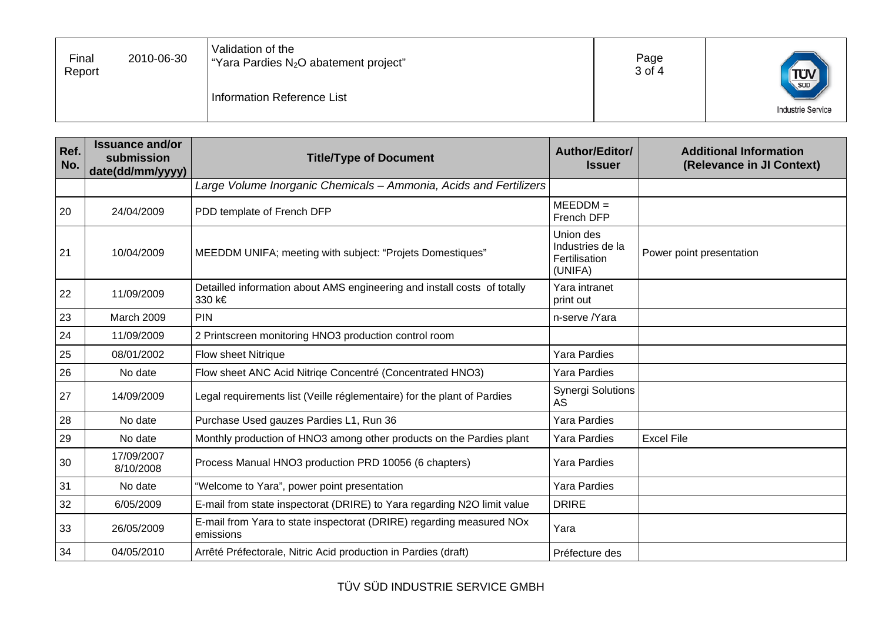| Page<br>2010-06-30<br>Final<br>"Yara Pardies N <sub>2</sub> O abatement project"<br>3 of 4<br>Report<br>Information Reference List | Validation of the |  |  | $T_{\text{SUD}}$<br><b>Industrie Service</b> |  |
|------------------------------------------------------------------------------------------------------------------------------------|-------------------|--|--|----------------------------------------------|--|
|------------------------------------------------------------------------------------------------------------------------------------|-------------------|--|--|----------------------------------------------|--|

| Ref.<br>No. | <b>Issuance and/or</b><br>submission<br>date(dd/mm/yyyy) | <b>Title/Type of Document</b>                                                      | Author/Editor/<br><b>Issuer</b>                           | <b>Additional Information</b><br>(Relevance in JI Context) |
|-------------|----------------------------------------------------------|------------------------------------------------------------------------------------|-----------------------------------------------------------|------------------------------------------------------------|
|             |                                                          | Large Volume Inorganic Chemicals - Ammonia, Acids and Fertilizers                  |                                                           |                                                            |
| 20          | 24/04/2009                                               | PDD template of French DFP                                                         | $MEEDDM =$<br>French DFP                                  |                                                            |
| 21          | 10/04/2009                                               | MEEDDM UNIFA; meeting with subject: "Projets Domestiques"                          | Union des<br>Industries de la<br>Fertilisation<br>(UNIFA) | Power point presentation                                   |
| 22          | 11/09/2009                                               | Detailled information about AMS engineering and install costs of totally<br>330 k€ | Yara intranet<br>print out                                |                                                            |
| 23          | March 2009                                               | PIN                                                                                | n-serve /Yara                                             |                                                            |
| 24          | 11/09/2009                                               | 2 Printscreen monitoring HNO3 production control room                              |                                                           |                                                            |
| 25          | 08/01/2002                                               | <b>Flow sheet Nitrique</b>                                                         | Yara Pardies                                              |                                                            |
| 26          | No date                                                  | Flow sheet ANC Acid Nitriqe Concentré (Concentrated HNO3)                          | Yara Pardies                                              |                                                            |
| 27          | 14/09/2009                                               | Legal requirements list (Veille réglementaire) for the plant of Pardies            | <b>Synergi Solutions</b><br>AS                            |                                                            |
| 28          | No date                                                  | Purchase Used gauzes Pardies L1, Run 36                                            | <b>Yara Pardies</b>                                       |                                                            |
| 29          | No date                                                  | Monthly production of HNO3 among other products on the Pardies plant               | Yara Pardies                                              | <b>Excel File</b>                                          |
| 30          | 17/09/2007<br>8/10/2008                                  | Process Manual HNO3 production PRD 10056 (6 chapters)                              | Yara Pardies                                              |                                                            |
| 31          | No date                                                  | "Welcome to Yara", power point presentation                                        | <b>Yara Pardies</b>                                       |                                                            |
| 32          | 6/05/2009                                                | E-mail from state inspectorat (DRIRE) to Yara regarding N2O limit value            | <b>DRIRE</b>                                              |                                                            |
| 33          | 26/05/2009                                               | E-mail from Yara to state inspectorat (DRIRE) regarding measured NOx<br>emissions  | Yara                                                      |                                                            |
| 34          | 04/05/2010                                               | Arrêté Préfectorale, Nitric Acid production in Pardies (draft)                     | Préfecture des                                            |                                                            |